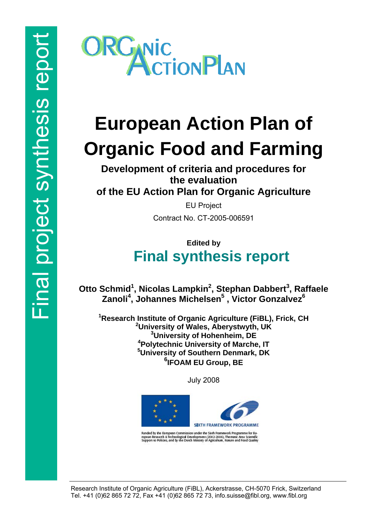

# **European Action Plan of Organic Food and Farming**

**Development of criteria and procedures for the evaluation of the EU Action Plan for Organic Agriculture** 

> EU Project Contract No. CT-2005-006591

# **Edited by Final synthesis report**

**Otto Schmid<sup>1</sup>, Nicolas Lampkin<sup>2</sup>, Stephan Dabbert<sup>3</sup>, Raffaele Zanoli<sup>4</sup> , Johannes Michelsen5 , Victor Gonzalvez6**

 **Research Institute of Organic Agriculture (FiBL), Frick, CH University of Wales, Aberystwyth, UK University of Hohenheim, DE Polytechnic University of Marche, IT University of Southern Denmark, DK IFOAM EU Group, BE** 

July 2008



Runded by the European Commission under the Sixth Framework Programme for Eu-<br>ropean Research & Technological Development (2002-2006), The matic Area Scientific<br>Support to Policies, and by the Dutch Ministry of Agriculture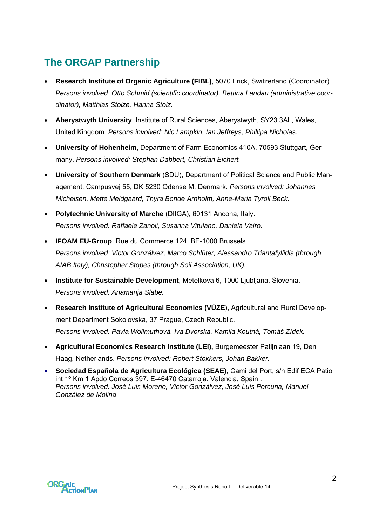# **The ORGAP Partnership**

- **Research Institute of Organic Agriculture (FIBL)**, 5070 Frick, Switzerland (Coordinator). *Persons involved: Otto Schmid (scientific coordinator), Bettina Landau (administrative coordinator), Matthias Stolze, Hanna Stolz.*
- **Aberystwyth University**, Institute of Rural Sciences, Aberystwyth, SY23 3AL, Wales, United Kingdom. *Persons involved: Nic Lampkin, Ian Jeffreys, Phillipa Nicholas.*
- **University of Hohenheim,** Department of Farm Economics 410A, 70593 Stuttgart, Germany. *Persons involved: Stephan Dabbert, Christian Eichert.*
- **University of Southern Denmark** (SDU), Department of Political Science and Public Management, Campusvej 55, DK 5230 Odense M, Denmark. *Persons involved: Johannes Michelsen, Mette Meldgaard, Thyra Bonde Arnholm, Anne-Maria Tyroll Beck.*
- **Polytechnic University of Marche** (DIIGA), 60131 Ancona, Italy. *Persons involved: Raffaele Zanoli, Susanna Vitulano, Daniela Vairo.*
- **IFOAM EU-Group**, Rue du Commerce 124, BE-1000 Brussels. *Persons involved: Victor Gonzálvez, Marco Schlüter, Alessandro Triantafyllidis (through AIAB Italy), Christopher Stopes (through Soil Association, UK).*
- **Institute for Sustainable Development**, Metelkova 6, 1000 Ljubljana, Slovenia. *Persons involved: Anamarija Slabe.*
- **Research Institute of Agricultural Economics (VÚZE**), Agricultural and Rural Development Department Sokolovska, 37 Prague, Czech Republic. *Persons involved: Pavla Wollmuthová. Iva Dvorska, Kamila Koutná, Tomáš Zídek.*
- **Agricultural Economics Research Institute (LEI),** Burgemeester Patijnlaan 19, Den Haag, Netherlands. *Persons involved: Robert Stokkers, Johan Bakker.*
- **Sociedad Española de Agricultura Ecológica (SEAE),** Cami del Port, s/n Edif ECA Patio int 1º Km 1 Apdo Correos 397. E-46470 Catarroja. Valencia, Spain . *Persons involved: José Luis Moreno, Victor Gonzálvez, José Luis Porcuna, Manuel González de Molina*

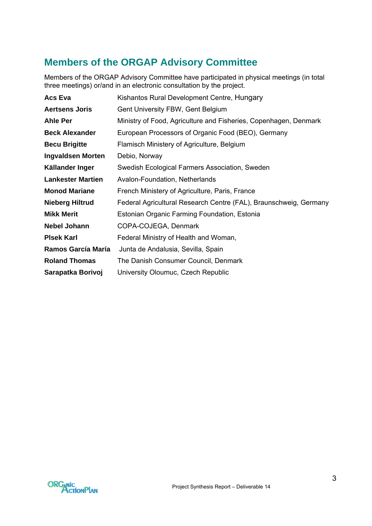# **Members of the ORGAP Advisory Committee**

Members of the ORGAP Advisory Committee have participated in physical meetings (in total three meetings) or/and in an electronic consultation by the project.

| Acs Eva                  | Kishantos Rural Development Centre, Hungary                       |  |  |  |
|--------------------------|-------------------------------------------------------------------|--|--|--|
| <b>Aertsens Joris</b>    | Gent University FBW, Gent Belgium                                 |  |  |  |
| <b>Ahle Per</b>          | Ministry of Food, Agriculture and Fisheries, Copenhagen, Denmark  |  |  |  |
| <b>Beck Alexander</b>    | European Processors of Organic Food (BEO), Germany                |  |  |  |
| <b>Becu Brigitte</b>     | Flamisch Ministery of Agriculture, Belgium                        |  |  |  |
| <b>Ingvaldsen Morten</b> | Debio, Norway                                                     |  |  |  |
| Källander Inger          | Swedish Ecological Farmers Association, Sweden                    |  |  |  |
| <b>Lankester Martien</b> | Avalon-Foundation, Netherlands                                    |  |  |  |
| <b>Monod Mariane</b>     | French Ministery of Agriculture, Paris, France                    |  |  |  |
| <b>Nieberg Hiltrud</b>   | Federal Agricultural Research Centre (FAL), Braunschweig, Germany |  |  |  |
| <b>Mikk Merit</b>        | Estonian Organic Farming Foundation, Estonia                      |  |  |  |
| <b>Nebel Johann</b>      | COPA-COJEGA, Denmark                                              |  |  |  |
| <b>PIsek Karl</b>        | Federal Ministry of Health and Woman,                             |  |  |  |
| Ramos García María       | Junta de Andalusia, Sevilla, Spain                                |  |  |  |
| <b>Roland Thomas</b>     | The Danish Consumer Council, Denmark                              |  |  |  |
| Sarapatka Borivoj        | University Oloumuc, Czech Republic                                |  |  |  |

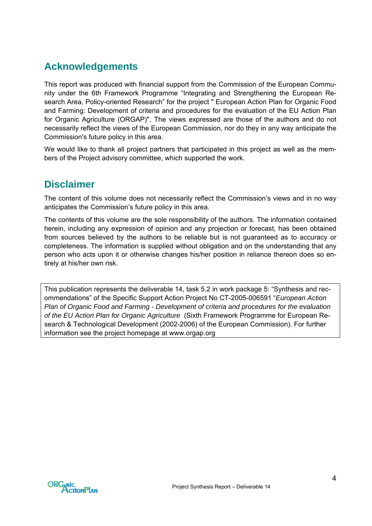# <span id="page-3-0"></span>**Acknowledgements**

This report was produced with financial support from the Commission of the European Community under the 6th Framework Programme "Integrating and Strengthening the European Research Area, Policy-oriented Research" for the project " European Action Plan for Organic Food and Farming: Development of criteria and procedures for the evaluation of the EU Action Plan for Organic Agriculture (ORGAP)". The views expressed are those of the authors and do not necessarily reflect the views of the European Commission, nor do they in any way anticipate the Commission's future policy in this area.

We would like to thank all project partners that participated in this project as well as the members of the Project advisory committee, which supported the work.

# **Disclaimer**

The content of this volume does not necessarily reflect the Commission's views and in no way anticipates the Commission's future policy in this area.

The contents of this volume are the sole responsibility of the authors. The information contained herein, including any expression of opinion and any projection or forecast, has been obtained from sources believed by the authors to be reliable but is not guaranteed as to accuracy or completeness. The information is supplied without obligation and on the understanding that any person who acts upon it or otherwise changes his/her position in reliance thereon does so entirely at his/her own risk.

This publication represents the deliverable 14, task 5.2 in work package 5: "Synthesis and recommendations" of the Specific Support Action Project No CT-2005-006591 "*European Action Plan of Organic Food and Farming - Development of criteria and procedures for the evaluation of the EU Action Plan for Organic Agriculture* (Sixth Framework Programme for European Research & Technological Development (2002-2006) of the European Commission). For further information see the project homepage at [www.orgap.org](http://www.qlif.org/) 

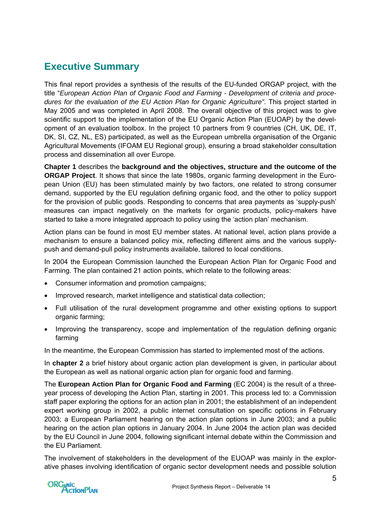# <span id="page-4-0"></span>**Executive Summary**

This final report provides a synthesis of the results of the EU-funded ORGAP project, with the title "*European Action Plan of Organic Food and Farming - Development of criteria and procedures for the evaluation of the EU Action Plan for Organic Agriculture"*. This project started in May 2005 and was completed in April 2008. The overall objective of this project was to give scientific support to the implementation of the EU Organic Action Plan (EUOAP) by the development of an evaluation toolbox. In the project 10 partners from 9 countries (CH, UK, DE, IT, DK, SI, CZ, NL, ES) participated, as well as the European umbrella organisation of the Organic Agricultural Movements (IFOAM EU Regional group), ensuring a broad stakeholder consultation process and dissemination all over Europe.

**Chapter 1** describes the **background and the objectives, structure and the outcome of the ORGAP Project**. It shows that since the late 1980s, organic farming development in the European Union (EU) has been stimulated mainly by two factors, one related to strong consumer demand, supported by the EU regulation defining organic food, and the other to policy support for the provision of public goods. Responding to concerns that area payments as 'supply-push' measures can impact negatively on the markets for organic products, policy-makers have started to take a more integrated approach to policy using the 'action plan' mechanism.

Action plans can be found in most EU member states. At national level, action plans provide a mechanism to ensure a balanced policy mix, reflecting different aims and the various supplypush and demand-pull policy instruments available, tailored to local conditions.

In 2004 the European Commission launched the European Action Plan for Organic Food and Farming. The plan contained 21 action points, which relate to the following areas:

- Consumer information and promotion campaigns;
- Improved research, market intelligence and statistical data collection;
- Full utilisation of the rural development programme and other existing options to support organic farming;
- Improving the transparency, scope and implementation of the regulation defining organic farming

In the meantime, the European Commission has started to implemented most of the actions.

In **chapter 2** a brief history about organic action plan development is given, in particular about the European as well as national organic action plan for organic food and farming.

The **European Action Plan for Organic Food and Farming** (EC 2004) is the result of a threeyear process of developing the Action Plan, starting in 2001. This process led to: a Commission staff paper exploring the options for an action plan in 2001; the establishment of an independent expert working group in 2002, a public internet consultation on specific options in February 2003; a European Parliament hearing on the action plan options in June 2003; and a [public](http://ec.europa.eu/agriculture/events/organic/index_en.htm)  [hearing](http://ec.europa.eu/agriculture/events/organic/index_en.htm) on the action plan options in January 2004. In June 2004 the action plan was decided by the EU Council in June 2004, following significant internal debate within the Commission and the EU Parliament.

The involvement of stakeholders in the development of the EUOAP was mainly in the explorative phases involving identification of organic sector development needs and possible solution

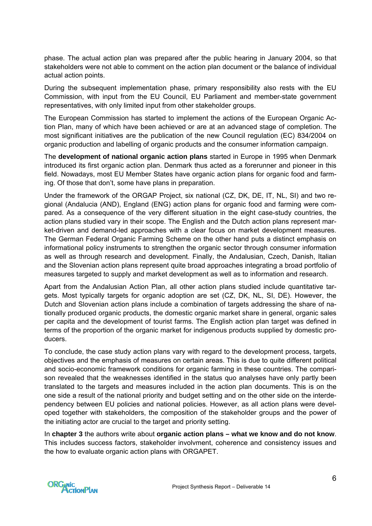phase. The actual action plan was prepared after the public hearing in January 2004, so that stakeholders were not able to comment on the action plan document or the balance of individual actual action points.

During the subsequent implementation phase, primary responsibility also rests with the EU Commission, with input from the EU Council, EU Parliament and member-state government representatives, with only limited input from other stakeholder groups.

The European Commission has started to implement the actions of the European Organic Action Plan, many of which have been achieved or are at an advanced stage of completion. The most significant initiatives are the publication of the new Council regulation (EC) 834/2004 on organic production and labelling of organic products and the consumer information campaign.

The **development of national organic action plans** started in Europe in 1995 when Denmark introduced its first organic action plan. Denmark thus acted as a forerunner and pioneer in this field. Nowadays, most EU Member States have organic action plans for organic food and farming. Of those that don't, some have plans in preparation.

Under the framework of the ORGAP Project, six national (CZ, DK, DE, IT, NL, SI) and two regional (Andalucia (AND), England (ENG) action plans for organic food and farming were compared. As a consequence of the very different situation in the eight case-study countries, the action plans studied vary in their scope. The English and the Dutch action plans represent market-driven and demand-led approaches with a clear focus on market development measures. The German Federal Organic Farming Scheme on the other hand puts a distinct emphasis on informational policy instruments to strengthen the organic sector through consumer information as well as through research and development. Finally, the Andalusian, Czech, Danish, Italian and the Slovenian action plans represent quite broad approaches integrating a broad portfolio of measures targeted to supply and market development as well as to information and research.

Apart from the Andalusian Action Plan, all other action plans studied include quantitative targets. Most typically targets for organic adoption are set (CZ, DK, NL, SI, DE). However, the Dutch and Slovenian action plans include a combination of targets addressing the share of nationally produced organic products, the domestic organic market share in general, organic sales per capita and the development of tourist farms. The English action plan target was defined in terms of the proportion of the organic market for indigenous products supplied by domestic producers.

To conclude, the case study action plans vary with regard to the development process, targets, objectives and the emphasis of measures on certain areas. This is due to quite different political and socio-economic framework conditions for organic farming in these countries. The comparison revealed that the weaknesses identified in the status quo analyses have only partly been translated to the targets and measures included in the action plan documents. This is on the one side a result of the national priority and budget setting and on the other side on the interdependency between EU policies and national policies. However, as all action plans were developed together with stakeholders, the composition of the stakeholder groups and the power of the initiating actor are crucial to the target and priority setting.

In **chapter 3** the authors write about **organic action plans – what we know and do not know**. This includes success factors, stakeholder involvment, coherence and consistency issues and the how to evaluate organic action plans with ORGAPET.

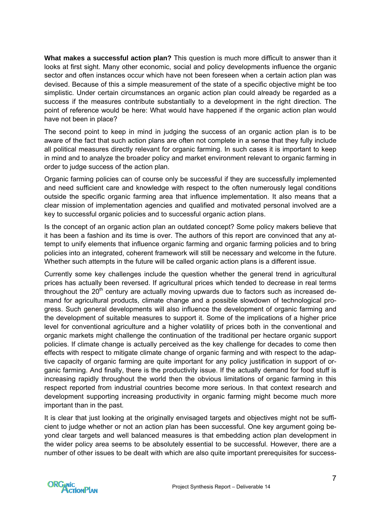**What makes a successful action plan?** This question is much more difficult to answer than it looks at first sight. Many other economic, social and policy developments influence the organic sector and often instances occur which have not been foreseen when a certain action plan was devised. Because of this a simple measurement of the state of a specific objective might be too simplistic. Under certain circumstances an organic action plan could already be regarded as a success if the measures contribute substantially to a development in the right direction. The point of reference would be here: What would have happened if the organic action plan would have not been in place?

The second point to keep in mind in judging the success of an organic action plan is to be aware of the fact that such action plans are often not complete in a sense that they fully include all political measures directly relevant for organic farming. In such cases it is important to keep in mind and to analyze the broader policy and market environment relevant to organic farming in order to judge success of the action plan.

Organic farming policies can of course only be successful if they are successfully implemented and need sufficient care and knowledge with respect to the often numerously legal conditions outside the specific organic farming area that influence implementation. It also means that a clear mission of implementation agencies and qualified and motivated personal involved are a key to successful organic policies and to successful organic action plans.

Is the concept of an organic action plan an outdated concept? Some policy makers believe that it has been a fashion and its time is over. The authors of this report are convinced that any attempt to unify elements that influence organic farming and organic farming policies and to bring policies into an integrated, coherent framework will still be necessary and welcome in the future. Whether such attempts in the future will be called organic action plans is a different issue.

Currently some key challenges include the question whether the general trend in agricultural prices has actually been reversed. If agricultural prices which tended to decrease in real terms throughout the  $20<sup>th</sup>$  century are actually moving upwards due to factors such as increased demand for agricultural products, climate change and a possible slowdown of technological progress. Such general developments will also influence the development of organic farming and the development of suitable measures to support it. Some of the implications of a higher price level for conventional agriculture and a higher volatility of prices both in the conventional and organic markets might challenge the continuation of the traditional per hectare organic support policies. If climate change is actually perceived as the key challenge for decades to come then effects with respect to mitigate climate change of organic farming and with respect to the adaptive capacity of organic farming are quite important for any policy justification in support of organic farming. And finally, there is the productivity issue. If the actually demand for food stuff is increasing rapidly throughout the world then the obvious limitations of organic farming in this respect reported from industrial countries become more serious. In that context research and development supporting increasing productivity in organic farming might become much more important than in the past.

It is clear that just looking at the originally envisaged targets and objectives might not be sufficient to judge whether or not an action plan has been successful. One key argument going beyond clear targets and well balanced measures is that embedding action plan development in the wider policy area seems to be absolutely essential to be successful. However, there are a number of other issues to be dealt with which are also quite important prerequisites for success-

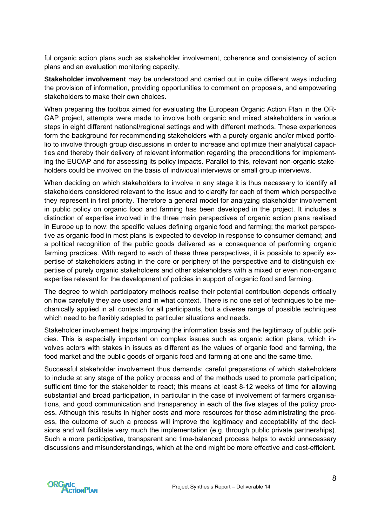ful organic action plans such as stakeholder involvement, coherence and consistency of action plans and an evaluation monitoring capacity.

**Stakeholder involvement** may be understood and carried out in quite different ways including the provision of information, providing opportunities to comment on proposals, and empowering stakeholders to make their own choices.

When preparing the toolbox aimed for evaluating the European Organic Action Plan in the OR-GAP project, attempts were made to involve both organic and mixed stakeholders in various steps in eight different national/regional settings and with different methods. These experiences form the background for recommending stakeholders with a purely organic and/or mixed portfolio to involve through group discussions in order to increase and optimize their analytical capacities and thereby their delivery of relevant information regarding the preconditions for implementing the EUOAP and for assessing its policy impacts. Parallel to this, relevant non-organic stakeholders could be involved on the basis of individual interviews or small group interviews.

When deciding on which stakeholders to involve in any stage it is thus necessary to identify all stakeholders considered relevant to the issue and to clarqify for each of them which perspective they represent in first priority. Therefore a general model for analyzing stakeholder involvement in public policy on organic food and farming has been developed in the project. It includes a distinction of expertise involved in the three main perspectives of organic action plans realised in Europe up to now: the specific values defining organic food and farming; the market perspective as organic food in most plans is expected to develop in response to consumer demand; and a political recognition of the public goods delivered as a consequence of performing organic farming practices. With regard to each of these three perspectives, it is possible to specify expertise of stakeholders acting in the core or periphery of the perspective and to distinguish expertise of purely organic stakeholders and other stakeholders with a mixed or even non-organic expertise relevant for the development of policies in support of organic food and farming.

The degree to which participatory methods realise their potential contribution depends critically on how carefully they are used and in what context. There is no one set of techniques to be mechanically applied in all contexts for all participants, but a diverse range of possible techniques which need to be flexibly adapted to particular situations and needs.

Stakeholder involvement helps improving the information basis and the legitimacy of public policies. This is especially important on complex issues such as organic action plans, which involves actors with stakes in issues as different as the values of organic food and farming, the food market and the public goods of organic food and farming at one and the same time.

Successful stakeholder involvement thus demands: careful preparations of which stakeholders to include at any stage of the policy process and of the methods used to promote participation; sufficient time for the stakeholder to react; this means at least 8-12 weeks of time for allowing substantial and broad participation, in particular in the case of involvement of farmers organisations, and good communication and transparency in each of the five stages of the policy process. Although this results in higher costs and more resources for those administrating the process, the outcome of such a process will improve the legitimacy and acceptability of the decisions and will facilitate very much the implementation (e.g. through public private partnerships). Such a more participative, transparent and time-balanced process helps to avoid unnecessary discussions and misunderstandings, which at the end might be more effective and cost-efficient.

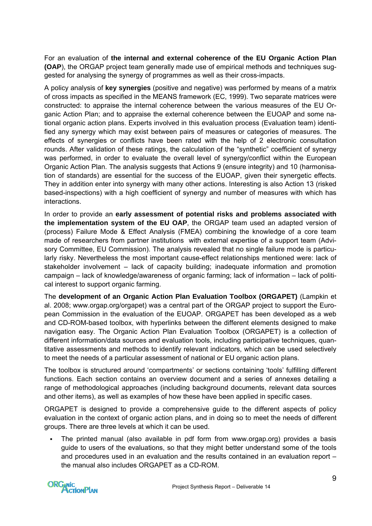For an evaluation of **the internal and external coherence of the EU Organic Action Plan (OAP**), the ORGAP project team generally made use of empirical methods and techniques suggested for analysing the synergy of programmes as well as their cross-impacts.

A policy analysis of **key synergies** (positive and negative) was performed by means of a matrix of cross impacts as specified in the MEANS framework (EC, 1999). Two separate matrices were constructed: to appraise the internal coherence between the various measures of the EU Organic Action Plan; and to appraise the external coherence between the EUOAP and some national organic action plans. Experts involved in this evaluation process (Evaluation team) identified any synergy which may exist between pairs of measures or categories of measures. The effects of synergies or conflicts have been rated with the help of 2 electronic consultation rounds. After validation of these ratings, the calculation of the "synthetic" coefficient of synergy was performed, in order to evaluate the overall level of synergy/conflict within the European Organic Action Plan. The analysis suggests that Actions 9 (ensure integrity) and 10 (harmonisation of standards) are essential for the success of the EUOAP, given their synergetic effects. They in addition enter into synergy with many other actions. Interesting is also Action 13 (risked based-inspections) with a high coefficient of synergy and number of measures with which has interactions.

In order to provide an **early assessment of potential risks and problems associated with the implementation system of the EU OAP**, the ORGAP team used an adapted version of (process) Failure Mode & Effect Analysis (FMEA) combining the knowledge of a core team made of researchers from partner institutions with external expertise of a support team (Advisory Committee, EU Commission). The analysis revealed that no single failure mode is particularly risky. Nevertheless the most important cause-effect relationships mentioned were: lack of stakeholder involvement – lack of capacity building; inadequate information and promotion campaign – lack of knowledge/awareness of organic farming; lack of information – lack of political interest to support organic farming.

The **development of an Organic Action Plan Evaluation Toolbox (ORGAPET)** (Lampkin et al. 2008; [www.orgap.org/orgapet](http://www.orgap.org/orgapet)) was a central part of the ORGAP project to support the European Commission in the evaluation of the EUOAP. ORGAPET has been developed as a web and CD-ROM-based toolbox, with hyperlinks between the different elements designed to make navigation easy. The Organic Action Plan Evaluation Toolbox (ORGAPET) is a collection of different information/data sources and evaluation tools, including participative techniques, quantitative assessments and methods to identify relevant indicators, which can be used selectively to meet the needs of a particular assessment of national or EU organic action plans.

The toolbox is structured around 'compartments' or sections containing 'tools' fulfilling different functions. Each section contains an overview document and a series of annexes detailing a range of methodological approaches (including background documents, relevant data sources and other items), as well as examples of how these have been applied in specific cases.

ORGAPET is designed to provide a comprehensive guide to the different aspects of policy evaluation in the context of organic action plans, and in doing so to meet the needs of different groups. There are three levels at which it can be used.

 The printed manual (also available in pdf form from www.orgap.org) provides a basis guide to users of the evaluations, so that they might better understand some of the tools and procedures used in an evaluation and the results contained in an evaluation report – the manual also includes ORGAPET as a CD-ROM.

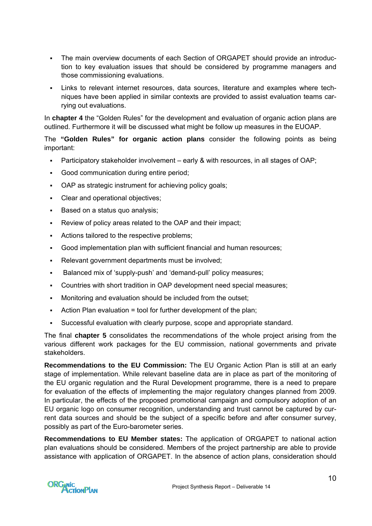- The main overview documents of each Section of ORGAPET should provide an introduction to key evaluation issues that should be considered by programme managers and those commissioning evaluations.
- Links to relevant internet resources, data sources, literature and examples where techniques have been applied in similar contexts are provided to assist evaluation teams carrying out evaluations.

In **chapter 4** the "Golden Rules" for the development and evaluation of organic action plans are outlined. Furthermore it will be discussed what might be follow up measures in the EUOAP.

The **"Golden Rules" for organic action plans** consider the following points as being important:

- Participatory stakeholder involvement early & with resources, in all stages of OAP;
- Good communication during entire period;
- OAP as strategic instrument for achieving policy goals;
- Clear and operational objectives;
- Based on a status quo analysis:
- Review of policy areas related to the OAP and their impact;
- Actions tailored to the respective problems;
- Good implementation plan with sufficient financial and human resources;
- Relevant government departments must be involved;
- Balanced mix of 'supply-push' and 'demand-pull' policy measures;
- Countries with short tradition in OAP development need special measures;
- Monitoring and evaluation should be included from the outset;
- Action Plan evaluation = tool for further development of the plan;
- Successful evaluation with clearly purpose, scope and appropriate standard.

The final **chapter 5** consolidates the recommendations of the whole project arising from the various different work packages for the EU commission, national governments and private stakeholders.

**Recommendations to the EU Commission:** The EU Organic Action Plan is still at an early stage of implementation. While relevant baseline data are in place as part of the monitoring of the EU organic regulation and the Rural Development programme, there is a need to prepare for evaluation of the effects of implementing the major regulatory changes planned from 2009. In particular, the effects of the proposed promotional campaign and compulsory adoption of an EU organic logo on consumer recognition, understanding and trust cannot be captured by current data sources and should be the subject of a specific before and after consumer survey, possibly as part of the Euro-barometer series.

**Recommendations to EU Member states:** The application of ORGAPET to national action plan evaluations should be considered. Members of the project partnership are able to provide assistance with application of ORGAPET. In the absence of action plans, consideration should

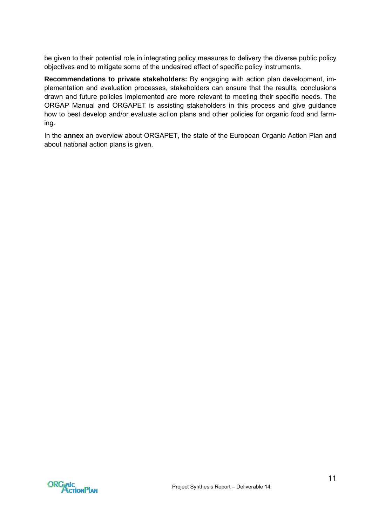be given to their potential role in integrating policy measures to delivery the diverse public policy objectives and to mitigate some of the undesired effect of specific policy instruments.

**Recommendations to private stakeholders:** By engaging with action plan development, implementation and evaluation processes, stakeholders can ensure that the results, conclusions drawn and future policies implemented are more relevant to meeting their specific needs. The ORGAP Manual and ORGAPET is assisting stakeholders in this process and give guidance how to best develop and/or evaluate action plans and other policies for organic food and farming.

In the **annex** an overview about ORGAPET, the state of the European Organic Action Plan and about national action plans is given.

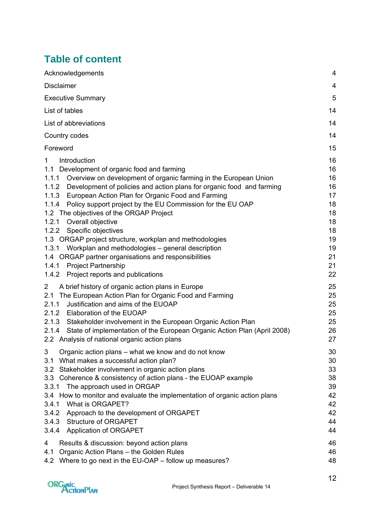# **Table of content**

| Acknowledgements                                                                                                                                                                                                                                                                                                                                                                                                                                                                                                                                                                                                                                                                                                                   | 4                                                                                |
|------------------------------------------------------------------------------------------------------------------------------------------------------------------------------------------------------------------------------------------------------------------------------------------------------------------------------------------------------------------------------------------------------------------------------------------------------------------------------------------------------------------------------------------------------------------------------------------------------------------------------------------------------------------------------------------------------------------------------------|----------------------------------------------------------------------------------|
| <b>Disclaimer</b>                                                                                                                                                                                                                                                                                                                                                                                                                                                                                                                                                                                                                                                                                                                  | 4                                                                                |
| <b>Executive Summary</b>                                                                                                                                                                                                                                                                                                                                                                                                                                                                                                                                                                                                                                                                                                           | 5                                                                                |
| List of tables                                                                                                                                                                                                                                                                                                                                                                                                                                                                                                                                                                                                                                                                                                                     | 14                                                                               |
| List of abbreviations                                                                                                                                                                                                                                                                                                                                                                                                                                                                                                                                                                                                                                                                                                              | 14                                                                               |
| Country codes                                                                                                                                                                                                                                                                                                                                                                                                                                                                                                                                                                                                                                                                                                                      | 14                                                                               |
| Foreword                                                                                                                                                                                                                                                                                                                                                                                                                                                                                                                                                                                                                                                                                                                           | 15                                                                               |
| $\mathbf 1$<br>Introduction<br>1.1 Development of organic food and farming<br>1.1.1 Overview on development of organic farming in the European Union<br>1.1.2 Development of policies and action plans for organic food and farming<br>1.1.3 European Action Plan for Organic Food and Farming<br>1.1.4 Policy support project by the EU Commission for the EU OAP<br>1.2 The objectives of the ORGAP Project<br>1.2.1<br>Overall objective<br>Specific objectives<br>1.2.2<br>1.3 ORGAP project structure, workplan and methodologies<br>1.3.1<br>Workplan and methodologies - general description<br>1.4 ORGAP partner organisations and responsibilities<br>1.4.1 Project Partnership<br>1.4.2 Project reports and publications | 16<br>16<br>16<br>16<br>17<br>18<br>18<br>18<br>18<br>19<br>19<br>21<br>21<br>22 |
| $\overline{2}$<br>A brief history of organic action plans in Europe<br>The European Action Plan for Organic Food and Farming<br>2.1<br>Justification and aims of the EUOAP<br>2.1.1<br>2.1.2 Elaboration of the EUOAP<br>2.1.3 Stakeholder involvement in the European Organic Action Plan<br>2.1.4<br>State of implementation of the European Organic Action Plan (April 2008)<br>2.2 Analysis of national organic action plans                                                                                                                                                                                                                                                                                                   | 25<br>25<br>25<br>25<br>25<br>26<br>27                                           |
| 3<br>Organic action plans – what we know and do not know<br>What makes a successful action plan?<br>3.1<br>Stakeholder involvement in organic action plans<br>3.2<br>3.3 Coherence & consistency of action plans - the EUOAP example<br>3.3.1<br>The approach used in ORGAP<br>3.4 How to monitor and evaluate the implementation of organic action plans<br>What is ORGAPET?<br>3.4.1<br>3.4.2 Approach to the development of ORGAPET<br>3.4.3 Structure of ORGAPET<br>3.4.4 Application of ORGAPET                                                                                                                                                                                                                               | 30<br>30<br>33<br>38<br>39<br>42<br>42<br>42<br>44<br>44                         |
| Results & discussion: beyond action plans<br>4<br>Organic Action Plans - the Golden Rules<br>4.1<br>4.2 Where to go next in the EU-OAP - follow up measures?                                                                                                                                                                                                                                                                                                                                                                                                                                                                                                                                                                       | 46<br>46<br>48                                                                   |



12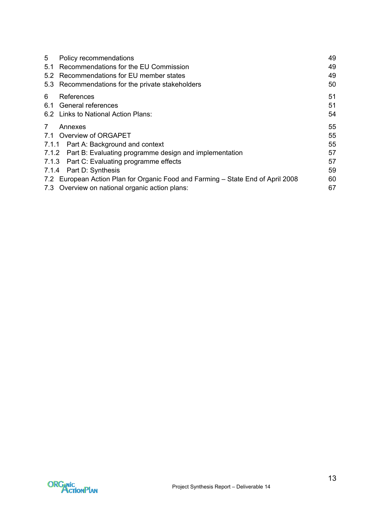| 5              | Policy recommendations                                                          | 49 |
|----------------|---------------------------------------------------------------------------------|----|
| 5.1            | Recommendations for the EU Commission                                           | 49 |
| 5.2            | Recommendations for EU member states                                            | 49 |
|                | 5.3 Recommendations for the private stakeholders                                | 50 |
| 6              | References                                                                      | 51 |
|                | 6.1 General references                                                          | 51 |
|                | 6.2 Links to National Action Plans:                                             | 54 |
| $\overline{7}$ | Annexes                                                                         | 55 |
|                | 7.1 Overview of ORGAPET                                                         | 55 |
|                | 7.1.1 Part A: Background and context                                            | 55 |
|                | 7.1.2 Part B: Evaluating programme design and implementation                    | 57 |
|                | 7.1.3 Part C: Evaluating programme effects                                      | 57 |
|                | 7.1.4 Part D: Synthesis                                                         | 59 |
|                | 7.2 European Action Plan for Organic Food and Farming - State End of April 2008 | 60 |
|                | 7.3 Overview on national organic action plans:                                  | 67 |

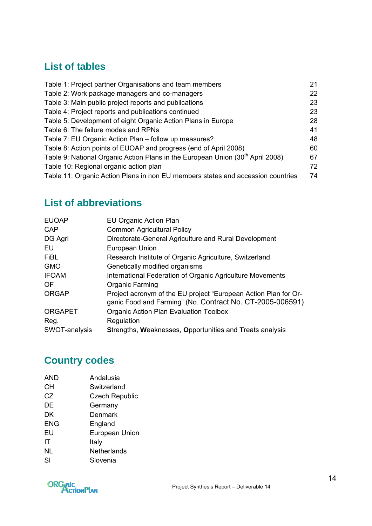# <span id="page-13-0"></span>**List of tables**

| Table 1: Project partner Organisations and team members                                    | 21 |
|--------------------------------------------------------------------------------------------|----|
| Table 2: Work package managers and co-managers                                             | 22 |
| Table 3: Main public project reports and publications                                      | 23 |
| Table 4: Project reports and publications continued                                        | 23 |
| Table 5: Development of eight Organic Action Plans in Europe                               | 28 |
| Table 6: The failure modes and RPNs                                                        | 41 |
| Table 7: EU Organic Action Plan - follow up measures?                                      | 48 |
| Table 8: Action points of EUOAP and progress (end of April 2008)                           | 60 |
| Table 9: National Organic Action Plans in the European Union (30 <sup>th</sup> April 2008) | 67 |
| Table 10: Regional organic action plan                                                     | 72 |
| Table 11: Organic Action Plans in non EU members states and accession countries            | 74 |

# **List of abbreviations**

| <b>EUOAP</b>   | EU Organic Action Plan                                                                                                       |
|----------------|------------------------------------------------------------------------------------------------------------------------------|
| CAP            | <b>Common Agricultural Policy</b>                                                                                            |
| DG Agri        | Directorate-General Agriculture and Rural Development                                                                        |
| EU             | European Union                                                                                                               |
| <b>FiBL</b>    | Research Institute of Organic Agriculture, Switzerland                                                                       |
| <b>GMO</b>     | Genetically modified organisms                                                                                               |
| <b>IFOAM</b>   | International Federation of Organic Agriculture Movements                                                                    |
| <b>OF</b>      | Organic Farming                                                                                                              |
| <b>ORGAP</b>   | Project acronym of the EU project "European Action Plan for Or-<br>ganic Food and Farming" (No. Contract No. CT-2005-006591) |
| <b>ORGAPET</b> | Organic Action Plan Evaluation Toolbox                                                                                       |
| Reg.           | Regulation                                                                                                                   |
| SWOT-analysis  | Strengths, Weaknesses, Opportunities and Treats analysis                                                                     |
|                |                                                                                                                              |

# **Country codes**

| <b>AND</b> | Andalusia             |
|------------|-----------------------|
| CН         | Switzerland           |
| CZ         | <b>Czech Republic</b> |
| DE         | Germany               |
| <b>DK</b>  | Denmark               |
| <b>ENG</b> | England               |
| EU         | European Union        |
| ΙT         | Italy                 |
| NL         | <b>Netherlands</b>    |
| SI         | Slovenia              |
|            |                       |

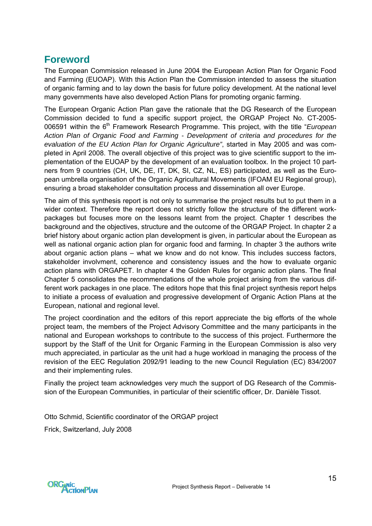# <span id="page-14-0"></span>**Foreword**

The European Commission released in June 2004 the European Action Plan for Organic Food and Farming (EUOAP). With this Action Plan the Commission intended to assess the situation of organic farming and to lay down the basis for future policy development. At the national level many governments have also developed Action Plans for promoting organic farming.

The European Organic Action Plan gave the rationale that the DG Research of the European Commission decided to fund a specific support project, the ORGAP Project No. CT-2005- 006591 within the 6<sup>th</sup> Framework Research Programme. This project, with the title "*European Action Plan of Organic Food and Farming - Development of criteria and procedures for the evaluation of the EU Action Plan for Organic Agriculture"*, started in May 2005 and was completed in April 2008. The overall objective of this project was to give scientific support to the implementation of the EUOAP by the development of an evaluation toolbox. In the project 10 partners from 9 countries (CH, UK, DE, IT, DK, SI, CZ, NL, ES) participated, as well as the European umbrella organisation of the Organic Agricultural Movements (IFOAM EU Regional group), ensuring a broad stakeholder consultation process and dissemination all over Europe.

The aim of this synthesis report is not only to summarise the project results but to put them in a wider context. Therefore the report does not strictly follow the structure of the different workpackages but focuses more on the lessons learnt from the project. Chapter 1 describes the background and the objectives, structure and the outcome of the ORGAP Project. In chapter 2 a brief history about organic action plan development is given, in particular about the European as well as national organic action plan for organic food and farming. In chapter 3 the authors write about organic action plans – what we know and do not know. This includes success factors, stakeholder involvment, coherence and consistency issues and the how to evaluate organic action plans with ORGAPET. In chapter 4 the Golden Rules for organic action plans. The final Chapter 5 consolidates the recommendations of the whole project arising from the various different work packages in one place. The editors hope that this final project synthesis report helps to initiate a process of evaluation and progressive development of Organic Action Plans at the European, national and regional level.

The project coordination and the editors of this report appreciate the big efforts of the whole project team, the members of the Project Advisory Committee and the many participants in the national and European workshops to contribute to the success of this project. Furthermore the support by the Staff of the Unit for Organic Farming in the European Commission is also very much appreciated, in particular as the unit had a huge workload in managing the process of the revision of the EEC Regulation 2092/91 leading to the new Council Regulation (EC) 834/2007 and their implementing rules.

Finally the project team acknowledges very much the support of DG Research of the Commission of the European Communities, in particular of their scientific officer, Dr. Danièle Tissot.

Otto Schmid, Scientific coordinator of the ORGAP project

Frick, Switzerland, July 2008

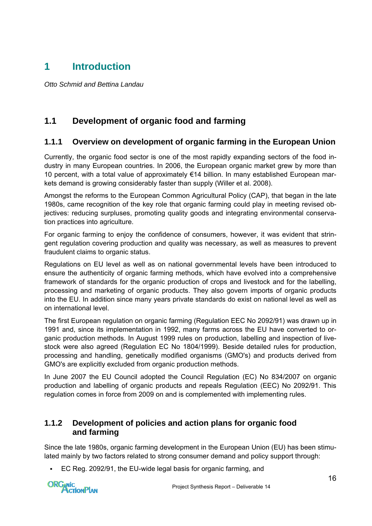# <span id="page-15-0"></span>**1 Introduction**

*Otto Schmid and Bettina Landau* 

# **1.1 Development of organic food and farming**

### **1.1.1 Overview on development of organic farming in the European Union**

Currently, the organic food sector is one of the most rapidly expanding sectors of the food industry in many European countries. In 2006, the European organic market grew by more than 10 percent, with a total value of approximately €14 billion. In many established European markets demand is growing considerably faster than supply (Willer et al. 2008).

Amongst the reforms to the European Common Agricultural Policy (CAP), that began in the late 1980s, came recognition of the key role that organic farming could play in meeting revised objectives: reducing surpluses, promoting quality goods and integrating environmental conservation practices into agriculture.

For organic farming to enjoy the confidence of consumers, however, it was evident that stringent regulation covering production and quality was necessary, as well as measures to prevent fraudulent claims to organic status.

Regulations on EU level as well as on national governmental levels have been introduced to ensure the authenticity of organic farming methods, which have evolved into a comprehensive framework of standards for the organic production of crops and livestock and for the labelling, processing and marketing of organic products. They also govern imports of organic products into the EU. In addition since many years private standards do exist on national level as well as on international level.

The first European regulation on organic farming (Regulation EEC No 2092/91) was drawn up in 1991 and, since its implementation in 1992, many farms across the EU have converted to organic production methods. In August 1999 rules on production, labelling and inspection of livestock were also agreed (Regulation EC No 1804/1999). Beside detailed rules for production, processing and handling, genetically modified organisms (GMO's) and products derived from GMO's are explicitly excluded from organic production methods.

In June 2007 the EU Council adopted the Council Regulation (EC) No 834/2007 on organic production and labelling of organic products and repeals Regulation (EEC) No 2092/91. This regulation comes in force from 2009 on and is complemented with implementing rules.

### **1.1.2 Development of policies and action plans for organic food and farming**

Since the late 1980s, organic farming development in the European Union (EU) has been stimulated mainly by two factors related to strong consumer demand and policy support through:

EC Reg. 2092/91, the EU-wide legal basis for organic farming, and

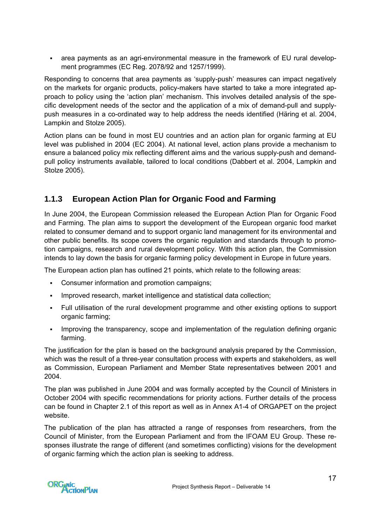<span id="page-16-0"></span> area payments as an agri-environmental measure in the framework of EU rural development programmes (EC Reg. 2078/92 and 1257/1999).

Responding to concerns that area payments as 'supply-push' measures can impact negatively on the markets for organic products, policy-makers have started to take a more integrated approach to policy using the 'action plan' mechanism. This involves detailed analysis of the specific development needs of the sector and the application of a mix of demand-pull and supplypush measures in a co-ordinated way to help address the needs identified (Häring et al. 2004, Lampkin and Stolze 2005).

Action plans can be found in most EU countries and an action plan for organic farming at EU level was published in 2004 (EC 2004). At national level, action plans provide a mechanism to ensure a balanced policy mix reflecting different aims and the various supply-push and demandpull policy instruments available, tailored to local conditions (Dabbert et al. 2004, Lampkin and Stolze 2005).

### **1.1.3 European Action Plan for Organic Food and Farming**

In June 2004, the European Commission released the [European Action Plan for Organic Food](http://europa.eu.int/comm/agriculture/qual/organic/plan/index_en.htm)  [and Farming.](http://europa.eu.int/comm/agriculture/qual/organic/plan/index_en.htm) The plan aims to support the development of the European organic food market related to consumer demand and to support organic land management for its environmental and other public benefits. Its scope covers the organic regulation and standards through to promotion campaigns, research and rural development policy. With this action plan, the Commission intends to lay down the basis for organic farming policy development in Europe in future years.

The European action plan has outlined 21 points, which relate to the following areas:

- Consumer information and promotion campaigns;
- Improved research, market intelligence and statistical data collection;
- Full utilisation of the rural development programme and other existing options to support organic farming;
- Improving the transparency, scope and implementation of the regulation defining organic farming.

The justification for the plan is based on the background analysis prepared by the Commission, which was the result of a three-year consultation process with experts and stakeholders, as well as Commission, European Parliament and Member State representatives between 2001 and 2004.

The plan was published in June 2004 and was formally accepted by the Council of Ministers in October 2004 with specific recommendations for priority actions. Further details of the process can be found in Chapter 2.1 of this report as well as in Annex A1-4 of ORGAPET on the project website.

The publication of the plan has attracted a range of responses from researchers, from the Council of Minister, from the European Parliament and from the IFOAM EU Group. These responses illustrate the range of different (and sometimes conflicting) visions for the development of organic farming which the action plan is seeking to address.

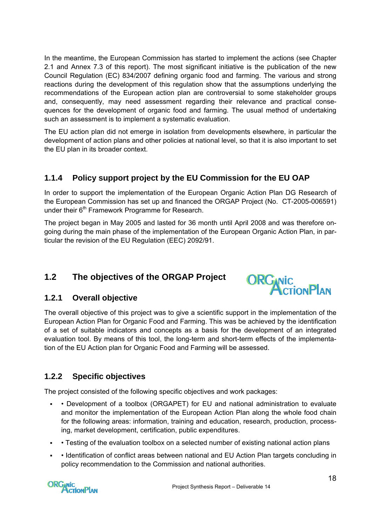<span id="page-17-0"></span>In the meantime, the European Commission has started to implement the actions (see Chapter 2.1 and Annex 7.3 of this report). The most significant initiative is the publication of the new Council Regulation (EC) 834/2007 defining organic food and farming. The various and strong reactions during the development of this regulation show that the assumptions underlying the recommendations of the European action plan are controversial to some stakeholder groups and, consequently, may need assessment regarding their relevance and practical consequences for the development of organic food and farming. The usual method of undertaking such an assessment is to implement a systematic evaluation.

The EU action plan did not emerge in isolation from developments elsewhere, in particular the development of action plans and other policies at national level, so that it is also important to set the EU plan in its broader context.

# **1.1.4 Policy support project by the EU Commission for the EU OAP**

In order to support the implementation of the European Organic Action Plan DG Research of the European Commission has set up and financed the ORGAP Project (No. CT-2005-006591) under their  $6<sup>th</sup>$  Framework Programme for Research.

The project began in May 2005 and lasted for 36 month until April 2008 and was therefore ongoing during the main phase of the implementation of the European Organic Action Plan, in particular the revision of the EU Regulation (EEC) 2092/91.

# **1.2 The objectives of the ORGAP Project**



### **1.2.1 Overall objective**

The overall objective of this project was to give a scientific support in the implementation of the European Action Plan for Organic Food and Farming. This was be achieved by the identification of a set of suitable indicators and concepts as a basis for the development of an integrated evaluation tool. By means of this tool, the long-term and short-term effects of the implementation of the EU Action plan for Organic Food and Farming will be assessed.

### **1.2.2 Specific objectives**

The project consisted of the following specific objectives and work packages:

- • Development of a toolbox (ORGAPET) for EU and national administration to evaluate and monitor the implementation of the European Action Plan along the whole food chain for the following areas: information, training and education, research, production, processing, market development, certification, public expenditures.
- • Testing of the evaluation toolbox on a selected number of existing national action plans
- Identification of conflict areas between national and EU Action Plan targets concluding in policy recommendation to the Commission and national authorities.

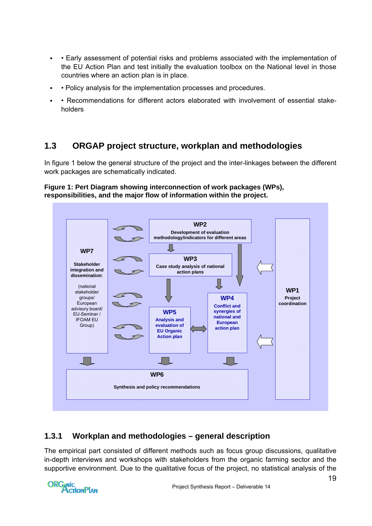- <span id="page-18-0"></span> • Early assessment of potential risks and problems associated with the implementation of the EU Action Plan and test initially the evaluation toolbox on the National level in those countries where an action plan is in place.
- Policy analysis for the implementation processes and procedures.
- Recommendations for different actors elaborated with involvement of essential stakeholders

# **1.3 ORGAP project structure, workplan and methodologies**

In figure 1 below the general structure of the project and the inter-linkages between the different work packages are schematically indicated.

#### **Figure 1: Pert Diagram showing interconnection of work packages (WPs), responsibilities, and the major flow of information within the project.**



### **1.3.1 Workplan and methodologies – general description**

The empirical part consisted of different methods such as focus group discussions, qualitative in-depth interviews and workshops with stakeholders from the organic farming sector and the supportive environment. Due to the qualitative focus of the project, no statistical analysis of the

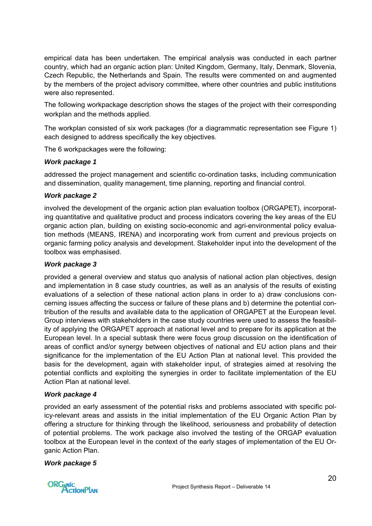empirical data has been undertaken. The empirical analysis was conducted in each partner country, which had an organic action plan: United Kingdom, Germany, Italy, Denmark, Slovenia, Czech Republic, the Netherlands and Spain. The results were commented on and augmented by the members of the project advisory committee, where other countries and public institutions were also represented.

The following workpackage description shows the stages of the project with their corresponding workplan and the methods applied.

The workplan consisted of six work packages (for a diagrammatic representation see Figure 1) each designed to address specifically the key objectives.

The 6 workpackages were the following:

#### *Work package 1*

addressed the project management and scientific co-ordination tasks, including communication and dissemination, quality management, time planning, reporting and financial control.

#### *Work package 2*

involved the development of the organic action plan evaluation toolbox (ORGAPET), incorporating quantitative and qualitative product and process indicators covering the key areas of the EU organic action plan, building on existing socio-economic and agri-environmental policy evaluation methods (MEANS, IRENA) and incorporating work from current and previous projects on organic farming policy analysis and development. Stakeholder input into the development of the toolbox was emphasised.

#### *Work package 3*

provided a general overview and status quo analysis of national action plan objectives, design and implementation in 8 case study countries, as well as an analysis of the results of existing evaluations of a selection of these national action plans in order to a) draw conclusions concerning issues affecting the success or failure of these plans and b) determine the potential contribution of the results and available data to the application of ORGAPET at the European level. Group interviews with stakeholders in the case study countries were used to assess the feasibility of applying the ORGAPET approach at national level and to prepare for its application at the European level. In a special subtask there were focus group discussion on the identification of areas of conflict and/or synergy between objectives of national and EU action plans and their significance for the implementation of the EU Action Plan at national level. This provided the basis for the development, again with stakeholder input, of strategies aimed at resolving the potential conflicts and exploiting the synergies in order to facilitate implementation of the EU Action Plan at national level.

#### *Work package 4*

provided an early assessment of the potential risks and problems associated with specific policy-relevant areas and assists in the initial implementation of the EU Organic Action Plan by offering a structure for thinking through the likelihood, seriousness and probability of detection of potential problems. The work package also involved the testing of the ORGAP evaluation toolbox at the European level in the context of the early stages of implementation of the EU Organic Action Plan.

#### *Work package 5*

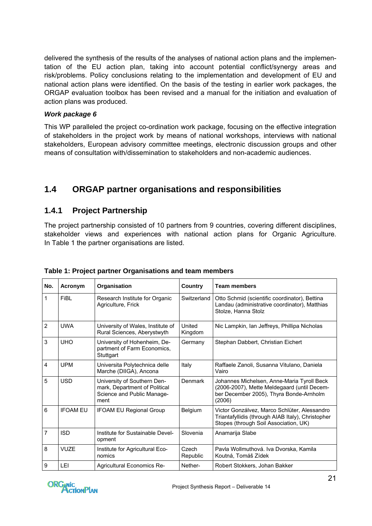<span id="page-20-0"></span>delivered the synthesis of the results of the analyses of national action plans and the implementation of the EU action plan, taking into account potential conflict/synergy areas and risk/problems. Policy conclusions relating to the implementation and development of EU and national action plans were identified. On the basis of the testing in earlier work packages, the ORGAP evaluation toolbox has been revised and a manual for the initiation and evaluation of action plans was produced.

#### *Work package 6*

This WP paralleled the project co-ordination work package, focusing on the effective integration of stakeholders in the project work by means of national workshops, interviews with national stakeholders, European advisory committee meetings, electronic discussion groups and other means of consultation with/dissemination to stakeholders and non-academic audiences.

# **1.4 ORGAP partner organisations and responsibilities**

### **1.4.1 Project Partnership**

The project partnership consisted of 10 partners from 9 countries, covering different disciplines, stakeholder views and experiences with national action plans for Organic Agriculture. In Table 1 the partner organisations are listed.

| No.                     | Acronym         | Organisation                                                                                       | <b>Country</b>    | <b>Team members</b>                                                                                                                            |  |  |
|-------------------------|-----------------|----------------------------------------------------------------------------------------------------|-------------------|------------------------------------------------------------------------------------------------------------------------------------------------|--|--|
| 1                       | FiBL            | Research Institute for Organic<br>Agriculture, Frick                                               | Switzerland       | Otto Schmid (scientific coordinator), Bettina<br>Landau (administrative coordinator), Matthias<br>Stolze, Hanna Stolz                          |  |  |
| $\overline{2}$          | <b>UWA</b>      | University of Wales, Institute of<br>Rural Sciences, Aberystwyth                                   | United<br>Kingdom | Nic Lampkin, Ian Jeffreys, Phillipa Nicholas                                                                                                   |  |  |
| 3                       | <b>UHO</b>      | University of Hohenheim, De-<br>partment of Farm Economics,<br>Stuttgart                           | Germany           | Stephan Dabbert, Christian Eichert                                                                                                             |  |  |
| $\overline{\mathbf{4}}$ | <b>UPM</b>      | Universita Polytechnica delle<br>Marche (DIIGA), Ancona                                            | Italy             | Raffaele Zanoli, Susanna Vitulano, Daniela<br>Vairo                                                                                            |  |  |
| 5                       | <b>USD</b>      | University of Southern Den-<br>mark, Department of Political<br>Science and Public Manage-<br>ment | Denmark           | Johannes Michelsen, Anne-Maria Tyroll Beck<br>(2006-2007), Mette Meldegaard (until Decem-<br>ber December 2005), Thyra Bonde-Arnholm<br>(2006) |  |  |
| 6                       | <b>IFOAM FU</b> | <b>IFOAM EU Regional Group</b>                                                                     | Belgium           | Victor Gonzálvez, Marco Schlüter, Alessandro<br>Triantafyllidis (through AIAB Italy), Christopher<br>Stopes (through Soil Association, UK)     |  |  |
| 7                       | <b>ISD</b>      | Institute for Sustainable Devel-<br>opment                                                         | Slovenia          | Anamarija Slabe                                                                                                                                |  |  |
| 8                       | <b>VUZE</b>     | Institute for Agricultural Eco-<br>nomics                                                          | Czech<br>Republic | Pavla Wollmuthová. Iva Dvorska, Kamila<br>Koutná, Tomáš Zídek                                                                                  |  |  |
| 9                       | LEI             | <b>Agricultural Economics Re-</b>                                                                  | Nether-           | Robert Stokkers, Johan Bakker                                                                                                                  |  |  |

#### **Table 1: Project partner Organisations and team members**

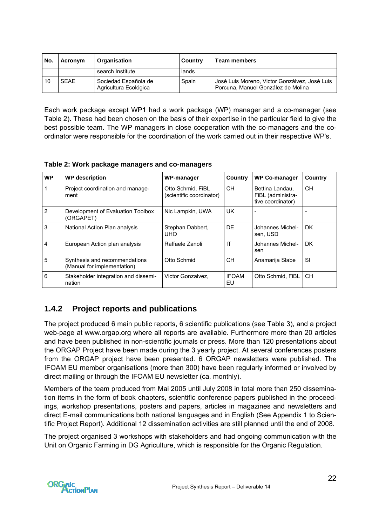<span id="page-21-0"></span>

| No. | Acronym     | Organisation                                  | Country | <b>Team members</b>                                                                 |
|-----|-------------|-----------------------------------------------|---------|-------------------------------------------------------------------------------------|
|     |             | search Institute                              | lands   |                                                                                     |
| 10  | <b>SFAF</b> | Sociedad Española de<br>Agricultura Ecológica | Spain   | José Luis Moreno, Victor Gonzálvez, José Luis<br>Porcuna, Manuel González de Molina |

Each work package except WP1 had a work package (WP) manager and a co-manager (see Table 2). These had been chosen on the basis of their expertise in the particular field to give the best possible team. The WP managers in close cooperation with the co-managers and the coordinator were responsible for the coordination of the work carried out in their respective WP's.

**Table 2: Work package managers and co-managers** 

| <b>WP</b>      | <b>WP</b> description                                        | WP-manager                                    | Country<br><b>WP Co-manager</b> |                                                           | Country   |
|----------------|--------------------------------------------------------------|-----------------------------------------------|---------------------------------|-----------------------------------------------------------|-----------|
|                | Project coordination and manage-<br>ment                     | Otto Schmid. FiBL<br>(scientific coordinator) | CH.                             | Bettina Landau.<br>FiBL (administra-<br>tive coordinator) | CН        |
| $\overline{2}$ | Development of Evaluation Toolbox<br>(ORGAPET)               | Nic Lampkin, UWA                              | UK.                             |                                                           |           |
| 3              | National Action Plan analysis                                | Stephan Dabbert,<br><b>UHO</b>                | DE.                             | Johannes Michel-<br>sen, USD                              | DK.       |
| 4              | European Action plan analysis                                | Raffaele Zanoli                               | IT                              | Johannes Michel-<br>sen                                   | DK.       |
| 5              | Synthesis and recommendations<br>(Manual for implementation) | Otto Schmid                                   | CH.                             | Anamarija Slabe                                           | SI        |
| 6              | Stakeholder integration and dissemi-<br>nation               | Victor Gonzalvez.                             | <b>IFOAM</b><br>EU              | Otto Schmid, FiBL                                         | <b>CH</b> |

# **1.4.2 Project reports and publications**

The project produced 6 main public reports, 6 scientific publications (see Table 3), and a project web-page at [www.orgap.org](http://www.orgap.org/) where all reports are available. Furthermore more than 20 articles and have been published in non-scientific journals or press. More than 120 presentations about the ORGAP Project have been made during the 3 yearly project. At several conferences posters from the ORGAP project have been presented. 6 ORGAP newsletters were published. The IFOAM EU member organisations (more than 300) have been regularly informed or involved by direct mailing or through the IFOAM EU newsletter (ca. monthly).

Members of the team produced from Mai 2005 until July 2008 in total more than 250 dissemination items in the form of book chapters, scientific conference papers published in the proceedings, workshop presentations, posters and papers, articles in magazines and newsletters and direct E-mail communications both national languages and in English (See Appendix 1 to Scientific Project Report). Additional 12 dissemination activities are still planned until the end of 2008.

The project organised 3 workshops with stakeholders and had ongoing communication with the Unit on Organic Farming in DG Agriculture, which is responsible for the Organic Regulation.

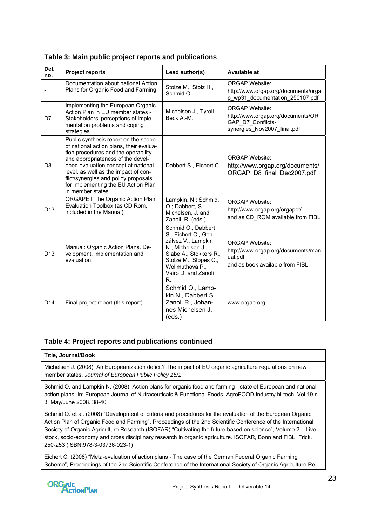| Del.<br>no.     | <b>Project reports</b>                                                                                                                                                                                                                                                                                                                        | Lead author(s)                                                                                                                                                                         | Available at                                                                                                   |
|-----------------|-----------------------------------------------------------------------------------------------------------------------------------------------------------------------------------------------------------------------------------------------------------------------------------------------------------------------------------------------|----------------------------------------------------------------------------------------------------------------------------------------------------------------------------------------|----------------------------------------------------------------------------------------------------------------|
|                 | Documentation about national Action<br>Plans for Organic Food and Farming                                                                                                                                                                                                                                                                     | Stolze M., Stolz H.,<br>Schmid O.                                                                                                                                                      | <b>ORGAP Website:</b><br>http://www.orgap.org/documents/orga<br>p wp31 documentation 250107.pdf                |
| D7              | Implementing the European Organic<br>Action Plan in EU member states -<br>Stakeholders' perceptions of imple-<br>mentation problems and coping<br>strategies                                                                                                                                                                                  | Michelsen J., Tyroll<br>Beck A.-M.                                                                                                                                                     | <b>ORGAP Website:</b><br>http://www.orgap.org/documents/OR<br>GAP D7 Conflicts-<br>synergies Nov2007 final.pdf |
| D <sub>8</sub>  | Public synthesis report on the scope<br>of national action plans, their evalua-<br>tion procedures and the operability<br>and appropriateness of the devel-<br>oped evaluation concept at national<br>level, as well as the impact of con-<br>flict/synergies and policy proposals<br>for implementing the EU Action Plan<br>in member states | Dabbert S., Eichert C.                                                                                                                                                                 | <b>ORGAP Website:</b><br>http://www.orgap.org/documents/<br>ORGAP D8 final Dec2007.pdf                         |
| D <sub>13</sub> | ORGAPET The Organic Action Plan<br>Evaluation Toolbox (as CD Rom,<br>included in the Manual)                                                                                                                                                                                                                                                  | Lampkin, N.; Schmid,<br>O.; Dabbert, S.;<br>Michelsen, J. and<br>Zanoli, R. (eds.)                                                                                                     | <b>ORGAP Website:</b><br>http://www.orgap.org/orgapet/<br>and as CD ROM available from FIBL                    |
| D <sub>13</sub> | Manual: Organic Action Plans. De-<br>velopment, implementation and<br>evaluation                                                                                                                                                                                                                                                              | Schmid O., Dabbert<br>S., Eichert C., Gon-<br>zálvez V., Lampkin<br>N., Michelsen J.,<br>Slabe A., Stokkers R.,<br>Stolze M., Stopes C.,<br>Wollmuthová P<br>Vairo D. and Zanoli<br>R. | <b>ORGAP Website:</b><br>http://www.orgap.org/documents/man<br>ual.pdf<br>and as book available from FIBL      |
| D <sub>14</sub> | Final project report (this report)                                                                                                                                                                                                                                                                                                            | Schmid O., Lamp-<br>kin N., Dabbert S.,<br>Zanoli R., Johan-<br>nes Michelsen J.<br>(eds.)                                                                                             | www.orgap.org                                                                                                  |

<span id="page-22-0"></span>**Table 3: Main public project reports and publications** 

#### **Table 4: Project reports and publications continued**

#### **Title, Journal/Book**

Michelsen J. (2008): An Europeanization deficit? The impact of EU organic agriculture regulations on new member states. *Journal of European Public Policy 15/1*.

Schmid O. and Lampkin N. (2008): Action plans for organic food and farming - state of European and national action plans. In: European Journal of Nutraceuticals & Functional Foods. AgroFOOD industry hi-tech, Vol 19 n 3. May/June 2008. 38-40

Schmid O. et al. (2008) "Development of criteria and procedures for the evaluation of the European Organic Action Plan of Organic Food and Farming", Proceedings of the 2nd Scientific Conference of the International Society of Organic Agriculture Research (ISOFAR) "Cultivating the future based on science", Volume 2 – Livestock, socio-economy and cross disciplinary research in organic agriculture. ISOFAR, Bonn and FiBL, Frick. 250-253 (ISBN:978-3-03736-023-1)

Eichert C. (2008) "Meta-evaluation of action plans - The case of the German Federal Organic Farming Scheme", Proceedings of the 2nd Scientific Conference of the International Society of Organic Agriculture Re-

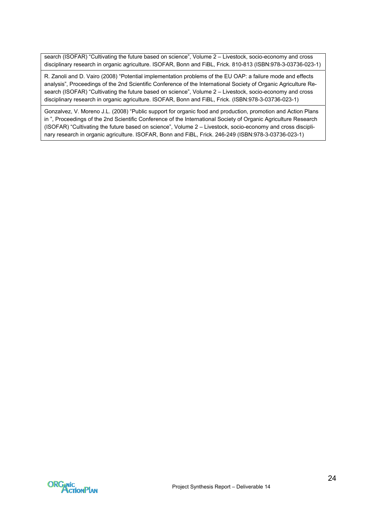search (ISOFAR) "Cultivating the future based on science", Volume 2 – Livestock, socio-economy and cross disciplinary research in organic agriculture. ISOFAR, Bonn and FiBL, Frick. 810-813 (ISBN:978-3-03736-023-1)

R. Zanoli and D. Vairo (2008) "Potential implementation problems of the EU OAP: a failure mode and effects analysis", Proceedings of the 2nd Scientific Conference of the International Society of Organic Agriculture Research (ISOFAR) "Cultivating the future based on science", Volume 2 – Livestock, socio-economy and cross disciplinary research in organic agriculture. ISOFAR, Bonn and FiBL, Frick. (ISBN:978-3-03736-023-1)

Gonzalvez, V. Moreno J.L. (2008) "Public support for organic food and production, promotion and Action Plans in ", Proceedings of the 2nd Scientific Conference of the International Society of Organic Agriculture Research (ISOFAR) "Cultivating the future based on science", Volume 2 – Livestock, socio-economy and cross disciplinary research in organic agriculture. ISOFAR, Bonn and FiBL, Frick. 246-249 (ISBN:978-3-03736-023-1)

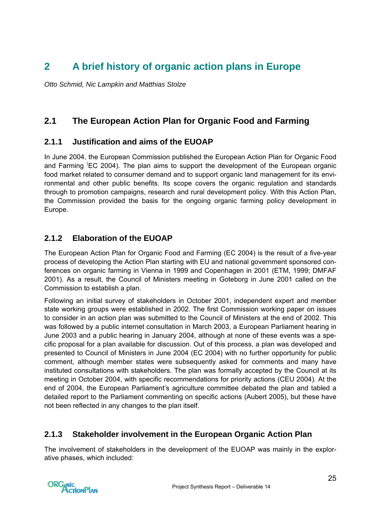# <span id="page-24-0"></span>**2 A brief history of organic action plans in Europe**

*Otto Schmid, Nic Lampkin and Matthias Stolze* 

# **2.1 The European Action Plan for Organic Food and Farming**

### **2.1.1 Justification and aims of the EUOAP**

In June 2004, the European Commission published the European Action Plan for Organic Food and Farming <sup>(</sup>EC 2004). The plan aims to support the development of the European organic food market related to consumer demand and to support organic land management for its environmental and other public benefits. Its scope covers the organic regulation and standards through to promotion campaigns, research and rural development policy. With this Action Plan, the Commission provided the basis for the ongoing organic farming policy development in Europe.

# **2.1.2 Elaboration of the EUOAP**

The European Action Plan for Organic Food and Farming (EC 2004) is the result of a five-year process of developing the Action Plan starting with EU and national government sponsored conferences on organic farming in Vienna in 1999 and Copenhagen in 2001 (ETM, 1999; DMFAF 2001). As a result, the Council of Ministers meeting in Goteborg in June 2001 called on the Commission to establish a plan.

Following an initial survey of stakeholders in October 2001, independent expert and member state working groups were established in 2002. The first Commission working paper on issues to consider in an action plan was submitted to the Council of Ministers at the end of 2002. This was followed by a public internet consultation in March 2003, a European Parliament hearing in June 2003 and a public hearing in January 2004, although at none of these events was a specific proposal for a plan available for discussion. Out of this process, a plan was developed and presented to Council of Ministers in June 2004 (EC 2004) with no further opportunity for public comment, although member states were subsequently asked for comments and many have instituted consultations with stakeholders. The plan was formally accepted by the Council at its meeting in October 2004, with specific recommendations for priority actions (CEU 2004). At the end of 2004, the European Parliament's agriculture committee debated the plan and tabled a detailed report to the Parliament commenting on specific actions (Aubert 2005), but these have not been reflected in any changes to the plan itself.

### **2.1.3 Stakeholder involvement in the European Organic Action Plan**

The involvement of stakeholders in the development of the EUOAP was mainly in the explorative phases, which included:

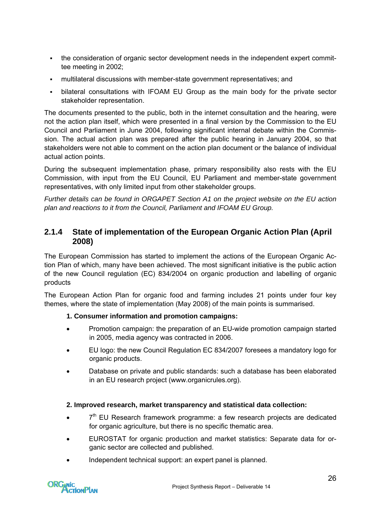- <span id="page-25-0"></span> the consideration of organic sector development needs in the independent expert committee meeting in 2002;
- multilateral discussions with member-state government representatives; and
- bilateral consultations with [IFOAM EU Group](http://www.ifoam.org/about_ifoam/around_world/eu_group/eu_group.html) as the main body for the private sector stakeholder representation.

The documents presented to the public, both in the internet consultation and the hearing, were not the action plan itself, which were presented in a final version by the Commission to the EU Council and Parliament in June 2004, following significant internal debate within the Commission. The actual action plan was prepared after the public hearing in January 2004, so that stakeholders were not able to comment on the action plan document or the balance of individual actual action points.

During the subsequent implementation phase, primary responsibility also rests with the EU Commission, with input from the EU Council, EU Parliament and member-state government representatives, with only limited input from other stakeholder groups.

*Further details can be found in ORGAPET Section A1 on the project website on the EU action plan and reactions to it from the Council, Parliament and IFOAM EU Group.* 

### **2.1.4 State of implementation of the European Organic Action Plan (April 2008)**

The European Commission has started to implement the actions of the European Organic Action Plan of which, many have been achieved. The most significant initiative is the public action of the new Council regulation (EC) 834/2004 on organic production and labelling of organic products

The European Action Plan for organic food and farming includes 21 points under four key themes, where the state of implementation (May 2008) of the main points is summarised.

#### **1. Consumer information and promotion campaigns:**

- Promotion campaign: the preparation of an EU-wide promotion campaign started in 2005, media agency was contracted in 2006.
- EU logo: the new Council Regulation EC 834/2007 foresees a mandatory logo for organic products.
- Database on private and public standards: such a database has been elaborated in an EU research project ([www.organicrules.org\)](http://www.organicrules.org/).

#### **2. Improved research, market transparency and statistical data collection:**

- $\bullet$  7<sup>th</sup> EU Research framework programme: a few research projects are dedicated for organic agriculture, but there is no specific thematic area.
- EUROSTAT for organic production and market statistics: Separate data for organic sector are collected and published.
- Independent technical support: an expert panel is planned.

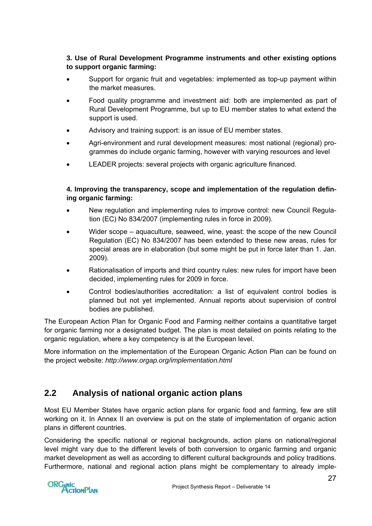#### <span id="page-26-0"></span>**3. Use of Rural Development Programme instruments and other existing options to support organic farming:**

- Support for organic fruit and vegetables: implemented as top-up payment within the market measures.
- Food quality programme and investment aid: both are implemented as part of Rural Development Programme, but up to EU member states to what extend the support is used.
- Advisory and training support: is an issue of EU member states.
- Agri-environment and rural development measures: most national (regional) programmes do include organic farming, however with varying resources and level
- LEADER projects: several projects with organic agriculture financed.

#### **4. Improving the transparency, scope and implementation of the regulation defining organic farming:**

- New regulation and implementing rules to improve control: new Council Regulation (EC) No 834/2007 (implementing rules in force in 2009).
- Wider scope aquaculture, seaweed, wine, yeast: the scope of the new Council Regulation (EC) No 834/2007 has been extended to these new areas, rules for special areas are in elaboration (but some might be put in force later than 1. Jan. 2009).
- Rationalisation of imports and third country rules: new rules for import have been decided, implementing rules for 2009 in force.
- Control bodies/authorities accreditation: a list of equivalent control bodies is planned but not yet implemented. Annual reports about supervision of control bodies are published.

The European Action Plan for Organic Food and Farming neither contains a quantitative target for organic farming nor a designated budget. The plan is most detailed on points relating to the organic regulation, where a key competency is at the European level.

More information on the implementation of the European Organic Action Plan can be found on the project website: *<http://www.orgap.org/implementation.html>*

# **2.2 Analysis of national organic action plans**

Most EU Member States have organic action plans for organic food and farming, few are still working on it. In Annex II an overview is put on the state of implementation of organic action plans in different countries.

Considering the specific national or regional backgrounds, action plans on national/regional level might vary due to the different levels of both conversion to organic farming and organic market development as well as according to different cultural backgrounds and policy traditions. Furthermore, national and regional action plans might be complementary to already imple-

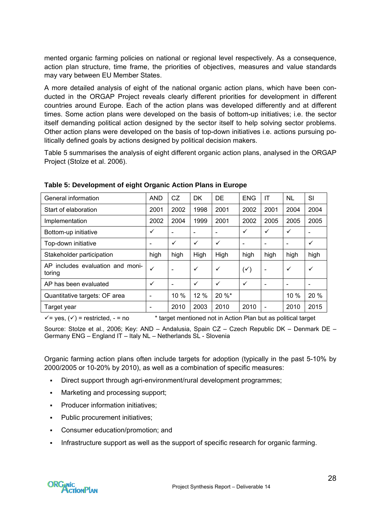<span id="page-27-0"></span>mented organic farming policies on national or regional level respectively. As a consequence, action plan structure, time frame, the priorities of objectives, measures and value standards may vary between EU Member States.

A more detailed analysis of eight of the national organic action plans, which have been conducted in the ORGAP Project reveals clearly different priorities for development in different countries around Europe. Each of the action plans was developed differently and at different times. Some action plans were developed on the basis of bottom-up initiatives; i.e. the sector itself demanding political action designed by the sector itself to help solving sector problems. Other action plans were developed on the basis of top-down initiatives i.e. actions pursuing politically defined goals by actions designed by political decision makers.

Table 5 summarises the analysis of eight different organic action plans, analysed in the ORGAP Project (Stolze et al. 2006).

| General information                        | <b>AND</b>   | <b>CZ</b>      | <b>DK</b>    | <b>DE</b>    | <b>ENG</b>     | IT                       | <b>NL</b> | SI           |
|--------------------------------------------|--------------|----------------|--------------|--------------|----------------|--------------------------|-----------|--------------|
| Start of elaboration                       | 2001         | 2002           | 1998         | 2001         | 2002           | 2001                     | 2004      | 2004         |
| Implementation                             | 2002         | 2004           | 1999         | 2001         | 2002           | 2005                     | 2005      | 2005         |
| Bottom-up initiative                       | ✓            | ۰              | ۰            |              | ✓              | $\checkmark$             | ✓         |              |
| Top-down initiative                        | ۰            | $\checkmark$   | $\checkmark$ | $\checkmark$ |                | ۰                        | ۰         | ✓            |
| Stakeholder participation                  | high         | high           | High         | High         | high           | high                     | high      | high         |
| AP includes evaluation and moni-<br>toring | ✓            |                | $\checkmark$ | $\checkmark$ | $(\checkmark)$ | $\overline{\phantom{a}}$ | ✓         | $\checkmark$ |
| AP has been evaluated                      | $\checkmark$ | $\blacksquare$ | $\checkmark$ | ✓            | $\checkmark$   | $\overline{\phantom{0}}$ | ۰         |              |
| Quantitative targets: OF area              | ۰            | 10 %           | 12 %         | $20 \%$ *    |                |                          | 10 %      | 20 %         |
| Target year                                | ۰            | 2010           | 2003         | 2010         | 2010           |                          | 2010      | 2015         |

**Table 5: Development of eight Organic Action Plans in Europe** 

 $\checkmark$  = yes, ( $\checkmark$ ) = restricted, - = no \* target mentioned not in Action Plan but as political target

Source: Stolze et al., 2006; Key: AND – Andalusia, Spain CZ – Czech Republic DK – Denmark DE – Germany ENG – England IT – Italy NL – Netherlands SL - Slovenia

Organic farming action plans often include targets for adoption (typically in the past 5-10% by 2000/2005 or 10-20% by 2010), as well as a combination of specific measures:

- Direct support through agri-environment/rural development programmes;
- Marketing and processing support;
- Producer information initiatives;
- Public procurement initiatives;
- Consumer education/promotion; and
- Infrastructure support as well as the support of specific research for organic farming.

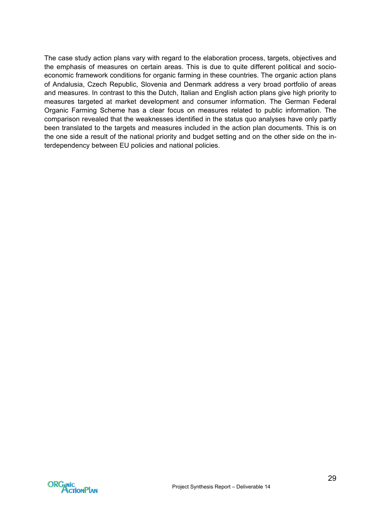The case study action plans vary with regard to the elaboration process, targets, objectives and the emphasis of measures on certain areas. This is due to quite different political and socioeconomic framework conditions for organic farming in these countries. The organic action plans of Andalusia, Czech Republic, Slovenia and Denmark address a very broad portfolio of areas and measures. In contrast to this the Dutch, Italian and English action plans give high priority to measures targeted at market development and consumer information. The German Federal Organic Farming Scheme has a clear focus on measures related to public information. The comparison revealed that the weaknesses identified in the status quo analyses have only partly been translated to the targets and measures included in the action plan documents. This is on the one side a result of the national priority and budget setting and on the other side on the interdependency between EU policies and national policies.

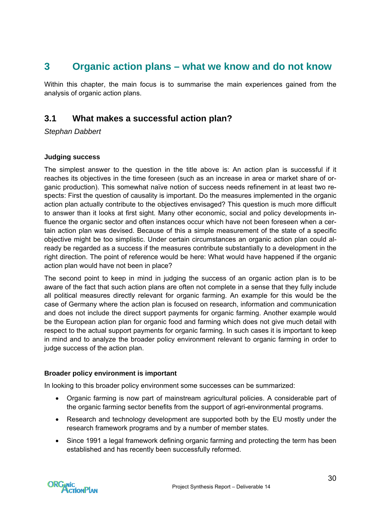# <span id="page-29-0"></span>**3 Organic action plans – what we know and do not know**

Within this chapter, the main focus is to summarise the main experiences gained from the analysis of organic action plans.

### **3.1 What makes a successful action plan?**

*Stephan Dabbert* 

#### **Judging success**

The simplest answer to the question in the title above is: An action plan is successful if it reaches its objectives in the time foreseen (such as an increase in area or market share of organic production). This somewhat naïve notion of success needs refinement in at least two respects: First the question of causality is important. Do the measures implemented in the organic action plan actually contribute to the objectives envisaged? This question is much more difficult to answer than it looks at first sight. Many other economic, social and policy developments influence the organic sector and often instances occur which have not been foreseen when a certain action plan was devised. Because of this a simple measurement of the state of a specific objective might be too simplistic. Under certain circumstances an organic action plan could already be regarded as a success if the measures contribute substantially to a development in the right direction. The point of reference would be here: What would have happened if the organic action plan would have not been in place?

The second point to keep in mind in judging the success of an organic action plan is to be aware of the fact that such action plans are often not complete in a sense that they fully include all political measures directly relevant for organic farming. An example for this would be the case of Germany where the action plan is focused on research, information and communication and does not include the direct support payments for organic farming. Another example would be the European action plan for organic food and farming which does not give much detail with respect to the actual support payments for organic farming. In such cases it is important to keep in mind and to analyze the broader policy environment relevant to organic farming in order to judge success of the action plan.

#### **Broader policy environment is important**

In looking to this broader policy environment some successes can be summarized:

- Organic farming is now part of mainstream agricultural policies. A considerable part of the organic farming sector benefits from the support of agri-environmental programs.
- Research and technology development are supported both by the EU mostly under the research framework programs and by a number of member states.
- Since 1991 a legal framework defining organic farming and protecting the term has been established and has recently been successfully reformed.

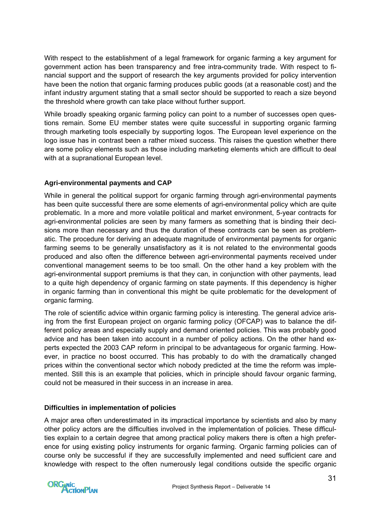With respect to the establishment of a legal framework for organic farming a key argument for government action has been transparency and free intra-community trade. With respect to financial support and the support of research the key arguments provided for policy intervention have been the notion that organic farming produces public goods (at a reasonable cost) and the infant industry argument stating that a small sector should be supported to reach a size beyond the threshold where growth can take place without further support.

While broadly speaking organic farming policy can point to a number of successes open questions remain. Some EU member states were quite successful in supporting organic farming through marketing tools especially by supporting logos. The European level experience on the logo issue has in contrast been a rather mixed success. This raises the question whether there are some policy elements such as those including marketing elements which are difficult to deal with at a supranational European level.

#### **Agri-environmental payments and CAP**

While in general the political support for organic farming through agri-environmental payments has been quite successful there are some elements of agri-environmental policy which are quite problematic. In a more and more volatile political and market environment, 5-year contracts for agri-environmental policies are seen by many farmers as something that is binding their decisions more than necessary and thus the duration of these contracts can be seen as problematic. The procedure for deriving an adequate magnitude of environmental payments for organic farming seems to be generally unsatisfactory as it is not related to the environmental goods produced and also often the difference between agri-environmental payments received under conventional management seems to be too small. On the other hand a key problem with the agri-environmental support premiums is that they can, in conjunction with other payments, lead to a quite high dependency of organic farming on state payments. If this dependency is higher in organic farming than in conventional this might be quite problematic for the development of organic farming.

The role of scientific advice within organic farming policy is interesting. The general advice arising from the first European project on organic farming policy (OFCAP) was to balance the different policy areas and especially supply and demand oriented policies. This was probably good advice and has been taken into account in a number of policy actions. On the other hand experts expected the 2003 CAP reform in principal to be advantageous for organic farming. However, in practice no boost occurred. This has probably to do with the dramatically changed prices within the conventional sector which nobody predicted at the time the reform was implemented. Still this is an example that policies, which in principle should favour organic farming, could not be measured in their success in an increase in area.

#### **Difficulties in implementation of policies**

A major area often underestimated in its impractical importance by scientists and also by many other policy actors are the difficulties involved in the implementation of policies. These difficulties explain to a certain degree that among practical policy makers there is often a high preference for using existing policy instruments for organic farming. Organic farming policies can of course only be successful if they are successfully implemented and need sufficient care and knowledge with respect to the often numerously legal conditions outside the specific organic

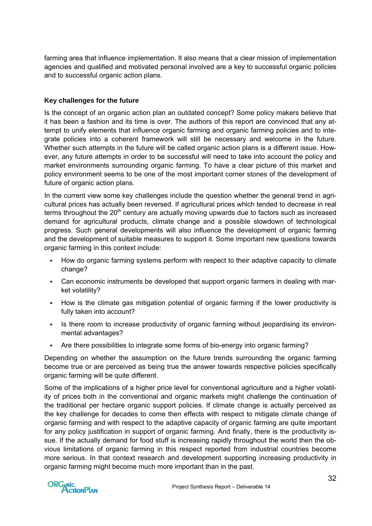farming area that influence implementation. It also means that a clear mission of implementation agencies and qualified and motivated personal involved are a key to successful organic policies and to successful organic action plans.

#### **Key challenges for the future**

Is the concept of an organic action plan an outdated concept? Some policy makers believe that it has been a fashion and its time is over. The authors of this report are convinced that any attempt to unify elements that influence organic farming and organic farming policies and to integrate policies into a coherent framework will still be necessary and welcome in the future. Whether such attempts in the future will be called organic action plans is a different issue. However, any future attempts in order to be successful will need to take into account the policy and market environments surrounding organic farming. To have a clear picture of this market and policy environment seems to be one of the most important corner stones of the development of future of organic action plans.

In the current view some key challenges include the question whether the general trend in agricultural prices has actually been reversed. If agricultural prices which tended to decrease in real terms throughout the  $20<sup>th</sup>$  century are actually moving upwards due to factors such as increased demand for agricultural products, climate change and a possible slowdown of technological progress. Such general developments will also influence the development of organic farming and the development of suitable measures to support it. Some important new questions towards organic farming in this context include:

- How do organic farming systems perform with respect to their adaptive capacity to climate change?
- Can economic instruments be developed that support organic farmers in dealing with market volatility?
- How is the climate gas mitigation potential of organic farming if the lower productivity is fully taken into account?
- Is there room to increase productivity of organic farming without jeopardising its environmental advantages?
- Are there possibilities to integrate some forms of bio-energy into organic farming?

Depending on whether the assumption on the future trends surrounding the organic farming become true or are perceived as being true the answer towards respective policies specifically organic farming will be quite different.

Some of the implications of a higher price level for conventional agriculture and a higher volatility of prices both in the conventional and organic markets might challenge the continuation of the traditional per hectare organic support policies. If climate change is actually perceived as the key challenge for decades to come then effects with respect to mitigate climate change of organic farming and with respect to the adaptive capacity of organic farming are quite important for any policy justification in support of organic farming. And finally, there is the productivity issue. If the actually demand for food stuff is increasing rapidly throughout the world then the obvious limitations of organic farming in this respect reported from industrial countries become more serious. In that context research and development supporting increasing productivity in organic farming might become much more important than in the past.

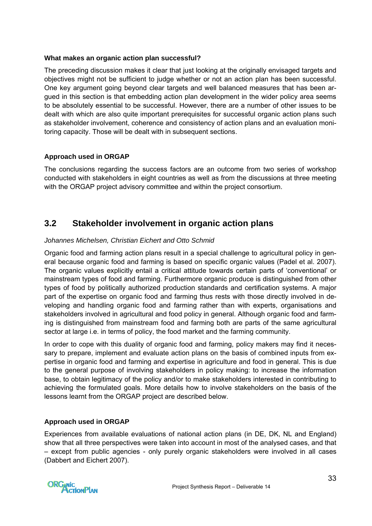#### <span id="page-32-0"></span>**What makes an organic action plan successful?**

The preceding discussion makes it clear that just looking at the originally envisaged targets and objectives might not be sufficient to judge whether or not an action plan has been successful. One key argument going beyond clear targets and well balanced measures that has been argued in this section is that embedding action plan development in the wider policy area seems to be absolutely essential to be successful. However, there are a number of other issues to be dealt with which are also quite important prerequisites for successful organic action plans such as stakeholder involvement, coherence and consistency of action plans and an evaluation monitoring capacity. Those will be dealt with in subsequent sections.

#### **Approach used in ORGAP**

The conclusions regarding the success factors are an outcome from two series of workshop conducted with stakeholders in eight countries as well as from the discussions at three meeting with the ORGAP project advisory committee and within the project consortium.

### **3.2 Stakeholder involvement in organic action plans**

#### *Johannes Michelsen, Christian Eichert and Otto Schmid*

Organic food and farming action plans result in a special challenge to agricultural policy in general because organic food and farming is based on specific organic values (Padel et al. 2007). The organic values explicitly entail a critical attitude towards certain parts of 'conventional' or mainstream types of food and farming. Furthermore organic produce is distinguished from other types of food by politically authorized production standards and certification systems. A major part of the expertise on organic food and farming thus rests with those directly involved in developing and handling organic food and farming rather than with experts, organisations and stakeholders involved in agricultural and food policy in general. Although organic food and farming is distinguished from mainstream food and farming both are parts of the same agricultural sector at large i.e. in terms of policy, the food market and the farming community.

In order to cope with this duality of organic food and farming, policy makers may find it necessary to prepare, implement and evaluate action plans on the basis of combined inputs from expertise in organic food and farming and expertise in agriculture and food in general. This is due to the general purpose of involving stakeholders in policy making: to increase the information base, to obtain legitimacy of the policy and/or to make stakeholders interested in contributing to achieving the formulated goals. More details how to involve stakeholders on the basis of the lessons learnt from the ORGAP project are described below.

#### **Approach used in ORGAP**

Experiences from available evaluations of national action plans (in DE, DK, NL and England) show that all three perspectives were taken into account in most of the analysed cases, and that – except from public agencies - only purely organic stakeholders were involved in all cases (Dabbert and Eichert 2007).

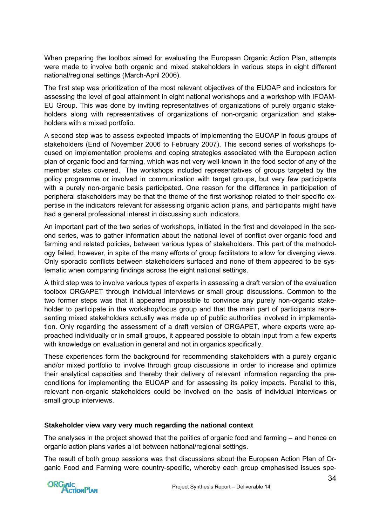When preparing the toolbox aimed for evaluating the European Organic Action Plan, attempts were made to involve both organic and mixed stakeholders in various steps in eight different national/regional settings (March-April 2006).

The first step was prioritization of the most relevant objectives of the EUOAP and indicators for assessing the level of goal attainment in eight national workshops and a workshop with IFOAM-EU Group. This was done by inviting representatives of organizations of purely organic stakeholders along with representatives of organizations of non-organic organization and stakeholders with a mixed portfolio.

A second step was to assess expected impacts of implementing the EUOAP in focus groups of stakeholders (End of November 2006 to February 2007). This second series of workshops focused on implementation problems and coping strategies associated with the European action plan of organic food and farming, which was not very well-known in the food sector of any of the member states covered. The workshops included representatives of groups targeted by the policy programme or involved in communication with target groups, but very few participants with a purely non-organic basis participated. One reason for the difference in participation of peripheral stakeholders may be that the theme of the first workshop related to their specific expertise in the indicators relevant for assessing organic action plans, and participants might have had a general professional interest in discussing such indicators.

An important part of the two series of workshops, initiated in the first and developed in the second series, was to gather information about the national level of conflict over organic food and farming and related policies, between various types of stakeholders. This part of the methodology failed, however, in spite of the many efforts of group facilitators to allow for diverging views. Only sporadic conflicts between stakeholders surfaced and none of them appeared to be systematic when comparing findings across the eight national settings.

A third step was to involve various types of experts in assessing a draft version of the evaluation toolbox ORGAPET through individual interviews or small group discussions. Common to the two former steps was that it appeared impossible to convince any purely non-organic stakeholder to participate in the workshop/focus group and that the main part of participants representing mixed stakeholders actually was made up of public authorities involved in implementation. Only regarding the assessment of a draft version of ORGAPET, where experts were approached individually or in small groups, it appeared possible to obtain input from a few experts with knowledge on evaluation in general and not in organics specifically.

These experiences form the background for recommending stakeholders with a purely organic and/or mixed portfolio to involve through group discussions in order to increase and optimize their analytical capacities and thereby their delivery of relevant information regarding the preconditions for implementing the EUOAP and for assessing its policy impacts. Parallel to this, relevant non-organic stakeholders could be involved on the basis of individual interviews or small group interviews.

#### **Stakeholder view vary very much regarding the national context**

The analyses in the project showed that the politics of organic food and farming – and hence on organic action plans varies a lot between national/regional settings.

The result of both group sessions was that discussions about the European Action Plan of Organic Food and Farming were country-specific, whereby each group emphasised issues spe-

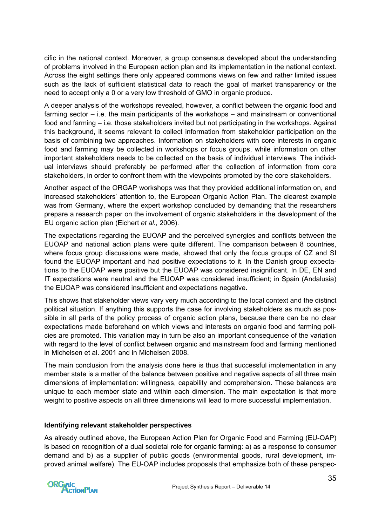cific in the national context. Moreover, a group consensus developed about the understanding of problems involved in the European action plan and its implementation in the national context. Across the eight settings there only appeared commons views on few and rather limited issues such as the lack of sufficient statistical data to reach the goal of market transparency or the need to accept only a 0 or a very low threshold of GMO in organic produce.

A deeper analysis of the workshops revealed, however, a conflict between the organic food and farming sector – i.e. the main participants of the workshops – and mainstream or conventional food and farming – i.e. those stakeholders invited but not participating in the workshops. Against this background, it seems relevant to collect information from stakeholder participation on the basis of combining two approaches. Information on stakeholders with core interests in organic food and farming may be collected in workshops or focus groups, while information on other important stakeholders needs to be collected on the basis of individual interviews. The individual interviews should preferably be performed after the collection of information from core stakeholders, in order to confront them with the viewpoints promoted by the core stakeholders.

Another aspect of the ORGAP workshops was that they provided additional information on, and increased stakeholders' attention to, the European Organic Action Plan. The clearest example was from Germany, where the expert workshop concluded by demanding that the researchers prepare a research paper on the involvement of organic stakeholders in the development of the EU organic action plan (Eichert *et al.,* 2006).

The expectations regarding the EUOAP and the perceived synergies and conflicts between the EUOAP and national action plans were quite different. The comparison between 8 countries, where focus group discussions were made, showed that only the focus groups of CZ and SI found the EUOAP important and had positive expectations to it. In the Danish group expectations to the EUOAP were positive but the EUOAP was considered insignificant. In DE, EN and IT expectations were neutral and the EUOAP was considered insufficient; in Spain (Andalusia) the EUOAP was considered insufficient and expectations negative.

This shows that stakeholder views vary very much according to the local context and the distinct political situation. If anything this supports the case for involving stakeholders as much as possible in all parts of the policy process of organic action plans, because there can be no clear expectations made beforehand on which views and interests on organic food and farming policies are promoted. This variation may in turn be also an important consequence of the variation with regard to the level of conflict between organic and mainstream food and farming mentioned in Michelsen et al. 2001 and in Michelsen 2008.

The main conclusion from the analysis done here is thus that successful implementation in any member state is a matter of the balance between positive and negative aspects of all three main dimensions of implementation: willingness, capability and comprehension. These balances are unique to each member state and within each dimension. The main expectation is that more weight to positive aspects on all three dimensions will lead to more successful implementation.

#### **Identifying relevant stakeholder perspectives**

As already outlined above, the [European Action Plan for Organic Food and Farming \(EU-OAP\)](http://orgapet.orgap.org/annexes/annex_A1-1.pdf)  is based on recognition of a dual societal role for organic farming: a) as a response to consumer demand and b) as a supplier of public goods (environmental goods, rural development, improved animal welfare). The EU-OAP includes proposals that emphasize both of these perspec-

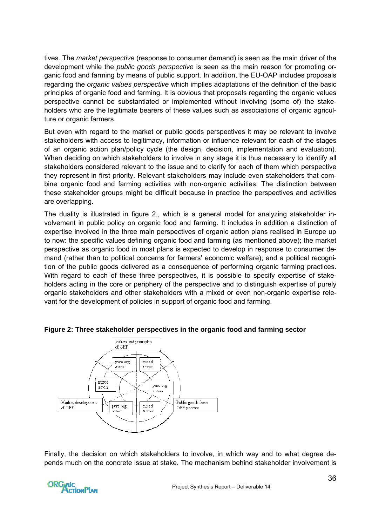tives. The *market perspective* (response to consumer demand) is seen as the main driver of the development while the *public goods perspective* is seen as the main reason for promoting organic food and farming by means of public support. In addition, the EU-OAP includes proposals regarding the *organic values perspective* which implies adaptations of the definition of the basic principles of organic food and farming. It is obvious that proposals regarding the organic values perspective cannot be substantiated or implemented without involving (some of) the stakeholders who are the legitimate bearers of these values such as associations of organic agriculture or organic farmers.

But even with regard to the market or public goods perspectives it may be relevant to involve stakeholders with access to legitimacy, information or influence relevant for each of the stages of an organic action plan/policy cycle (the design, decision, implementation and evaluation). When deciding on which stakeholders to involve in any stage it is thus necessary to identify all stakeholders considered relevant to the issue and to clarify for each of them which perspective they represent in first priority. Relevant stakeholders may include even stakeholders that combine organic food and farming activities with non-organic activities. The distinction between these stakeholder groups might be difficult because in practice the perspectives and activities are overlapping.

The duality is illustrated in figure 2., which is a general model for analyzing stakeholder involvement in public policy on organic food and farming. It includes in addition a distinction of expertise involved in the three main perspectives of organic action plans realised in Europe up to now: the specific values defining organic food and farming (as mentioned above); the market perspective as organic food in most plans is expected to develop in response to consumer demand (rather than to political concerns for farmers' economic welfare); and a political recognition of the public goods delivered as a consequence of performing organic farming practices. With regard to each of these three perspectives, it is possible to specify expertise of stakeholders acting in the core or periphery of the perspective and to distinguish expertise of purely organic stakeholders and other stakeholders with a mixed or even non-organic expertise relevant for the development of policies in support of organic food and farming.



#### **Figure 2: Three stakeholder perspectives in the organic food and farming sector**

Finally, the decision on which stakeholders to involve, in which way and to what degree depends much on the concrete issue at stake. The mechanism behind stakeholder involvement is

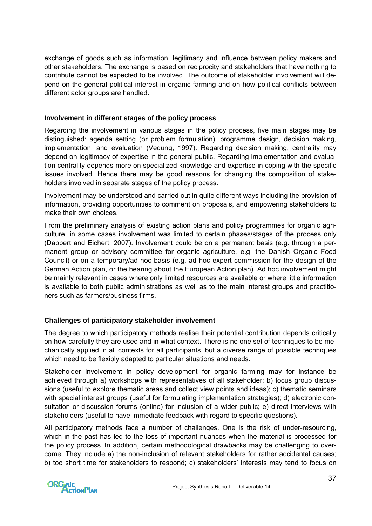exchange of goods such as information, legitimacy and influence between policy makers and other stakeholders. The exchange is based on reciprocity and stakeholders that have nothing to contribute cannot be expected to be involved. The outcome of stakeholder involvement will depend on the general political interest in organic farming and on how political conflicts between different actor groups are handled.

### **Involvement in different stages of the policy process**

Regarding the involvement in various stages in the policy process, five main stages may be distinguished: agenda setting (or problem formulation), programme design, decision making, implementation, and evaluation (Vedung, 1997). Regarding decision making, centrality may depend on legitimacy of expertise in the general public. Regarding implementation and evaluation centrality depends more on specialized knowledge and expertise in coping with the specific issues involved. Hence there may be good reasons for changing the composition of stakeholders involved in separate stages of the policy process.

Involvement may be understood and carried out in quite different ways including the provision of information, providing opportunities to comment on proposals, and empowering stakeholders to make their own choices.

From the preliminary analysis of existing action plans and policy programmes for organic agriculture, in some cases involvement was limited to certain phases/stages of the process only (Dabbert and Eichert, 2007). Involvement could be on a permanent basis (e.g. through a permanent group or advisory committee for organic agriculture, e.g. the Danish Organic Food Council) or on a temporary/ad hoc basis (e.g. ad hoc expert commission for the design of the German Action plan, or the hearing about the European Action plan). Ad hoc involvement might be mainly relevant in cases where only limited resources are available or where little information is available to both public administrations as well as to the main interest groups and practitioners such as farmers/business firms.

## **Challenges of participatory stakeholder involvement**

The degree to which participatory methods realise their potential contribution depends critically on how carefully they are used and in what context. There is no one set of techniques to be mechanically applied in all contexts for all participants, but a diverse range of possible techniques which need to be flexibly adapted to particular situations and needs.

Stakeholder involvement in policy development for organic farming may for instance be achieved through a) workshops with representatives of all stakeholder; b) focus group discussions (useful to explore thematic areas and collect view points and ideas); c) thematic seminars with special interest groups (useful for formulating implementation strategies); d) electronic consultation or discussion forums (online) for inclusion of a wider public; e) direct interviews with stakeholders (useful to have immediate feedback with regard to specific questions).

All participatory methods face a number of challenges. One is the risk of under-resourcing, which in the past has led to the loss of important nuances when the material is processed for the policy process. In addition, certain methodological drawbacks may be challenging to overcome. They include a) the non-inclusion of relevant stakeholders for rather accidental causes; b) too short time for stakeholders to respond; c) stakeholders' interests may tend to focus on

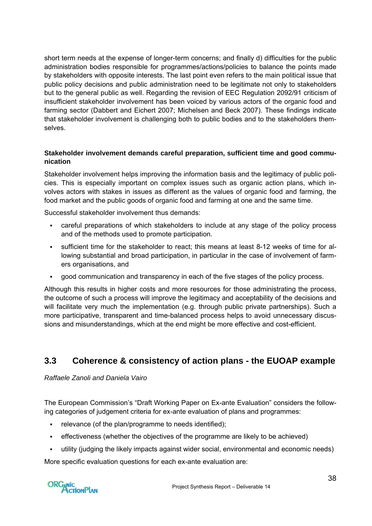short term needs at the expense of longer-term concerns; and finally d) difficulties for the public administration bodies responsible for programmes/actions/policies to balance the points made by stakeholders with opposite interests. The last point even refers to the main political issue that public policy decisions and public administration need to be legitimate not only to stakeholders but to the general public as well. Regarding the revision of EEC Regulation 2092/91 criticism of insufficient stakeholder involvement has been voiced by various actors of the organic food and farming sector (Dabbert and Eichert 2007; Michelsen and Beck 2007). These findings indicate that stakeholder involvement is challenging both to public bodies and to the stakeholders themselves.

### **Stakeholder involvement demands careful preparation, sufficient time and good communication**

Stakeholder involvement helps improving the information basis and the legitimacy of public policies. This is especially important on complex issues such as organic action plans, which involves actors with stakes in issues as different as the values of organic food and farming, the food market and the public goods of organic food and farming at one and the same time.

Successful stakeholder involvement thus demands:

- careful preparations of which stakeholders to include at any stage of the policy process and of the methods used to promote participation.
- sufficient time for the stakeholder to react; this means at least 8-12 weeks of time for allowing substantial and broad participation, in particular in the case of involvement of farmers organisations, and
- good communication and transparency in each of the five stages of the policy process.

Although this results in higher costs and more resources for those administrating the process, the outcome of such a process will improve the legitimacy and acceptability of the decisions and will facilitate very much the implementation (e.g. through public private partnerships). Such a more participative, transparent and time-balanced process helps to avoid unnecessary discussions and misunderstandings, which at the end might be more effective and cost-efficient.

## **3.3 Coherence & consistency of action plans - the EUOAP example**

*Raffaele Zanoli and Daniela Vairo* 

The European Commission's "Draft Working Paper on Ex-ante Evaluation" considers the following categories of judgement criteria for ex-ante evaluation of plans and programmes:

- relevance (of the plan/programme to needs identified);
- effectiveness (whether the objectives of the programme are likely to be achieved)
- utility (judging the likely impacts against wider social, environmental and economic needs)

More specific evaluation questions for each ex-ante evaluation are:

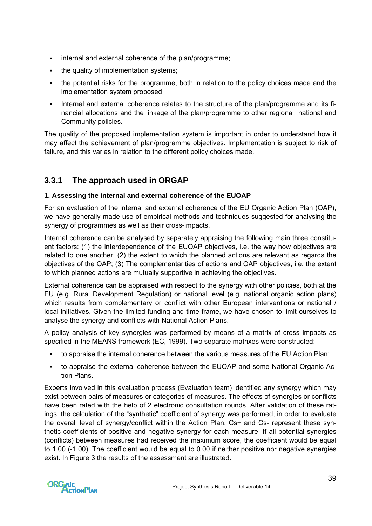- internal and external coherence of the plan/programme;
- the quality of implementation systems;
- the potential risks for the programme, both in relation to the policy choices made and the implementation system proposed
- Internal and external coherence relates to the structure of the plan/programme and its financial allocations and the linkage of the plan/programme to other regional, national and Community policies.

The quality of the proposed implementation system is important in order to understand how it may affect the achievement of plan/programme objectives. Implementation is subject to risk of failure, and this varies in relation to the different policy choices made.

## **3.3.1 The approach used in ORGAP**

### **1. Assessing the internal and external coherence of the EUOAP**

For an evaluation of the internal and external coherence of the EU Organic Action Plan (OAP), we have generally made use of empirical methods and techniques suggested for analysing the synergy of programmes as well as their cross-impacts.

Internal coherence can be analysed by separately appraising the following main three constituent factors: (1) the interdependence of the EUOAP objectives, i.e. the way how objectives are related to one another; (2) the extent to which the planned actions are relevant as regards the objectives of the OAP; (3) The complementarities of actions and OAP objectives, i.e. the extent to which planned actions are mutually supportive in achieving the objectives.

External coherence can be appraised with respect to the synergy with other policies, both at the EU (e.g. Rural Development Regulation) or national level (e.g. national organic action plans) which results from complementary or conflict with other European interventions or national / local initiatives. Given the limited funding and time frame, we have chosen to limit ourselves to analyse the synergy and conflicts with National Action Plans.

A policy analysis of key synergies was performed by means of a matrix of cross impacts as specified in the MEANS framework (EC, 1999). Two separate matrixes were constructed:

- to appraise the internal coherence between the various measures of the EU Action Plan;
- to appraise the external coherence between the EUOAP and some National Organic Action Plans.

Experts involved in this evaluation process (Evaluation team) identified any synergy which may exist between pairs of measures or categories of measures. The effects of synergies or conflicts have been rated with the help of 2 electronic consultation rounds. After validation of these ratings, the calculation of the "synthetic" coefficient of synergy was performed, in order to evaluate the overall level of synergy/conflict within the Action Plan. Cs+ and Cs- represent these synthetic coefficients of positive and negative synergy for each measure. If all potential synergies (conflicts) between measures had received the maximum score, the coefficient would be equal to 1.00 (-1.00). The coefficient would be equal to 0.00 if neither positive nor negative synergies exist. In Figure 3 the results of the assessment are illustrated.

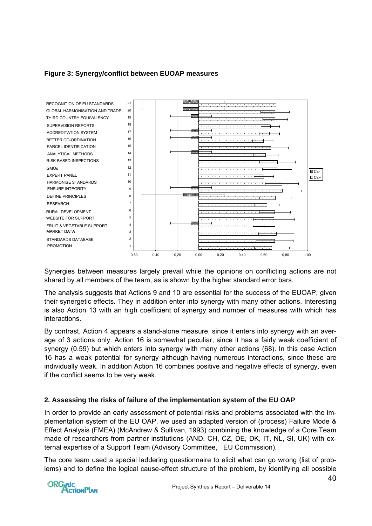## **Figure 3: Synergy/conflict between EUOAP measures**



Synergies between measures largely prevail while the opinions on conflicting actions are not shared by all members of the team, as is shown by the higher standard error bars.

The analysis suggests that Actions 9 and 10 are essential for the success of the EUOAP, given their synergetic effects. They in addition enter into synergy with many other actions. Interesting is also Action 13 with an high coefficient of synergy and number of measures with which has interactions.

By contrast, Action 4 appears a stand-alone measure, since it enters into synergy with an average of 3 actions only. Action 16 is somewhat peculiar, since it has a fairly weak coefficient of synergy (0.59) but which enters into synergy with many other actions (68). In this case Action 16 has a weak potential for synergy although having numerous interactions, since these are individually weak. In addition Action 16 combines positive and negative effects of synergy, even if the conflict seems to be very weak.

## **2. Assessing the risks of failure of the implementation system of the EU OAP**

In order to provide an early assessment of potential risks and problems associated with the implementation system of the EU OAP, we used an adapted version of (process) Failure Mode & Effect Analysis (FMEA) (McAndrew & Sullivan, 1993) combining the knowledge of a Core Team made of researchers from partner institutions (AND, CH, CZ, DE, DK, IT, NL, SI, UK) with external expertise of a Support Team (Advisory Committee, EU Commission).

The core team used a special laddering questionnaire to elicit what can go wrong (list of problems) and to define the logical cause-effect structure of the problem, by identifying all possible

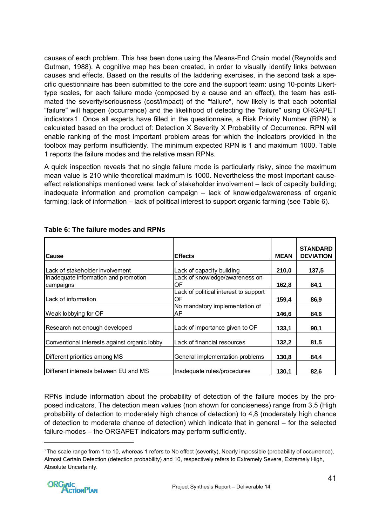causes of each problem. This has been done using the Means-End Chain model (Reynolds and Gutman, 1988). A cognitive map has been created, in order to visually identify links between causes and effects. Based on the results of the laddering exercises, in the second task a specific questionnaire has been submitted to the core and the support team: using 10-points Likerttype scales, for each failure mode (composed by a cause and an effect), the team has estimated the severity/seriousness (cost/impact) of the "failure", how likely is that each potential "failure" will happen (occurrence) and the likelihood of detecting the "failure" using ORGAPET indicator[s1](#page-40-0). Once all experts have filled in the questionnaire, a Risk Priority Number (RPN) is calculated based on the product of: Detection X Severity X Probability of Occurrence. RPN will enable ranking of the most important problem areas for which the indicators provided in the toolbox may perform insufficiently. The minimum expected RPN is 1 and maximum 1000. Table 1 reports the failure modes and the relative mean RPNs.

A quick inspection reveals that no single failure mode is particularly risky, since the maximum mean value is 210 while theoretical maximum is 1000. Nevertheless the most important causeeffect relationships mentioned were: lack of stakeholder involvement – lack of capacity building; inadequate information and promotion campaign – lack of knowledge/awareness of organic farming; lack of information – lack of political interest to support organic farming (see Table 6).

| Cause                                             | <b>Effects</b>                              | <b>MEAN</b> | <b>STANDARD</b><br><b>DEVIATION</b> |
|---------------------------------------------------|---------------------------------------------|-------------|-------------------------------------|
| Lack of stakeholder involvement                   | Lack of capacity building                   | 210,0       | 137,5                               |
| Inadequate information and promotion<br>campaigns | Lack of knowledge/awareness on<br>OF        | 162,8       | 84,1                                |
| Lack of information                               | Lack of political interest to support<br>OF | 159,4       | 86,9                                |
| Weak lobbying for OF                              | No mandatory implementation of<br>AP        | 146,6       | 84,6                                |
| Research not enough developed                     | Lack of importance given to OF              | 133,1       | 90,1                                |
| Conventional interests against organic lobby      | Lack of financial resources                 | 132,2       | 81,5                                |
| Different priorities among MS                     | General implementation problems             | 130,8       | 84,4                                |
| Different interests between EU and MS             | Inadequate rules/procedures                 | 130.1       | 82.6                                |

### **Table 6: The failure modes and RPNs**

RPNs include information about the probability of detection of the failure modes by the proposed indicators. The detection mean values (non shown for conciseness) range from 3,5 (High probability of detection to moderately high chance of detection) to 4,8 (moderately high chance of detection to moderate chance of detection) which indicate that in general – for the selected failure-modes – the ORGAPET indicators may perform sufficiently.

<span id="page-40-0"></span><sup>1</sup> The scale range from 1 to 10, whereas 1 refers to No effect (severity), Nearly impossible (probability of occurrence), Almost Certain Detection (detection probability) and 10, respectively refers to Extremely Severe, Extremely High, Absolute Uncertainty.



1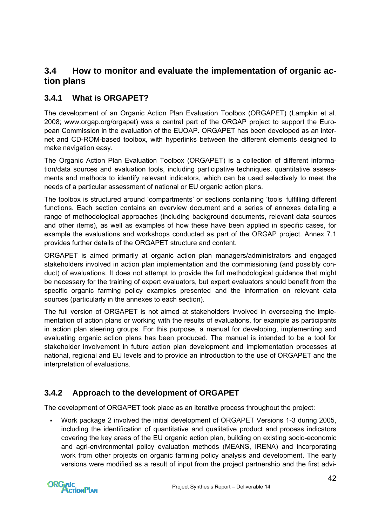## **3.4 How to monitor and evaluate the implementation of organic action plans**

## **3.4.1 What is ORGAPET?**

The development of an Organic Action Plan Evaluation Toolbox (ORGAPET) (Lampkin et al. 2008; [www.orgap.org/orgapet](http://www.orgap.org/orgapet)) was a central part of the ORGAP project to support the European Commission in the evaluation of the EUOAP. ORGAPET has been developed as an internet and CD-ROM-based toolbox, with hyperlinks between the different elements designed to make navigation easy.

The Organic Action Plan Evaluation Toolbox (ORGAPET) is a collection of different information/data sources and evaluation tools, including participative techniques, quantitative assessments and methods to identify relevant indicators, which can be used selectively to meet the needs of a particular assessment of national or EU organic action plans.

The toolbox is structured around 'compartments' or sections containing 'tools' fulfilling different functions. Each section contains an overview document and a series of annexes detailing a range of methodological approaches (including background documents, relevant data sources and other items), as well as examples of how these have been applied in specific cases, for example the evaluations and workshops conducted as part of the [ORGAP](http://www.orgap.org/) project. Annex 7.1 provides further details of the ORGAPET structure and content.

ORGAPET is aimed primarily at organic action plan managers/administrators and engaged stakeholders involved in action plan implementation and the commissioning (and possibly conduct) of evaluations. It does not attempt to provide the full methodological guidance that might be necessary for the training of expert evaluators, but expert evaluators should benefit from the specific organic farming policy examples presented and the information on relevant data sources (particularly in the annexes to each section).

The full version of ORGAPET is not aimed at stakeholders involved in overseeing the implementation of action plans or working with the results of evaluations, for example as participants in action plan steering groups. For this purpose, a [manual](http://www.orgap.org/documents/manual.pdf) for developing, implementing and evaluating organic action plans has been produced. The manual is intended to be a tool for stakeholder involvement in future action plan development and implementation processes at national, regional and EU levels and to provide an introduction to the use of ORGAPET and the interpretation of evaluations.

## **3.4.2 Approach to the development of ORGAPET**

The development of ORGAPET took place as an iterative process throughout the project:

 Work package 2 involved the initial development of ORGAPET Versions 1-3 during 2005, including the identification of quantitative and qualitative product and process indicators covering the key areas of the EU organic action plan, building on existing socio-economic and agri-environmental policy evaluation methods (MEANS, IRENA) and incorporating work from other projects on organic farming policy analysis and development. The early versions were modified as a result of input from the project partnership and the first advi-

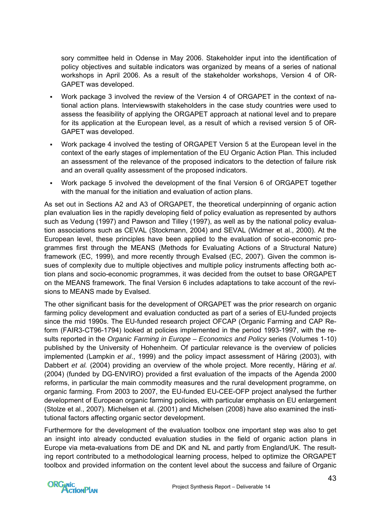sory committee held in Odense in May 2006. Stakeholder input into the identification of policy objectives and suitable indicators was organized by means of a series of national workshops in April 2006. As a result of the stakeholder workshops, Version 4 of OR-GAPET was developed.

- Work package 3 involved the review of the Version 4 of ORGAPET in the context of national action plans. Interviewswith stakeholders in the case study countries were used to assess the feasibility of applying the ORGAPET approach at national level and to prepare for its application at the European level, as a result of which a revised version 5 of OR-GAPET was developed.
- Work package 4 involved the testing of ORGAPET Version 5 at the European level in the context of the early stages of implementation of the EU Organic Action Plan. This included an assessment of the relevance of the proposed indicators to the detection of failure risk and an overall quality assessment of the proposed indicators.
- Work package 5 involved the development of the final Version 6 of ORGAPET together with the manual for the initiation and evaluation of action plans.

As set out in Sections A2 and A3 of ORGAPET, the theoretical underpinning of organic action plan evaluation lies in the rapidly developing field of policy evaluation as represented by authors such as Vedung (1997) and Pawson and Tilley (1997), as well as by the national policy evaluation associations such as CEVAL (Stockmann, 2004) and SEVAL (Widmer et al., 2000). At the European level, these principles have been applied to the evaluation of socio-economic programmes first through the MEANS (Methods for Evaluating Actions of a Structural Nature) framework (EC, 1999), and more recently through Evalsed (EC, 2007). Given the common issues of complexity due to multiple objectives and multiple policy instruments affecting both action plans and socio-economic programmes, it was decided from the outset to base ORGAPET on the MEANS framework. The final Version 6 includes adaptations to take account of the revisions to MEANS made by Evalsed.

The other significant basis for the development of ORGAPET was the prior research on organic farming policy development and evaluation conducted as part of a series of EU-funded projects since the mid 1990s. The EU-funded research project OFCAP (Organic Farming and CAP Reform (FAIR3-CT96-1794) looked at policies implemented in the period 1993-1997, with the results reported in the *[Organic Farming in Europe – Economics and Policy](http://www.uni-hohenheim.de/i410a/ofeurope/)* series (Volumes 1-10) published by the University of Hohenheim. Of particular relevance is the overview of policies implemented (Lampkin *et al*., 1999) and the policy impact assessment of Häring (2003), with Dabbert *et al.* (2004) providing an overview of the whole project. More recently, Häring *et al*. (2004) (funded by DG-ENVIRO) provided a first evaluation of the impacts of the Agenda 2000 reforms, in particular the main commodity measures and the rural development programme, on organic farming. From 2003 to 2007, the EU-funded [EU-CEE-OFP project](http://www.irs.aber.ac.uk/euceeofp) analysed the further development of European organic farming policies, with particular emphasis on EU enlargement (Stolze et al., 2007). Michelsen et al. (2001) and Michelsen (2008) have also examined the institutional factors affecting organic sector development.

Furthermore for the development of the evaluation toolbox one important step was also to get an insight into already conducted evaluation studies in the field of organic action plans in Europe via meta-evaluations from DE and DK and NL and partly from England/UK. The resulting report contributed to a methodological learning process, helped to optimize the ORGAPET toolbox and provided information on the content level about the success and failure of Organic

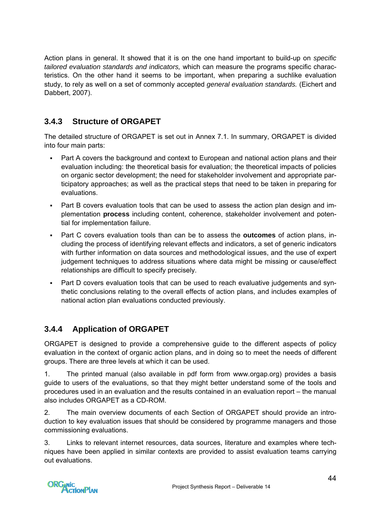Action plans in general. It showed that it is on the one hand important to build-up on *specific tailored evaluation standards and indicators,* which can measure the programs specific characteristics. On the other hand it seems to be important, when preparing a suchlike evaluation study, to rely as well on a set of commonly accepted *general evaluation standards.* (Eichert and Dabbert, 2007).

## **3.4.3 Structure of ORGAPET**

The detailed structure of ORGAPET is set out in Annex 7.1. In summary, ORGAPET is divided into four main parts:

- Part A covers the background and context to European and national action plans and their evaluation including: the theoretical basis for evaluation; the theoretical impacts of policies on organic sector development; the need for stakeholder involvement and appropriate participatory approaches; as well as the practical steps that need to be taken in preparing for evaluations.
- Part B covers evaluation tools that can be used to assess the action plan design and implementation **process** including content, coherence, stakeholder involvement and potential for implementation failure.
- Part C covers evaluation tools than can be to assess the **outcomes** of action plans, including the process of identifying relevant effects and indicators, a set of generic indicators with further information on data sources and methodological issues, and the use of expert judgement techniques to address situations where data might be missing or cause/effect relationships are difficult to specify precisely.
- Part D covers evaluation tools that can be used to reach evaluative judgements and synthetic conclusions relating to the overall effects of action plans, and includes examples of national action plan evaluations conducted previously.

## **3.4.4 Application of ORGAPET**

ORGAPET is designed to provide a comprehensive guide to the different aspects of policy evaluation in the context of organic action plans, and in doing so to meet the needs of different groups. There are three levels at which it can be used.

1. The printed manual (also available in pdf form from www.orgap.org) provides a basis guide to users of the evaluations, so that they might better understand some of the tools and procedures used in an evaluation and the results contained in an evaluation report – the manual also includes ORGAPET as a CD-ROM.

2. The main overview documents of each Section of ORGAPET should provide an introduction to key evaluation issues that should be considered by programme managers and those commissioning evaluations.

3. Links to relevant internet resources, data sources, literature and examples where techniques have been applied in similar contexts are provided to assist evaluation teams carrying out evaluations.

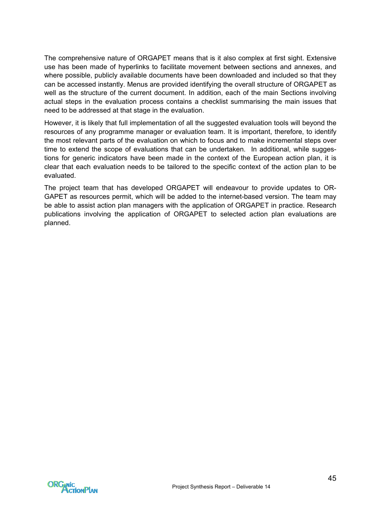The comprehensive nature of ORGAPET means that is it also complex at first sight. Extensive use has been made of hyperlinks to facilitate movement between sections and annexes, and where possible, publicly available documents have been downloaded and included so that they can be accessed instantly. Menus are provided identifying the overall structure of ORGAPET as well as the structure of the current document. In addition, each of the main Sections involving actual steps in the evaluation process contains a checklist summarising the main issues that need to be addressed at that stage in the evaluation.

However, it is likely that full implementation of all the suggested evaluation tools will beyond the resources of any programme manager or evaluation team. It is important, therefore, to identify the most relevant parts of the evaluation on which to focus and to make incremental steps over time to extend the scope of evaluations that can be undertaken. In additional, while suggestions for generic indicators have been made in the context of the European action plan, it is clear that each evaluation needs to be tailored to the specific context of the action plan to be evaluated.

The project team that has developed ORGAPET will endeavour to provide updates to OR-GAPET as resources permit, which will be added to the internet-based version. The team may be able to assist action plan managers with the application of ORGAPET in practice. Research publications involving the application of ORGAPET to selected action plan evaluations are planned.

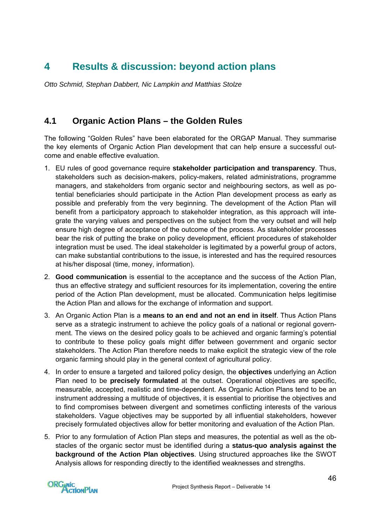# **4 Results & discussion: beyond action plans**

*Otto Schmid, Stephan Dabbert, Nic Lampkin and Matthias Stolze* 

## **4.1 Organic Action Plans – the Golden Rules**

The following "Golden Rules" have been elaborated for the ORGAP Manual. They summarise the key elements of Organic Action Plan development that can help ensure a successful outcome and enable effective evaluation.

- 1. EU rules of good governance require **stakeholder participation and transparency**. Thus, stakeholders such as decision-makers, policy-makers, related administrations, programme managers, and stakeholders from organic sector and neighbouring sectors, as well as potential beneficiaries should participate in the Action Plan development process as early as possible and preferably from the very beginning. The development of the Action Plan will benefit from a participatory approach to stakeholder integration, as this approach will integrate the varying values and perspectives on the subject from the very outset and will help ensure high degree of acceptance of the outcome of the process. As stakeholder processes bear the risk of putting the brake on policy development, efficient procedures of stakeholder integration must be used. The ideal stakeholder is legitimated by a powerful group of actors, can make substantial contributions to the issue, is interested and has the required resources at his/her disposal (time, money, information).
- 2. **Good communication** is essential to the acceptance and the success of the Action Plan, thus an effective strategy and sufficient resources for its implementation, covering the entire period of the Action Plan development, must be allocated. Communication helps legitimise the Action Plan and allows for the exchange of information and support.
- 3. An Organic Action Plan is a **means to an end and not an end in itself**. Thus Action Plans serve as a strategic instrument to achieve the policy goals of a national or regional government. The views on the desired policy goals to be achieved and organic farming's potential to contribute to these policy goals might differ between government and organic sector stakeholders. The Action Plan therefore needs to make explicit the strategic view of the role organic farming should play in the general context of agricultural policy.
- 4. In order to ensure a targeted and tailored policy design, the **objectives** underlying an Action Plan need to be **precisely formulated** at the outset. Operational objectives are specific, measurable, accepted, realistic and time-dependent. As Organic Action Plans tend to be an instrument addressing a multitude of objectives, it is essential to prioritise the objectives and to find compromises between divergent and sometimes conflicting interests of the various stakeholders. Vague objectives may be supported by all influential stakeholders, however precisely formulated objectives allow for better monitoring and evaluation of the Action Plan.
- 5. Prior to any formulation of Action Plan steps and measures, the potential as well as the obstacles of the organic sector must be identified during a **status-quo analysis against the background of the Action Plan objectives**. Using structured approaches like the SWOT Analysis allows for responding directly to the identified weaknesses and strengths.

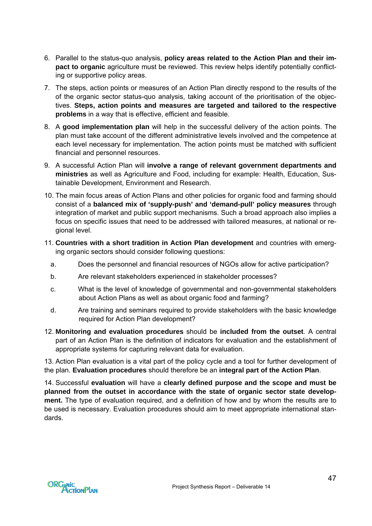- 6. Parallel to the status-quo analysis, **policy areas related to the Action Plan and their impact to organic** agriculture must be reviewed. This review helps identify potentially conflicting or supportive policy areas.
- 7. The steps, action points or measures of an Action Plan directly respond to the results of the of the organic sector status-quo analysis, taking account of the prioritisation of the objectives. **Steps, action points and measures are targeted and tailored to the respective problems** in a way that is effective, efficient and feasible.
- 8. A **good implementation plan** will help in the successful delivery of the action points. The plan must take account of the different administrative levels involved and the competence at each level necessary for implementation. The action points must be matched with sufficient financial and personnel resources.
- 9. A successful Action Plan will **involve a range of relevant government departments and ministries** as well as Agriculture and Food, including for example: Health, Education, Sustainable Development, Environment and Research.
- 10. The main focus areas of Action Plans and other policies for organic food and farming should consist of a **balanced mix of 'supply-push' and 'demand-pull' policy measures** through integration of market and public support mechanisms. Such a broad approach also implies a focus on specific issues that need to be addressed with tailored measures, at national or regional level.
- 11. **Countries with a short tradition in Action Plan development** and countries with emerging organic sectors should consider following questions:
	- a. Does the personnel and financial resources of NGOs allow for active participation?
	- b. Are relevant stakeholders experienced in stakeholder processes?
	- c. What is the level of knowledge of governmental and non-governmental stakeholders about Action Plans as well as about organic food and farming?
	- d. Are training and seminars required to provide stakeholders with the basic knowledge required for Action Plan development?
- 12. **Monitoring and evaluation procedures** should be **included from the outset**. A central part of an Action Plan is the definition of indicators for evaluation and the establishment of appropriate systems for capturing relevant data for evaluation.

13. Action Plan evaluation is a vital part of the policy cycle and a tool for further development of the plan. **Evaluation procedures** should therefore be an **integral part of the Action Plan**.

14. Successful **evaluation** will have a **clearly defined purpose and the scope and must be planned from the outset in accordance with the state of organic sector state development.** The type of evaluation required, and a definition of how and by whom the results are to be used is necessary. Evaluation procedures should aim to meet appropriate international standards.

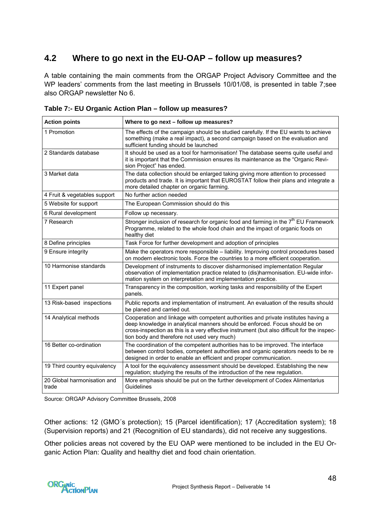## **4.2 Where to go next in the EU-OAP – follow up measures?**

A table containing the main comments from the ORGAP Project Advisory Committee and the WP leaders' comments from the last meeting in Brussels 10/01/08, is presented in table 7;see also ORGAP newsletter No 6.

| <b>Action points</b>                 | Where to go next - follow up measures?                                                                                                                                                                                                                                                                          |
|--------------------------------------|-----------------------------------------------------------------------------------------------------------------------------------------------------------------------------------------------------------------------------------------------------------------------------------------------------------------|
| 1 Promotion                          | The effects of the campaign should be studied carefully. If the EU wants to achieve<br>something (make a real impact), a second campaign based on the evaluation and<br>sufficient funding should be launched                                                                                                   |
| 2 Standards database                 | It should be used as a tool for harmonisation! The database seems quite useful and<br>it is important that the Commission ensures its maintenance as the "Organic Revi-<br>sion Project" has ended.                                                                                                             |
| 3 Market data                        | The data collection should be enlarged taking giving more attention to processed<br>products and trade. It is important that EUROSTAT follow their plans and integrate a<br>more detailed chapter on organic farming.                                                                                           |
| 4 Fruit & vegetables support         | No further action needed                                                                                                                                                                                                                                                                                        |
| 5 Website for support                | The European Commission should do this                                                                                                                                                                                                                                                                          |
| 6 Rural development                  | Follow up necessary.                                                                                                                                                                                                                                                                                            |
| 7 Research                           | Stronger inclusion of research for organic food and farming in the 7 <sup>th</sup> EU Framework<br>Programme, related to the whole food chain and the impact of organic foods on<br>healthy diet                                                                                                                |
| 8 Define principles                  | Task Force for further development and adoption of principles                                                                                                                                                                                                                                                   |
| 9 Ensure integrity                   | Make the operators more responsible - liability. Improving control procedures based<br>on modern electronic tools. Force the countries to a more efficient cooperation.                                                                                                                                         |
| 10 Harmonise standards               | Development of instruments to discover disharmonised implementation Regular<br>observation of implementation practice related to (dis)harmonisation. EU-wide infor-<br>mation system on interpretation and implementation practice.                                                                             |
| 11 Expert panel                      | Transparency in the composition, working tasks and responsibility of the Expert<br>panels.                                                                                                                                                                                                                      |
| 13 Risk-based inspections            | Public reports and implementation of instrument. An evaluation of the results should<br>be planed and carried out.                                                                                                                                                                                              |
| 14 Analytical methods                | Cooperation and linkage with competent authorities and private institutes having a<br>deep knowledge in analytical manners should be enforced. Focus should be on<br>cross-inspection as this is a very effective instrument (but also difficult for the inspec-<br>tion body and therefore not used very much) |
| 16 Better co-ordination              | The coordination of the competent authorities has to be improved. The interface<br>between control bodies, competent authorities and organic operators needs to be re<br>designed in order to enable an efficient and proper communication.                                                                     |
| 19 Third country equivalency         | A tool for the equivalency assessment should be developed. Establishing the new<br>regulation; studying the results of the introduction of the new regulation.                                                                                                                                                  |
| 20 Global harmonisation and<br>trade | More emphasis should be put on the further development of Codex Alimentarius<br>Guidelines                                                                                                                                                                                                                      |

**Table 7:- EU Organic Action Plan – follow up measures?** 

Source: ORGAP Advisory Committee Brussels, 2008

Other actions: 12 (GMO´s protection); 15 (Parcel identification); 17 (Accreditation system); 18 (Supervision reports) and 21 (Recognition of EU standards), did not receive any suggestions.

Other policies areas not covered by the EU OAP were mentioned to be included in the EU Organic Action Plan: Quality and healthy diet and food chain orientation.

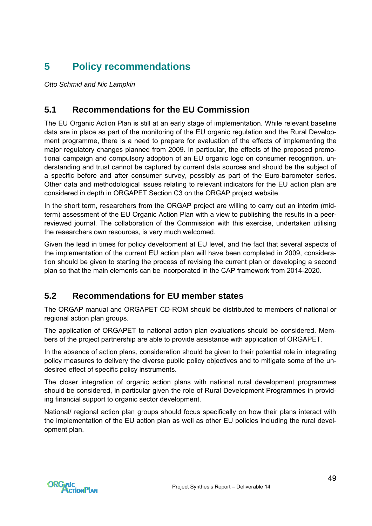# **5 Policy recommendations**

*Otto Schmid and Nic Lampkin* 

## **5.1 Recommendations for the EU Commission**

The EU Organic Action Plan is still at an early stage of implementation. While relevant baseline data are in place as part of the monitoring of the EU organic regulation and the Rural Development programme, there is a need to prepare for evaluation of the effects of implementing the major regulatory changes planned from 2009. In particular, the effects of the proposed promotional campaign and compulsory adoption of an EU organic logo on consumer recognition, understanding and trust cannot be captured by current data sources and should be the subject of a specific before and after consumer survey, possibly as part of the Euro-barometer series. Other data and methodological issues relating to relevant indicators for the EU action plan are considered in depth in ORGAPET Section C3 on the ORGAP project website.

In the short term, researchers from the ORGAP project are willing to carry out an interim (midterm) assessment of the EU Organic Action Plan with a view to publishing the results in a peerreviewed journal. The collaboration of the Commission with this exercise, undertaken utilising the researchers own resources, is very much welcomed.

Given the lead in times for policy development at EU level, and the fact that several aspects of the implementation of the current EU action plan will have been completed in 2009, consideration should be given to starting the process of revising the current plan or developing a second plan so that the main elements can be incorporated in the CAP framework from 2014-2020.

## **5.2 Recommendations for EU member states**

The ORGAP manual and ORGAPET CD-ROM should be distributed to members of national or regional action plan groups.

The application of ORGAPET to national action plan evaluations should be considered. Members of the project partnership are able to provide assistance with application of ORGAPET.

In the absence of action plans, consideration should be given to their potential role in integrating policy measures to delivery the diverse public policy objectives and to mitigate some of the undesired effect of specific policy instruments.

The closer integration of organic action plans with national rural development programmes should be considered, in particular given the role of Rural Development Programmes in providing financial support to organic sector development.

National/ regional action plan groups should focus specifically on how their plans interact with the implementation of the EU action plan as well as other EU policies including the rural development plan.

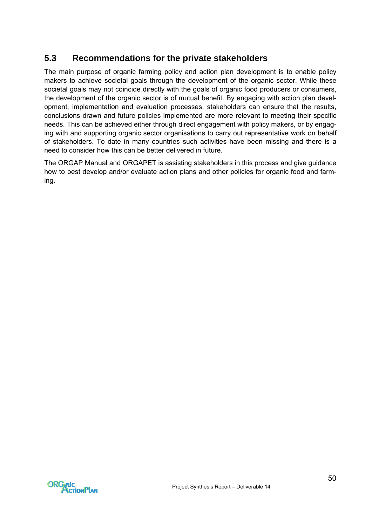## **5.3 Recommendations for the private stakeholders**

The main purpose of organic farming policy and action plan development is to enable policy makers to achieve societal goals through the development of the organic sector. While these societal goals may not coincide directly with the goals of organic food producers or consumers, the development of the organic sector is of mutual benefit. By engaging with action plan development, implementation and evaluation processes, stakeholders can ensure that the results, conclusions drawn and future policies implemented are more relevant to meeting their specific needs. This can be achieved either through direct engagement with policy makers, or by engaging with and supporting organic sector organisations to carry out representative work on behalf of stakeholders. To date in many countries such activities have been missing and there is a need to consider how this can be better delivered in future.

The ORGAP Manual and ORGAPET is assisting stakeholders in this process and give guidance how to best develop and/or evaluate action plans and other policies for organic food and farming.

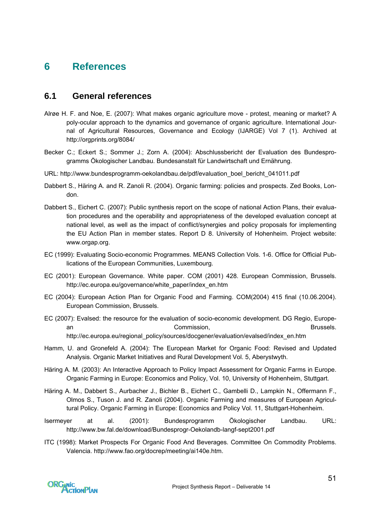## **6 References**

## **6.1 General references**

- Alrøe H. F. and Noe, E. (2007): What makes organic agriculture move protest, meaning or market? A poly-ocular approach to the dynamics and governance of organic agriculture. International Journal of Agricultural Resources, Governance and Ecology (IJARGE) Vol 7 (1). Archived at <http://orgprints.org/8084/>
- Becker C.; Eckert S.; Sommer J.; Zorn A. (2004): Abschlussbericht der Evaluation des Bundesprogramms Ökologischer Landbau. Bundesanstalt für Landwirtschaft und Ernährung.
- URL: http://www.bundesprogramm-oekolandbau.de/pdf/evaluation\_boel\_bericht\_041011.pdf
- Dabbert S., Häring A. and R. Zanoli R. (2004). Organic farming: policies and prospects. Zed Books, London.
- Dabbert S., Eichert C. (2007): Public synthesis report on the scope of national Action Plans, their evaluation procedures and the operability and appropriateness of the developed evaluation concept at national level, as well as the impact of conflict/synergies and policy proposals for implementing the EU Action Plan in member states. Report D 8. University of Hohenheim. Project website: [www.orgap.org.](http://www.orgap.org/)
- EC (1999): Evaluating Socio-economic Programmes. MEANS Collection Vols. 1-6. Office for Official Publications of the European Communities, Luxembourg.
- EC (2001): European Governance. White paper. COM (2001) 428. European Commission, Brussels. [http://ec.europa.eu/governance/white\\_paper/index\\_en.htm](http://ec.europa.eu/governance/white_paper/index_en.htm)
- EC (2004): European Action Plan for Organic Food and Farming. COM(2004) 415 final (10.06.2004). European Commission, Brussels.
- EC (2007): Evalsed: the resource for the evaluation of socio-economic development. DG Regio, European an Commission, Brussels. http://ec.europa.eu/regional\_policy/sources/docgener/evaluation/evalsed/index\_en.htm
- Hamm, U. and Gronefeld A. (2004): The European Market for Organic Food: Revised and Updated Analysis. Organic Market Initiatives and Rural Development Vol. 5, Aberystwyth.
- Häring A. M. (2003): An Interactive Approach to Policy Impact Assessment for Organic Farms in Europe. [Organic Farming in Europe: Economics and Policy,](https://www.uni-hohenheim.de/i410a/ofeurope/) Vol. 10, University of Hohenheim, Stuttgart.
- Häring A. M., Dabbert S., Aurbacher J., Bichler B., Eichert C., Gambelli D., Lampkin N., Offermann F., Olmos S., Tuson J. and R. Zanoli (2004). Organic Farming and measures of European Agricultural Policy. Organic Farming in Europe: Economics and Policy Vol. 11, Stuttgart-Hohenheim.
- Isermeyer at al. (2001): Bundesprogramm Ökologischer Landbau. URL: http://www.bw.fal.de/download/Bundesprogr-Oekolandb-langf-sept2001.pdf
- ITC (1998): Market Prospects For Organic Food And Beverages. Committee On Commodity Problems. Valencia. http://www.fao.org/docrep/meeting/ai140e.htm.

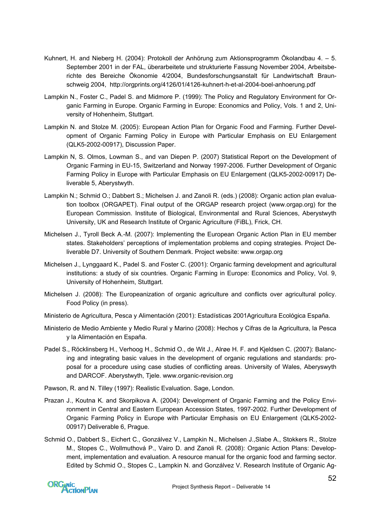- Kuhnert, H. and Nieberg H. (2004): Protokoll der Anhörung zum Aktionsprogramm Ökolandbau 4. 5. September 2001 in der FAL, überarbeitete und strukturierte Fassung November 2004, Arbeitsberichte des Bereiche Ökonomie 4/2004, Bundesforschungsanstalt für Landwirtschaft Braunschweig 2004, http://orgprints.org/4126/01/4126-kuhnert-h-et-al-2004-boel-anhoerung.pdf
- Lampkin N., Foster C., Padel S. and Midmore P. (1999): The Policy and Regulatory Environment for Organic Farming in Europe. [Organic Farming in Europe: Economics and Policy,](https://www.uni-hohenheim.de/i410a/ofeurope/) Vols. 1 and 2, University of Hohenheim, Stuttgart.
- Lampkin N. and Stolze M. (2005): European Action Plan for Organic Food and Farming. Further Development of Organic Farming Policy in Europe with Particular Emphasis on EU Enlargement (QLK5-2002-00917), Discussion Paper.
- Lampkin N, S. Olmos, Lowman S., and van Diepen P. (2007) Statistical Report on the Development of Organic Farming in EU-15, Switzerland and Norway 1997-2006. Further Development of Organic Farming Policy in Europe with Particular Emphasis on EU Enlargement (QLK5-2002-00917) Deliverable 5, Aberystwyth.
- Lampkin N.; Schmid O.; Dabbert S.; Michelsen J. and Zanoli R. (eds.) (2008): Organic action plan evaluation toolbox (ORGAPET). Final output of the ORGAP research project [\(www.orgap.org\)](http://www.orgap.org/) for the European Commission. Institute of Biological, Environmental and Rural Sciences, Aberystwyth University, UK and Research Institute of Organic Agriculture (FiBL), Frick, CH.
- Michelsen J., Tyroll Beck A.-M. (2007): Implementing the European Organic Action Plan in EU member states. Stakeholders' perceptions of implementation problems and coping strategies. Project Deliverable D7. University of Southern Denmark. Project website: www.orgap.org
- Michelsen J., Lynggaard K., Padel S. and Foster C. (2001): Organic farming development and agricultural institutions: a study of six countries. Organic Farming in Europe: Economics and Policy, Vol. 9, University of Hohenheim, Stuttgart.
- Michelsen J. (2008): The Europeanization of organic agriculture and conflicts over agricultural policy. Food Policy (in press).
- Ministerio de Agricultura, Pesca y Alimentación (2001): Estadísticas 2001Agricultura Ecológica España.
- Ministerio de Medio Ambiente y Medio Rural y Marino (2008): Hechos y Cifras de la Agricultura, la Pesca y la Alimentación en España.
- Padel S., Röcklinsberg H., Verhoog H., Schmid O., de Wit J., Alrøe H. F. and Kjeldsen C. (2007): Balancing and integrating basic values in the development of organic regulations and standards: proposal for a procedure using case studies of conflicting areas. University of Wales, Aberyswyth and DARCOF. Aberystwyth, Tjele. www.organic-revision.org
- Pawson, R. and N. Tilley (1997): Realistic Evaluation. Sage, London.
- Prazan J., Koutna K. and Skorpikova A. (2004): Development of Organic Farming and the Policy Environment in Central and Eastern European Accession States, 1997-2002. Further Development of Organic Farming Policy in Europe with Particular Emphasis on EU Enlargement (QLK5-2002- 00917) Deliverable 6, Prague.
- Schmid O., Dabbert S., Eichert C., Gonzálvez V., Lampkin N., Michelsen J.,Slabe A., Stokkers R., Stolze M., Stopes C., Wollmuthová P., Vairo D. and Zanoli R. (2008): Organic Action Plans: Development, implementation and evaluation. A resource manual for the organic food and farming sector. Edited by Schmid O., Stopes C., Lampkin N. and Gonzálvez V. Research Institute of Organic Ag-

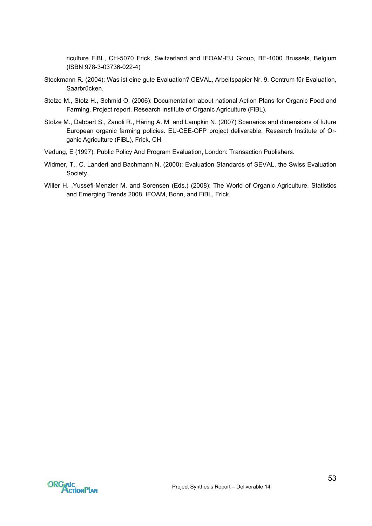riculture FiBL, CH-5070 Frick, Switzerland and IFOAM-EU Group, BE-1000 Brussels, Belgium (ISBN 978-3-03736-022-4)

- Stockmann R. (2004): Was ist eine gute Evaluation? CEVAL, Arbeitspapier Nr. 9. Centrum für Evaluation, Saarbrücken.
- Stolze M., Stolz H., Schmid O. (2006): Documentation about national Action Plans for Organic Food and Farming. Project report. Research Institute of Organic Agriculture (FiBL).
- Stolze M., Dabbert S., Zanoli R., Häring A. M. and Lampkin N. (2007) Scenarios and dimensions of future European organic farming policies. [EU-CEE-OFP project d](http://www.irs.aber.ac.uk/euceeofp)eliverable. Research Institute of Organic Agriculture (FiBL), Frick, CH.
- Vedung, E (1997): Public Policy And Program Evaluation, London: Transaction Publishers.
- Widmer, T., C. Landert and Bachmann N. (2000): [Evaluation Standards of SEVAL](http://www.seval.ch/en/standards/index.cfm), the Swiss Evaluation Society.
- Willer H. ,Yussefi-Menzler M. and Sorensen (Eds.) (2008): The World of Organic Agriculture. Statistics and Emerging Trends 2008. IFOAM, Bonn, and FiBL, Frick.

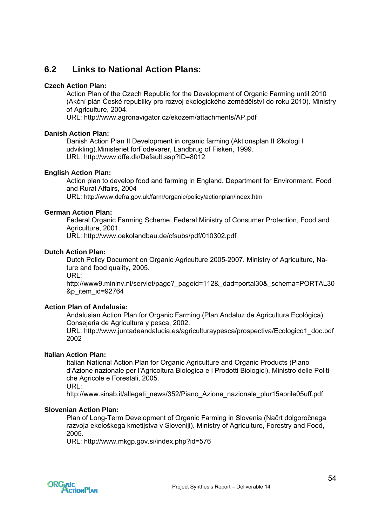## **6.2 Links to National Action Plans:**

### **Czech Action Plan:**

Action Plan of the Czech Republic for the Development of Organic Farming until 2010 (Akční plán České republiky pro rozvoj ekologického zemědělství do roku 2010). Ministry of Agriculture, 2004.

URL: http://www.agronavigator.cz/ekozem/attachments/AP.pdf

#### **Danish Action Plan:**

Danish Action Plan II Development in organic farming (Aktionsplan II Økologi I udvikling).Ministeriet forFodevarer, Landbrug of Fiskeri, 1999. URL: http://www.dffe.dk/Default.asp?ID=8012

### **English Action Plan:**

Action plan to develop food and farming in England. Department for Environment, Food and Rural Affairs, 2004 URL: http://www.defra.gov.uk/farm/organic/policy/actionplan/index.htm

#### **German Action Plan:**

Federal Organic Farming Scheme. Federal Ministry of Consumer Protection, Food and Agriculture, 2001.

URL: http://www.oekolandbau.de/cfsubs/pdf/010302.pdf

#### **Dutch Action Plan:**

Dutch Policy Document on Organic Agriculture 2005-2007. Ministry of Agriculture, Nature and food quality, 2005.

URL:

http://www9.minlnv.nl/servlet/page? pageid=112& dad=portal30& schema=PORTAL30 &p\_item\_id=92764

### **Action Plan of Andalusia:**

Andalusian Action Plan for Organic Farming (Plan Andaluz de Agricultura Ecológica). Consejeria de Agricultura y pesca, 2002.

URL: [http://www.juntadeandalucia.es/agriculturaypesca/prospectiva/Ecologico1\\_doc.pdf](http://www.juntadeandalucia.es/agriculturaypesca/prospectiva/Ecologico1_doc.pdf) 2002

### **Italian Action Plan:**

Italian National Action Plan for Organic Agriculture and Organic Products (Piano d'Azione nazionale per l'Agricoltura Biologica e i Prodotti Biologici). Ministro delle Politiche Agricole e Forestali, 2005.

URL:

http://www.sinab.it/allegati\_news/352/Piano\_Azione\_nazionale\_plur15aprile05uff.pdf

#### **Slovenian Action Plan:**

Plan of Long-Term Development of Organic Farming in Slovenia (Načrt dolgoročnega razvoja ekološkega kmetijstva v Sloveniji). Ministry of Agriculture, Forestry and Food, 2005.

URL: http://www.mkgp.gov.si/index.php?id=576

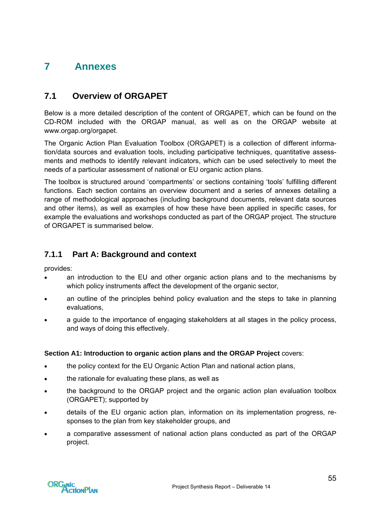# **7 Annexes**

## **7.1 Overview of ORGAPET**

Below is a more detailed description of the content of ORGAPET, which can be found on the CD-ROM included with the ORGAP manual, as well as on the ORGAP website at [www.orgap.org/orgapet](http://www.orgap.org/orgapet).

The Organic Action Plan Evaluation Toolbox (ORGAPET) is a collection of different information/data sources and evaluation tools, including participative techniques, quantitative assessments and methods to identify relevant indicators, which can be used selectively to meet the needs of a particular assessment of national or EU organic action plans.

The toolbox is structured around 'compartments' or sections containing 'tools' fulfilling different functions. Each section contains an overview document and a series of annexes detailing a range of methodological approaches (including background documents, relevant data sources and other items), as well as examples of how these have been applied in specific cases, for example the evaluations and workshops conducted as part of the ORGAP project. The structure of ORGAPET is summarised below.

## **7.1.1 Part A: Background and context**

provides:

- an introduction to the EU and other organic action plans and to the mechanisms by which policy instruments affect the development of the organic sector,
- an outline of the principles behind policy evaluation and the steps to take in planning evaluations,
- a guide to the importance of engaging stakeholders at all stages in the policy process, and ways of doing this effectively.

### **Section A1: Introduction to organic action plans and the ORGAP Project** covers:

- the policy context for the EU Organic Action Plan and national action plans,
- the rationale for evaluating these plans, as well as
- the background to the ORGAP project and the organic action plan evaluation toolbox (ORGAPET); supported by
- details of the EU organic action plan, information on its implementation progress, responses to the plan from key stakeholder groups, and
- a comparative assessment of national action plans conducted as part of the ORGAP project.

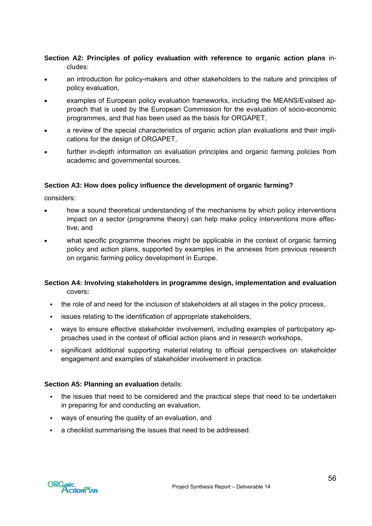**Section A2: Principles of policy evaluation with reference to organic action plans** includes:

- an introduction for policy-makers and other stakeholders to the nature and principles of policy evaluation,
- examples of European policy evaluation frameworks, including the MEANS/Evalsed approach that is used by the European Commission for the evaluation of socio-economic programmes, and that has been used as the basis for ORGAPET,
- a review of the special characteristics of organic action plan evaluations and their implications for the design of ORGAPET,
- further in-depth information on evaluation principles and organic farming policies from academic and governmental sources.

### **Section A3: How does policy influence the development of organic farming?**

considers:

- how a sound theoretical understanding of the mechanisms by which policy interventions impact on a sector (programme theory) can help make policy interventions more effective; and
- what specific programme theories might be applicable in the context of organic farming policy and action plans, supported by examples in the annexes from previous research on organic farming policy development in Europe.

#### **Section A4: Involving stakeholders in programme design, implementation and evaluation**  covers**:**

- the role of and need for the inclusion of stakeholders at all stages in the policy process,
- issues relating to the identification of appropriate stakeholders,
- ways to ensure effective stakeholder involvement, including examples of participatory approaches used in the context of official action plans and in research workshops,
- significant additional supporting material relating to official perspectives on stakeholder engagement and examples of stakeholder involvement in practice.

### **Section A5: Planning an evaluation** details:

- the issues that need to be considered and the practical steps that need to be undertaken in preparing for and conducting an evaluation,
- ways of ensuring the quality of an evaluation, and
- a checklist summarising the issues that need to be addressed.

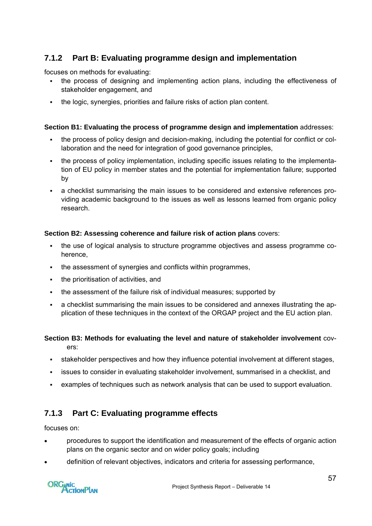## **7.1.2 Part B: Evaluating programme design and implementation**

focuses on methods for evaluating:

- the process of designing and implementing action plans, including the effectiveness of stakeholder engagement, and
- the logic, synergies, priorities and failure risks of action plan content.

### **Section B1: Evaluating the process of programme design and implementation** addresses:

- the process of policy design and decision-making, including the potential for conflict or collaboration and the need for integration of good governance principles,
- the process of policy implementation, including specific issues relating to the implementation of EU policy in member states and the potential for implementation failure; supported by
- a checklist summarising the main issues to be considered and extensive references providing academic background to the issues as well as lessons learned from organic policy research.

### **Section B2: Assessing coherence and failure risk of action plans** covers:

- the use of logical analysis to structure programme objectives and assess programme coherence,
- the assessment of synergies and conflicts within programmes,
- the prioritisation of activities, and
- the assessment of the failure risk of individual measures; supported by
- a checklist summarising the main issues to be considered and annexes illustrating the application of these techniques in the context of the ORGAP project and the EU action plan.

## **Section B3: Methods for evaluating the level and nature of stakeholder involvement** covers:

- stakeholder perspectives and how they influence potential involvement at different stages,
- issues to consider in evaluating stakeholder involvement, summarised in a checklist, and
- examples of techniques such as network analysis that can be used to support evaluation.

## **7.1.3 Part C: Evaluating programme effects**

focuses on:

- procedures to support the identification and measurement of the effects of organic action plans on the organic sector and on wider policy goals; including
- definition of relevant objectives, indicators and criteria for assessing performance,

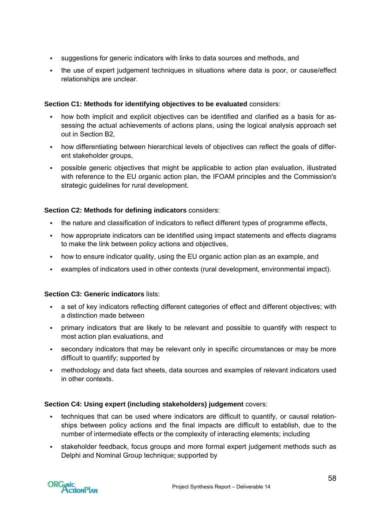- suggestions for generic indicators with links to data sources and methods, and
- the use of expert judgement techniques in situations where data is poor, or cause/effect relationships are unclear.

### **Section C1: Methods for identifying objectives to be evaluated** considers:

- how both implicit and explicit objectives can be identified and clarified as a basis for assessing the actual achievements of actions plans, using the logical analysis approach set out in Section B2,
- how differentiating between hierarchical levels of objectives can reflect the goals of different stakeholder groups,
- possible generic objectives that might be applicable to action plan evaluation, illustrated with reference to the EU organic action plan, the IFOAM principles and the Commission's strategic guidelines for rural development.

### **Section C2: Methods for defining indicators** considers:

- the nature and classification of indicators to reflect different types of programme effects,
- how appropriate indicators can be identified using impact statements and effects diagrams to make the link between policy actions and objectives,
- how to ensure indicator quality, using the EU organic action plan as an example, and
- examples of indicators used in other contexts (rural development, environmental impact).

### **Section C3: Generic indicators** lists:

- a set of key indicators reflecting different categories of effect and different objectives; with a distinction made between
- primary indicators that are likely to be relevant and possible to quantify with respect to most action plan evaluations, and
- secondary indicators that may be relevant only in specific circumstances or may be more difficult to quantify; supported by
- methodology and data fact sheets, data sources and examples of relevant indicators used in other contexts.

### **Section C4: Using expert (including stakeholders) judgement** covers:

- techniques that can be used where indicators are difficult to quantify, or causal relationships between policy actions and the final impacts are difficult to establish, due to the number of intermediate effects or the complexity of interacting elements; including
- stakeholder feedback, focus groups and more formal expert judgement methods such as Delphi and Nominal Group technique; supported by

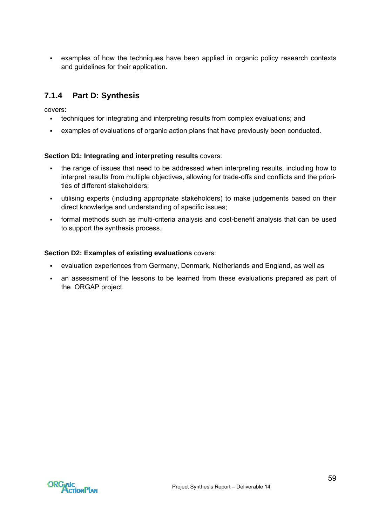examples of how the techniques have been applied in organic policy research contexts and guidelines for their application.

## **7.1.4 Part D: Synthesis**

covers:

- techniques for integrating and interpreting results from complex evaluations; and
- examples of evaluations of organic action plans that have previously been conducted.

### **Section D1: Integrating and interpreting results** covers:

- the range of issues that need to be addressed when interpreting results, including how to interpret results from multiple objectives, allowing for trade-offs and conflicts and the priorities of different stakeholders;
- utilising experts (including appropriate stakeholders) to make judgements based on their direct knowledge and understanding of specific issues;
- formal methods such as multi-criteria analysis and cost-benefit analysis that can be used to support the synthesis process.

### **Section D2: Examples of existing evaluations** covers:

- evaluation experiences from Germany, Denmark, Netherlands and England, as well as
- an assessment of the lessons to be learned from these evaluations prepared as part of the ORGAP project.

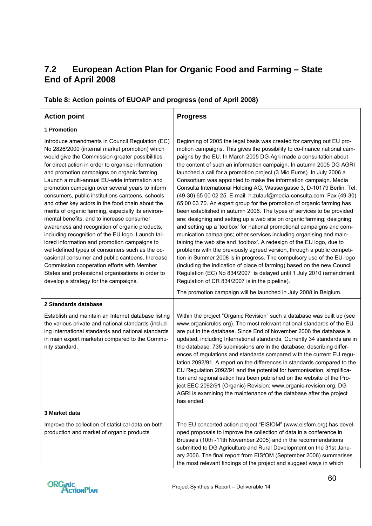## **7.2 European Action Plan for Organic Food and Farming – State End of April 2008**

| <b>Action point</b>                                                                                                                                                                                                                                                                                                                                                                                                                                                                                                                                                                                                                                                                                                                                                                                                                                                                                                                                                               | <b>Progress</b>                                                                                                                                                                                                                                                                                                                                                                                                                                                                                                                                                                                                                                                                                                                                                                                                                                                                                                                                                                                                                                                                                                                                                                                                                                                                                                                                                                                                                                                                 |
|-----------------------------------------------------------------------------------------------------------------------------------------------------------------------------------------------------------------------------------------------------------------------------------------------------------------------------------------------------------------------------------------------------------------------------------------------------------------------------------------------------------------------------------------------------------------------------------------------------------------------------------------------------------------------------------------------------------------------------------------------------------------------------------------------------------------------------------------------------------------------------------------------------------------------------------------------------------------------------------|---------------------------------------------------------------------------------------------------------------------------------------------------------------------------------------------------------------------------------------------------------------------------------------------------------------------------------------------------------------------------------------------------------------------------------------------------------------------------------------------------------------------------------------------------------------------------------------------------------------------------------------------------------------------------------------------------------------------------------------------------------------------------------------------------------------------------------------------------------------------------------------------------------------------------------------------------------------------------------------------------------------------------------------------------------------------------------------------------------------------------------------------------------------------------------------------------------------------------------------------------------------------------------------------------------------------------------------------------------------------------------------------------------------------------------------------------------------------------------|
| 1 Promotion                                                                                                                                                                                                                                                                                                                                                                                                                                                                                                                                                                                                                                                                                                                                                                                                                                                                                                                                                                       |                                                                                                                                                                                                                                                                                                                                                                                                                                                                                                                                                                                                                                                                                                                                                                                                                                                                                                                                                                                                                                                                                                                                                                                                                                                                                                                                                                                                                                                                                 |
| Introduce amendments in Council Regulation (EC)<br>No 2826/2000 (internal market promotion) which<br>would give the Commission greater possibilities<br>for direct action in order to organise information<br>and promotion campaigns on organic farming.<br>Launch a multi-annual EU-wide information and<br>promotion campaign over several years to inform<br>consumers, public institutions canteens, schools<br>and other key actors in the food chain about the<br>merits of organic farming, especially its environ-<br>mental benefits, and to increase consumer<br>awareness and recognition of organic products,<br>including recognition of the EU logo. Launch tai-<br>lored information and promotion campaigns to<br>well-defined types of consumers such as the oc-<br>casional consumer and public canteens. Increase<br>Commission cooperation efforts with Member<br>States and professional organisations in order to<br>develop a strategy for the campaigns. | Beginning of 2005 the legal basis was created for carrying out EU pro-<br>motion campaigns. This gives the possibility to co-finance national cam-<br>paigns by the EU. In March 2005 DG-Agri made a consultation about<br>the content of such an information campaign. In autumn 2005 DG AGRI<br>launched a call for a promotion project (3 Mio Euros). In July 2006 a<br>Consortium was appointed to make the information campaign. Media<br>Consulta International Holding AG, Wassergasse 3, D-10179 Berlin. Tel.<br>(49-30) 65 00 02 25. E-mail: h.zulauf@media-consulta.com. Fax (49-30)<br>65 00 03 70. An expert group for the promotion of organic farming has<br>been established in autumn 2006. The types of services to be provided<br>are: designing and setting up a web site on organic farming; designing<br>and setting up a 'toolbox' for national promotional campaigns and com-<br>munication campaigns; other services including organising and main-<br>taining the web site and 'toolbox'. A redesign of the EU logo, due to<br>problems with the previously agreed version, through a public competi-<br>tion in Summer 2008 is in progress. The compulsory use of the EU-logo<br>(including the indication of place of farming) based on the new Council<br>Regulation (EC) No 834/2007 is delayed until 1 July 2010 (amendment<br>Regulation of CR 834/2007 is in the pipeline).<br>The promotion campaign will be launched in July 2008 in Belgium. |
| 2 Standards database                                                                                                                                                                                                                                                                                                                                                                                                                                                                                                                                                                                                                                                                                                                                                                                                                                                                                                                                                              |                                                                                                                                                                                                                                                                                                                                                                                                                                                                                                                                                                                                                                                                                                                                                                                                                                                                                                                                                                                                                                                                                                                                                                                                                                                                                                                                                                                                                                                                                 |
| Establish and maintain an Internet database listing<br>the various private and national standards (includ-<br>ing international standards and national standards<br>in main export markets) compared to the Commu-<br>nity standard.                                                                                                                                                                                                                                                                                                                                                                                                                                                                                                                                                                                                                                                                                                                                              | Within the project "Organic Revision" such a database was built up (see<br>www.organicrules.org). The most relevant national standards of the EU<br>are put in the database. Since End of November 2006 the database is<br>updated, including International standards. Currently 34 standards are in<br>the database. 735 submissions are in the database, describing differ-<br>ences of regulations and standards compared with the current EU regu-<br>lation 2092/91. A report on the differences in standards compared to the<br>EU Regulation 2092/91 and the potential for harmonisation, simplifica-<br>tion and regionalisation has been published on the website of the Pro-<br>ject EEC 2092/91 (Organic) Revision: www.organic-revision.org. DG<br>AGRI is examining the maintenance of the database after the project<br>has ended.                                                                                                                                                                                                                                                                                                                                                                                                                                                                                                                                                                                                                                |
| 3 Market data                                                                                                                                                                                                                                                                                                                                                                                                                                                                                                                                                                                                                                                                                                                                                                                                                                                                                                                                                                     |                                                                                                                                                                                                                                                                                                                                                                                                                                                                                                                                                                                                                                                                                                                                                                                                                                                                                                                                                                                                                                                                                                                                                                                                                                                                                                                                                                                                                                                                                 |
| Improve the collection of statistical data on both<br>production and market of organic products                                                                                                                                                                                                                                                                                                                                                                                                                                                                                                                                                                                                                                                                                                                                                                                                                                                                                   | The EU concerted action project "EISfOM" (www.eisfom.org) has devel-<br>oped proposals to improve the collection of data in a conference in<br>Brussels (10th -11th November 2005) and in the recommendations<br>submitted to DG Agriculture and Rural Development on the 31st Janu-<br>ary 2006. The final report from EISfOM (September 2006) summarises<br>the most relevant findings of the project and suggest ways in which                                                                                                                                                                                                                                                                                                                                                                                                                                                                                                                                                                                                                                                                                                                                                                                                                                                                                                                                                                                                                                               |

## **Table 8: Action points of EUOAP and progress (end of April 2008)**

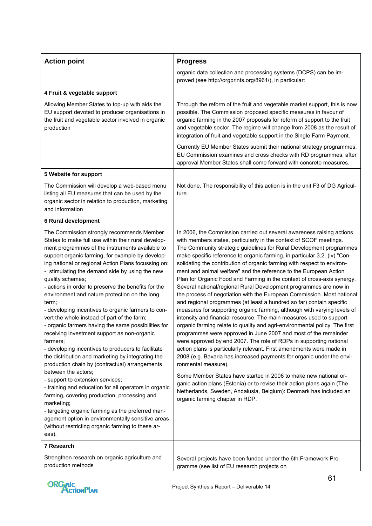| <b>Action point</b>                                                                                                                                                                                                                                                                                                                                                                                                                                                                                                                                                                                                                                                                                                                                                                                                                                                                                                                                                                                                                                                                                                                                                                                 | <b>Progress</b>                                                                                                                                                                                                                                                                                                                                                                                                                                                                                                                                                                                                                                                                                                                                                                                                                                                                                                                                                                                                                                                                                                                                                                                                                                                                                                                                                                                                                                                                                                                                            |
|-----------------------------------------------------------------------------------------------------------------------------------------------------------------------------------------------------------------------------------------------------------------------------------------------------------------------------------------------------------------------------------------------------------------------------------------------------------------------------------------------------------------------------------------------------------------------------------------------------------------------------------------------------------------------------------------------------------------------------------------------------------------------------------------------------------------------------------------------------------------------------------------------------------------------------------------------------------------------------------------------------------------------------------------------------------------------------------------------------------------------------------------------------------------------------------------------------|------------------------------------------------------------------------------------------------------------------------------------------------------------------------------------------------------------------------------------------------------------------------------------------------------------------------------------------------------------------------------------------------------------------------------------------------------------------------------------------------------------------------------------------------------------------------------------------------------------------------------------------------------------------------------------------------------------------------------------------------------------------------------------------------------------------------------------------------------------------------------------------------------------------------------------------------------------------------------------------------------------------------------------------------------------------------------------------------------------------------------------------------------------------------------------------------------------------------------------------------------------------------------------------------------------------------------------------------------------------------------------------------------------------------------------------------------------------------------------------------------------------------------------------------------------|
|                                                                                                                                                                                                                                                                                                                                                                                                                                                                                                                                                                                                                                                                                                                                                                                                                                                                                                                                                                                                                                                                                                                                                                                                     | organic data collection and processing systems (DCPS) can be im-<br>proved (see http://orgprints.org/8961/), in particular:                                                                                                                                                                                                                                                                                                                                                                                                                                                                                                                                                                                                                                                                                                                                                                                                                                                                                                                                                                                                                                                                                                                                                                                                                                                                                                                                                                                                                                |
| 4 Fruit & vegetable support                                                                                                                                                                                                                                                                                                                                                                                                                                                                                                                                                                                                                                                                                                                                                                                                                                                                                                                                                                                                                                                                                                                                                                         |                                                                                                                                                                                                                                                                                                                                                                                                                                                                                                                                                                                                                                                                                                                                                                                                                                                                                                                                                                                                                                                                                                                                                                                                                                                                                                                                                                                                                                                                                                                                                            |
| Allowing Member States to top-up with aids the<br>EU support devoted to producer organisations in<br>the fruit and vegetable sector involved in organic<br>production                                                                                                                                                                                                                                                                                                                                                                                                                                                                                                                                                                                                                                                                                                                                                                                                                                                                                                                                                                                                                               | Through the reform of the fruit and vegetable market support, this is now<br>possible. The Commission proposed specific measures in favour of<br>organic farming in the 2007 proposals for reform of support to the fruit<br>and vegetable sector. The regime will change from 2008 as the result of<br>integration of fruit and vegetable support in the Single Farm Payment.                                                                                                                                                                                                                                                                                                                                                                                                                                                                                                                                                                                                                                                                                                                                                                                                                                                                                                                                                                                                                                                                                                                                                                             |
|                                                                                                                                                                                                                                                                                                                                                                                                                                                                                                                                                                                                                                                                                                                                                                                                                                                                                                                                                                                                                                                                                                                                                                                                     | Currently EU Member States submit their national strategy programmes,<br>EU Commission examines and cross checks with RD programmes, after<br>approval Member States shall come forward with concrete measures.                                                                                                                                                                                                                                                                                                                                                                                                                                                                                                                                                                                                                                                                                                                                                                                                                                                                                                                                                                                                                                                                                                                                                                                                                                                                                                                                            |
| 5 Website for support                                                                                                                                                                                                                                                                                                                                                                                                                                                                                                                                                                                                                                                                                                                                                                                                                                                                                                                                                                                                                                                                                                                                                                               |                                                                                                                                                                                                                                                                                                                                                                                                                                                                                                                                                                                                                                                                                                                                                                                                                                                                                                                                                                                                                                                                                                                                                                                                                                                                                                                                                                                                                                                                                                                                                            |
| The Commission will develop a web-based menu<br>listing all EU measures that can be used by the<br>organic sector in relation to production, marketing<br>and information                                                                                                                                                                                                                                                                                                                                                                                                                                                                                                                                                                                                                                                                                                                                                                                                                                                                                                                                                                                                                           | Not done. The responsibility of this action is in the unit F3 of DG Agricul-<br>ture.                                                                                                                                                                                                                                                                                                                                                                                                                                                                                                                                                                                                                                                                                                                                                                                                                                                                                                                                                                                                                                                                                                                                                                                                                                                                                                                                                                                                                                                                      |
| <b>6 Rural development</b>                                                                                                                                                                                                                                                                                                                                                                                                                                                                                                                                                                                                                                                                                                                                                                                                                                                                                                                                                                                                                                                                                                                                                                          |                                                                                                                                                                                                                                                                                                                                                                                                                                                                                                                                                                                                                                                                                                                                                                                                                                                                                                                                                                                                                                                                                                                                                                                                                                                                                                                                                                                                                                                                                                                                                            |
| The Commission strongly recommends Member<br>States to make full use within their rural develop-<br>ment programmes of the instruments available to<br>support organic farming, for example by develop-<br>ing national or regional Action Plans focussing on:<br>- stimulating the demand side by using the new<br>quality schemes;<br>- actions in order to preserve the benefits for the<br>environment and nature protection on the long<br>term;<br>- developing incentives to organic farmers to con-<br>vert the whole instead of part of the farm;<br>- organic farmers having the same possibilities for<br>receiving investment support as non-organic<br>farmers;<br>- developing incentives to producers to facilitate<br>the distribution and marketing by integrating the<br>production chain by (contractual) arrangements<br>between the actors;<br>- support to extension services;<br>- training and education for all operators in organic<br>farming, covering production, processing and<br>marketing;<br>- targeting organic farming as the preferred man-<br>agement option in environmentally sensitive areas<br>(without restricting organic farming to these ar-<br>eas). | In 2006, the Commission carried out several awareness raising actions<br>with members states, particularly in the context of SCOF meetings.<br>The Community strategic guidelines for Rural Development programmes<br>make specific reference to organic farming, in particular 3.2. (iv) "Con-<br>solidating the contribution of organic farming with respect to environ-<br>ment and animal welfare" and the reference to the European Action<br>Plan for Organic Food and Farming in the context of cross-axis synergy.<br>Several national/regional Rural Development programmes are now in<br>the process of negotiation with the European Commission. Most national<br>and regional programmes (at least a hundred so far) contain specific<br>measures for supporting organic farming, although with varying levels of<br>intensity and financial resource. The main measures used to support<br>organic farming relate to quality and agri-environmental policy. The first<br>programmes were approved in June 2007 and most of the remainder<br>were approved by end 2007. The role of RDPs in supporting national<br>action plans is particularly relevant. First amendments were made in<br>2008 (e.g. Bavaria has increased payments for organic under the envi-<br>ronmental measure).<br>Some Member States have started in 2006 to make new national or-<br>ganic action plans (Estonia) or to revise their action plans again (The<br>Netherlands, Sweden, Andalusia, Belgium): Denmark has included an<br>organic farming chapter in RDP. |
| 7 Research                                                                                                                                                                                                                                                                                                                                                                                                                                                                                                                                                                                                                                                                                                                                                                                                                                                                                                                                                                                                                                                                                                                                                                                          |                                                                                                                                                                                                                                                                                                                                                                                                                                                                                                                                                                                                                                                                                                                                                                                                                                                                                                                                                                                                                                                                                                                                                                                                                                                                                                                                                                                                                                                                                                                                                            |
| Strengthen research on organic agriculture and<br>production methods                                                                                                                                                                                                                                                                                                                                                                                                                                                                                                                                                                                                                                                                                                                                                                                                                                                                                                                                                                                                                                                                                                                                | Several projects have been funded under the 6th Framework Pro-<br>gramme (see list of EU research projects on                                                                                                                                                                                                                                                                                                                                                                                                                                                                                                                                                                                                                                                                                                                                                                                                                                                                                                                                                                                                                                                                                                                                                                                                                                                                                                                                                                                                                                              |

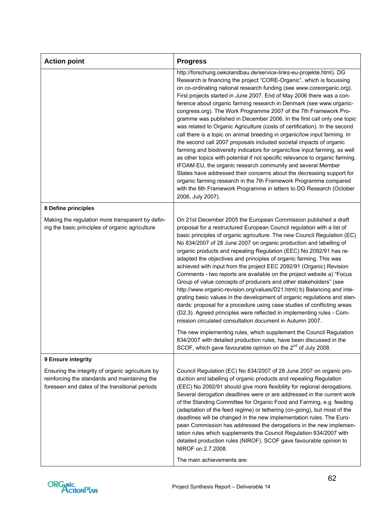| <b>Action point</b>                                                                                                                                 | <b>Progress</b>                                                                                                                                                                                                                                                                                                                                                                                                                                                                                                                                                                                                                                                                                                                                                                                                                                                                                                                                                                                                                                                                                                                                                                                                                                               |
|-----------------------------------------------------------------------------------------------------------------------------------------------------|---------------------------------------------------------------------------------------------------------------------------------------------------------------------------------------------------------------------------------------------------------------------------------------------------------------------------------------------------------------------------------------------------------------------------------------------------------------------------------------------------------------------------------------------------------------------------------------------------------------------------------------------------------------------------------------------------------------------------------------------------------------------------------------------------------------------------------------------------------------------------------------------------------------------------------------------------------------------------------------------------------------------------------------------------------------------------------------------------------------------------------------------------------------------------------------------------------------------------------------------------------------|
|                                                                                                                                                     | http://forschung.oekolandbau.de/service-links-eu-projekte.html). DG<br>Research is financing the project "CORE-Organic", which is focussing<br>on co-ordinating national research funding (see www.coreorganic.org).<br>First projects started in June 2007. End of May 2006 there was a con-<br>ference about organic farming research in Denmark (see www.organic-<br>congress.org). The Work Programme 2007 of the 7th Framework Pro-<br>gramme was published in December 2006. In the first call only one topic<br>was related to Organic Agriculture (costs of certification). In the second<br>call there is a topic on animal breeding in organic/low input farming. In<br>the second call 2007 proposals included societal impacts of organic<br>farming and biodiversity indicators for organic/low input farming, as well<br>as other topics with potential if not specific relevance to organic farming.<br>IFOAM EU, the organic research community and several Member<br>States have addressed their concerns about the decreasing support for<br>organic farming research in the 7th Framework Programme compared<br>with the 6th Framework Programme in letters to DG Research (October<br>2006, July 2007).                                   |
| 8 Define principles                                                                                                                                 |                                                                                                                                                                                                                                                                                                                                                                                                                                                                                                                                                                                                                                                                                                                                                                                                                                                                                                                                                                                                                                                                                                                                                                                                                                                               |
| Making the regulation more transparent by defin-<br>ing the basic principles of organic agriculture                                                 | On 21st December 2005 the European Commission published a draft<br>proposal for a restructured European Council regulation with a list of<br>basic principles of organic agriculture. The new Council Regulation (EC)<br>No 834/2007 of 28 June 2007 on organic production and labelling of<br>organic products and repealing Regulation (EEC) No 2092/91 has re-<br>adapted the objectives and principles of organic farming. This was<br>achieved with input from the project EEC 2092/91 (Organic) Revision<br>Comments - two reports are available on the project website a) "Focus<br>Group of value concepts of producers and other stakeholders" (see<br>http://www.organic-revision.org/values/D21.html) b) Balancing and inte-<br>grating basic values in the development of organic regulations and stan-<br>dards: proposal for a procedure using case studies of conflicting areas<br>(D2.3). Agreed principles were reflected in implementing rules - Com-<br>mission circulated consultation document in Autumn 2007.<br>The new implementing rules, which supplement the Council Regulation<br>834/2007 with detailed production rules, have been discussed in the<br>SCOF, which gave favourable opinion on the 2 <sup>nd</sup> of July 2008. |
| 9 Ensure integrity                                                                                                                                  |                                                                                                                                                                                                                                                                                                                                                                                                                                                                                                                                                                                                                                                                                                                                                                                                                                                                                                                                                                                                                                                                                                                                                                                                                                                               |
| Ensuring the integrity of organic agriculture by<br>reinforcing the standards and maintaining the<br>foreseen end dates of the transitional periods | Council Regulation (EC) No 834/2007 of 28 June 2007 on organic pro-<br>duction and labelling of organic products and repealing Regulation<br>(EEC) No 2092/91 should give more flexibility for regional derogations.<br>Several derogation deadlines were or are addressed in the current work<br>of the Standing Committee for Organic Food and Farming, e.g. feeding<br>(adaptation of the feed regime) or tethering (on-going), but most of the<br>deadlines will be changed in the new implementation rules. The Euro-<br>pean Commission has addressed the derogations in the new implemen-<br>tation rules which supplements the Council Regulation 834/2007 with<br>detailed production rules (NIROF). SCOF gave favourable opinion to<br>NIROF on 2.7.2008.<br>The main achievements are:                                                                                                                                                                                                                                                                                                                                                                                                                                                             |

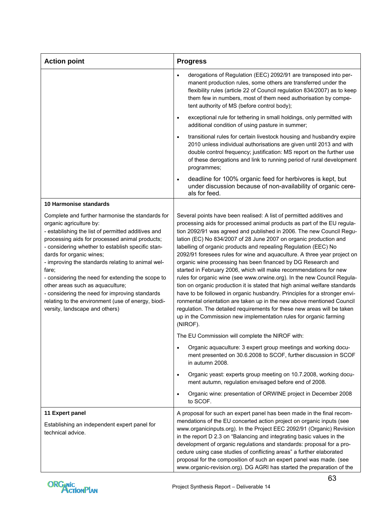| <b>Action point</b>                                                                                                                                                                                                                                                                                                                                                                                                                                                                                                                                                   | <b>Progress</b>                                                                                                                                                                                                                                                                                                                                                                                                                                                                                                                                                                                                                                                                                                                                                                                                                                                                                                                                                                                                                                                                                                |
|-----------------------------------------------------------------------------------------------------------------------------------------------------------------------------------------------------------------------------------------------------------------------------------------------------------------------------------------------------------------------------------------------------------------------------------------------------------------------------------------------------------------------------------------------------------------------|----------------------------------------------------------------------------------------------------------------------------------------------------------------------------------------------------------------------------------------------------------------------------------------------------------------------------------------------------------------------------------------------------------------------------------------------------------------------------------------------------------------------------------------------------------------------------------------------------------------------------------------------------------------------------------------------------------------------------------------------------------------------------------------------------------------------------------------------------------------------------------------------------------------------------------------------------------------------------------------------------------------------------------------------------------------------------------------------------------------|
|                                                                                                                                                                                                                                                                                                                                                                                                                                                                                                                                                                       | derogations of Regulation (EEC) 2092/91 are transposed into per-<br>manent production rules, some others are transferred under the<br>flexibility rules (article 22 of Council regulation 834/2007) as to keep<br>them few in numbers, most of them need authorisation by compe-<br>tent authority of MS (before control body);                                                                                                                                                                                                                                                                                                                                                                                                                                                                                                                                                                                                                                                                                                                                                                                |
|                                                                                                                                                                                                                                                                                                                                                                                                                                                                                                                                                                       | exceptional rule for tethering in small holdings, only permitted with<br>$\bullet$<br>additional condition of using pasture in summer;                                                                                                                                                                                                                                                                                                                                                                                                                                                                                                                                                                                                                                                                                                                                                                                                                                                                                                                                                                         |
|                                                                                                                                                                                                                                                                                                                                                                                                                                                                                                                                                                       | transitional rules for certain livestock housing and husbandry expire<br>$\bullet$<br>2010 unless individual authorisations are given until 2013 and with<br>double control frequency; justification: MS report on the further use<br>of these derogations and link to running period of rural development<br>programmes;                                                                                                                                                                                                                                                                                                                                                                                                                                                                                                                                                                                                                                                                                                                                                                                      |
|                                                                                                                                                                                                                                                                                                                                                                                                                                                                                                                                                                       | deadline for 100% organic feed for herbivores is kept, but<br>$\bullet$<br>under discussion because of non-availability of organic cere-<br>als for feed.                                                                                                                                                                                                                                                                                                                                                                                                                                                                                                                                                                                                                                                                                                                                                                                                                                                                                                                                                      |
| 10 Harmonise standards                                                                                                                                                                                                                                                                                                                                                                                                                                                                                                                                                |                                                                                                                                                                                                                                                                                                                                                                                                                                                                                                                                                                                                                                                                                                                                                                                                                                                                                                                                                                                                                                                                                                                |
| Complete and further harmonise the standards for<br>organic agriculture by:<br>- establishing the list of permitted additives and<br>processing aids for processed animal products;<br>- considering whether to establish specific stan-<br>dards for organic wines;<br>- improving the standards relating to animal wel-<br>fare;<br>- considering the need for extending the scope to<br>other areas such as aquaculture;<br>- considering the need for improving standards<br>relating to the environment (use of energy, biodi-<br>versity, landscape and others) | Several points have been realised: A list of permitted additives and<br>processing aids for processed animal products as part of the EU regula-<br>tion 2092/91 was agreed and published in 2006. The new Council Regu-<br>lation (EC) No 834/2007 of 28 June 2007 on organic production and<br>labelling of organic products and repealing Regulation (EEC) No<br>2092/91 foresees rules for wine and aquaculture. A three year project on<br>organic wine processing has been financed by DG Research and<br>started in February 2006, which will make recommendations for new<br>rules for organic wine (see www.orwine.org). In the new Council Regula-<br>tion on organic production it is stated that high animal welfare standards<br>have to be followed in organic husbandry. Principles for a stronger envi-<br>ronmental orientation are taken up in the new above mentioned Council<br>regulation. The detailed requirements for these new areas will be taken<br>up in the Commission new implementation rules for organic farming<br>(NIROF).<br>The EU Commission will complete the NIROF with: |
|                                                                                                                                                                                                                                                                                                                                                                                                                                                                                                                                                                       | Organic aquaculture: 3 expert group meetings and working docu-<br>ment presented on 30.6.2008 to SCOF, further discussion in SCOF<br>in autumn 2008.                                                                                                                                                                                                                                                                                                                                                                                                                                                                                                                                                                                                                                                                                                                                                                                                                                                                                                                                                           |
|                                                                                                                                                                                                                                                                                                                                                                                                                                                                                                                                                                       | Organic yeast: experts group meeting on 10.7.2008, working docu-<br>$\bullet$<br>ment autumn, regulation envisaged before end of 2008.                                                                                                                                                                                                                                                                                                                                                                                                                                                                                                                                                                                                                                                                                                                                                                                                                                                                                                                                                                         |
|                                                                                                                                                                                                                                                                                                                                                                                                                                                                                                                                                                       | Organic wine: presentation of ORWINE project in December 2008<br>$\bullet$<br>to SCOF.                                                                                                                                                                                                                                                                                                                                                                                                                                                                                                                                                                                                                                                                                                                                                                                                                                                                                                                                                                                                                         |
| 11 Expert panel<br>Establishing an independent expert panel for<br>technical advice.                                                                                                                                                                                                                                                                                                                                                                                                                                                                                  | A proposal for such an expert panel has been made in the final recom-<br>mendations of the EU concerted action project on organic inputs (see<br>www.organicinputs.org). In the Project EEC 2092/91 (Organic) Revision<br>in the report D 2.3 on "Balancing and integrating basic values in the<br>development of organic regulations and standards: proposal for a pro-<br>cedure using case studies of conflicting areas" a further elaborated<br>proposal for the composition of such an expert panel was made. (see<br>www.organic-revision.org). DG AGRI has started the preparation of the                                                                                                                                                                                                                                                                                                                                                                                                                                                                                                               |

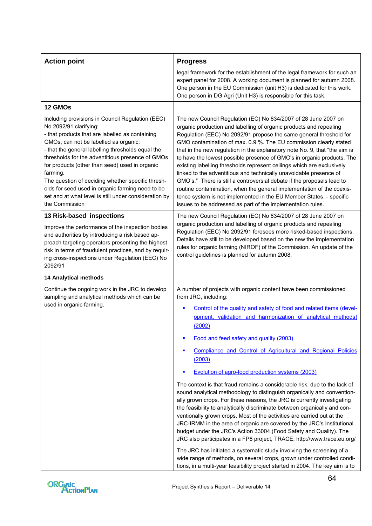| <b>Action point</b>                                                                                                                                                                                                                                                                                                                                                                                                                                                                                                               | <b>Progress</b>                                                                                                                                                                                                                                                                                                                                                                                                                                                                                                                                                                                                                                                                                                                                                                                                                                                                                                                                                                                                                                                                                                                                                                                                                                                                 |
|-----------------------------------------------------------------------------------------------------------------------------------------------------------------------------------------------------------------------------------------------------------------------------------------------------------------------------------------------------------------------------------------------------------------------------------------------------------------------------------------------------------------------------------|---------------------------------------------------------------------------------------------------------------------------------------------------------------------------------------------------------------------------------------------------------------------------------------------------------------------------------------------------------------------------------------------------------------------------------------------------------------------------------------------------------------------------------------------------------------------------------------------------------------------------------------------------------------------------------------------------------------------------------------------------------------------------------------------------------------------------------------------------------------------------------------------------------------------------------------------------------------------------------------------------------------------------------------------------------------------------------------------------------------------------------------------------------------------------------------------------------------------------------------------------------------------------------|
|                                                                                                                                                                                                                                                                                                                                                                                                                                                                                                                                   | legal framework for the establishment of the legal framework for such an<br>expert panel for 2008. A working document is planned for autumn 2008.<br>One person in the EU Commission (unit H3) is dedicated for this work.<br>One person in DG Agri (Unit H3) is responsible for this task.                                                                                                                                                                                                                                                                                                                                                                                                                                                                                                                                                                                                                                                                                                                                                                                                                                                                                                                                                                                     |
| 12 GMOs                                                                                                                                                                                                                                                                                                                                                                                                                                                                                                                           |                                                                                                                                                                                                                                                                                                                                                                                                                                                                                                                                                                                                                                                                                                                                                                                                                                                                                                                                                                                                                                                                                                                                                                                                                                                                                 |
| Including provisions in Council Regulation (EEC)<br>No 2092/91 clarifying:<br>- that products that are labelled as containing<br>GMOs, can not be labelled as organic;<br>- that the general labelling thresholds equal the<br>thresholds for the adventitious presence of GMOs<br>for products (other than seed) used in organic<br>farming.<br>The question of deciding whether specific thresh-<br>olds for seed used in organic farming need to be<br>set and at what level is still under consideration by<br>the Commission | The new Council Regulation (EC) No 834/2007 of 28 June 2007 on<br>organic production and labelling of organic products and repealing<br>Regulation (EEC) No 2092/91 propose the same general threshold for<br>GMO contamination of max. 0.9 %. The EU commission clearly stated<br>that in the new regulation in the explanatory note No. 9, that "the aim is<br>to have the lowest possible presence of GMO's in organic products. The<br>existing labelling thresholds represent ceilings which are exclusively<br>linked to the adventitious and technically unavoidable presence of<br>GMO's." There is still a controversial debate if the proposals lead to<br>routine contamination, when the general implementation of the coexis-<br>tence system is not implemented in the EU Member States. - specific<br>issues to be addressed as part of the implementation rules.                                                                                                                                                                                                                                                                                                                                                                                                |
| 13 Risk-based inspections<br>Improve the performance of the inspection bodies<br>and authorities by introducing a risk based ap-<br>proach targeting operators presenting the highest<br>risk in terms of fraudulent practices, and by requir-<br>ing cross-inspections under Regulation (EEC) No<br>2092/91                                                                                                                                                                                                                      | The new Council Regulation (EC) No 834/2007 of 28 June 2007 on<br>organic production and labelling of organic products and repealing<br>Regulation (EEC) No 2092/91 foresees more risked-based inspections.<br>Details have still to be developed based on the new the implementation<br>rules for organic farming (NIROF) of the Commission. An update of the<br>control guidelines is planned for autumn 2008.                                                                                                                                                                                                                                                                                                                                                                                                                                                                                                                                                                                                                                                                                                                                                                                                                                                                |
| <b>14 Analytical methods</b>                                                                                                                                                                                                                                                                                                                                                                                                                                                                                                      |                                                                                                                                                                                                                                                                                                                                                                                                                                                                                                                                                                                                                                                                                                                                                                                                                                                                                                                                                                                                                                                                                                                                                                                                                                                                                 |
| Continue the ongoing work in the JRC to develop<br>sampling and analytical methods which can be<br>used in organic farming.                                                                                                                                                                                                                                                                                                                                                                                                       | A number of projects with organic content have been commissioned<br>from JRC, including:<br>Control of the quality and safety of food and related items (devel-<br>opment, validation and harmonization of analytical methods)<br>(2002)<br>Food and feed safety and quality (2003)<br>Compliance and Control of Agricultural and Regional Policies<br>٠<br>(2003)<br>Evolution of agro-food production systems (2003)<br>The context is that fraud remains a considerable risk, due to the lack of<br>sound analytical methodology to distinguish organically and convention-<br>ally grown crops. For these reasons, the JRC is currently investigating<br>the feasibility to analytically discriminate between organically and con-<br>ventionally grown crops. Most of the activities are carried out at the<br>JRC-IRMM in the area of organic are covered by the JRC's Institutional<br>budget under the JRC's Action 33004 (Food Safety and Quality). The<br>JRC also participates in a FP6 project, TRACE, http://www.trace.eu.org/<br>The JRC has initiated a systematic study involving the screening of a<br>wide range of methods, on several crops, grown under controlled condi-<br>tions, in a multi-year feasibility project started in 2004. The key aim is to |

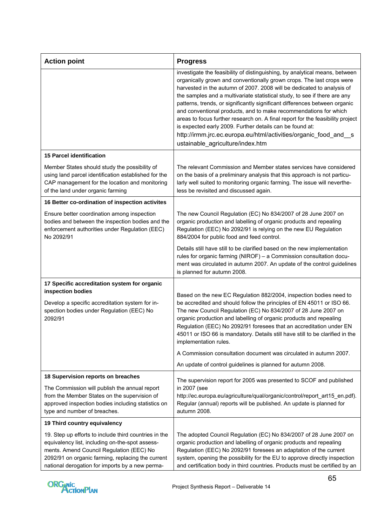| <b>Action point</b>                                                                                                                                                                                                                                          | <b>Progress</b>                                                                                                                                                                                                                                                                                                                                                                                                                                                                                                                                                                                                                                                                                                    |
|--------------------------------------------------------------------------------------------------------------------------------------------------------------------------------------------------------------------------------------------------------------|--------------------------------------------------------------------------------------------------------------------------------------------------------------------------------------------------------------------------------------------------------------------------------------------------------------------------------------------------------------------------------------------------------------------------------------------------------------------------------------------------------------------------------------------------------------------------------------------------------------------------------------------------------------------------------------------------------------------|
|                                                                                                                                                                                                                                                              | investigate the feasibility of distinguishing, by analytical means, between<br>organically grown and conventionally grown crops. The last crops were<br>harvested in the autumn of 2007. 2008 will be dedicated to analysis of<br>the samples and a multivariate statistical study, to see if there are any<br>patterns, trends, or significantly significant differences between organic<br>and conventional products, and to make recommendations for which<br>areas to focus further research on. A final report for the feasibility project<br>is expected early 2009. Further details can be found at:<br>http://irmm.jrc.ec.europa.eu/html/activities/organic_food_and_s<br>ustainable_agriculture/index.htm |
| <b>15 Parcel identification</b>                                                                                                                                                                                                                              |                                                                                                                                                                                                                                                                                                                                                                                                                                                                                                                                                                                                                                                                                                                    |
| Member States should study the possibility of<br>using land parcel identification established for the<br>CAP management for the location and monitoring<br>of the land under organic farming                                                                 | The relevant Commission and Member states services have considered<br>on the basis of a preliminary analysis that this approach is not particu-<br>larly well suited to monitoring organic farming. The issue will neverthe-<br>less be revisited and discussed again.                                                                                                                                                                                                                                                                                                                                                                                                                                             |
| 16 Better co-ordination of inspection activites                                                                                                                                                                                                              |                                                                                                                                                                                                                                                                                                                                                                                                                                                                                                                                                                                                                                                                                                                    |
| Ensure better coordination among inspection<br>bodies and between the inspection bodies and the<br>enforcement authorities under Regulation (EEC)<br>No 2092/91                                                                                              | The new Council Regulation (EC) No 834/2007 of 28 June 2007 on<br>organic production and labelling of organic products and repealing<br>Regulation (EEC) No 2092/91 is relying on the new EU Regulation<br>884/2004 for public food and feed control.                                                                                                                                                                                                                                                                                                                                                                                                                                                              |
|                                                                                                                                                                                                                                                              | Details still have still to be clarified based on the new implementation<br>rules for organic farming (NIROF) - a Commission consultation docu-<br>ment was circulated in autumn 2007. An update of the control guidelines<br>is planned for autumn 2008.                                                                                                                                                                                                                                                                                                                                                                                                                                                          |
| 17 Specific accreditation system for organic<br>inspection bodies<br>Develop a specific accreditation system for in-<br>spection bodies under Regulation (EEC) No<br>2092/91                                                                                 | Based on the new EC Regulation 882/2004, inspection bodies need to<br>be accredited and should follow the principles of EN 45011 or ISO 66.<br>The new Council Regulation (EC) No 834/2007 of 28 June 2007 on<br>organic production and labelling of organic products and repealing<br>Regulation (EEC) No 2092/91 foresees that an accreditation under EN<br>45011 or ISO 66 is mandatory. Details still have still to be clarified in the<br>implementation rules.                                                                                                                                                                                                                                               |
|                                                                                                                                                                                                                                                              | A Commission consultation document was circulated in autumn 2007.                                                                                                                                                                                                                                                                                                                                                                                                                                                                                                                                                                                                                                                  |
|                                                                                                                                                                                                                                                              | An update of control guidelines is planned for autumn 2008.                                                                                                                                                                                                                                                                                                                                                                                                                                                                                                                                                                                                                                                        |
| 18 Supervision reports on breaches                                                                                                                                                                                                                           | The supervision report for 2005 was presented to SCOF and published                                                                                                                                                                                                                                                                                                                                                                                                                                                                                                                                                                                                                                                |
| The Commission will publish the annual report<br>from the Member States on the supervision of<br>approved inspection bodies including statistics on<br>type and number of breaches.                                                                          | in 2007 (see<br>http://ec.europa.eu/agriculture/qual/organic/control/report art15 en.pdf).<br>Regular (annual) reports will be published. An update is planned for<br>autumn 2008.                                                                                                                                                                                                                                                                                                                                                                                                                                                                                                                                 |
| 19 Third country equivalency                                                                                                                                                                                                                                 |                                                                                                                                                                                                                                                                                                                                                                                                                                                                                                                                                                                                                                                                                                                    |
| 19. Step up efforts to include third countries in the<br>equivalency list, including on-the-spot assess-<br>ments. Amend Council Regulation (EEC) No<br>2092/91 on organic farming, replacing the current<br>national derogation for imports by a new perma- | The adopted Council Regulation (EC) No 834/2007 of 28 June 2007 on<br>organic production and labelling of organic products and repealing<br>Regulation (EEC) No 2092/91 foresees an adaptation of the current<br>system, opening the possibility for the EU to approve directly inspection<br>and certification body in third countries. Products must be certified by an                                                                                                                                                                                                                                                                                                                                          |

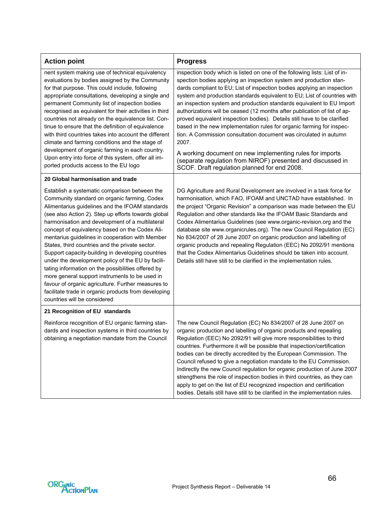| <b>Action point</b>                                                                                                                                                                                                                                                                                                                                                                                                                                                                                                                                                                                                                                                                                                                                                                | <b>Progress</b>                                                                                                                                                                                                                                                                                                                                                                                                                                                                                                                                                                                                                                                                                                                                                                                                                                                             |
|------------------------------------------------------------------------------------------------------------------------------------------------------------------------------------------------------------------------------------------------------------------------------------------------------------------------------------------------------------------------------------------------------------------------------------------------------------------------------------------------------------------------------------------------------------------------------------------------------------------------------------------------------------------------------------------------------------------------------------------------------------------------------------|-----------------------------------------------------------------------------------------------------------------------------------------------------------------------------------------------------------------------------------------------------------------------------------------------------------------------------------------------------------------------------------------------------------------------------------------------------------------------------------------------------------------------------------------------------------------------------------------------------------------------------------------------------------------------------------------------------------------------------------------------------------------------------------------------------------------------------------------------------------------------------|
| nent system making use of technical equivalency<br>evaluations by bodies assigned by the Community<br>for that purpose. This could include, following<br>appropriate consultations, developing a single and<br>permanent Community list of inspection bodies<br>recognised as equivalent for their activities in third<br>countries not already on the equivalence list. Con-<br>tinue to ensure that the definition of equivalence<br>with third countries takes into account the different<br>climate and farming conditions and the stage of<br>development of organic farming in each country.<br>Upon entry into force of this system, offer all im-<br>ported products access to the EU logo                                                                                 | inspection body which is listed on one of the following lists: List of in-<br>spection bodies applying an inspection system and production stan-<br>dards compliant to EU; List of inspection bodies applying an inspection<br>system and production standards equivalent to EU; List of countries with<br>an inspection system and production standards equivalent to EU Import<br>authorizations will be ceased (12 months after publication of list of ap-<br>proved equivalent inspection bodies). Details still have to be clarified<br>based in the new implementation rules for organic farming for inspec-<br>tion. A Commission consultation document was circulated in autumn<br>2007.<br>A working document on new implementing rules for imports<br>(separate regulation from NIROF) presented and discussed in<br>SCOF. Draft regulation planned for end 2008. |
| 20 Global harmonisation and trade                                                                                                                                                                                                                                                                                                                                                                                                                                                                                                                                                                                                                                                                                                                                                  |                                                                                                                                                                                                                                                                                                                                                                                                                                                                                                                                                                                                                                                                                                                                                                                                                                                                             |
| Establish a systematic comparison between the<br>Community standard on organic farming, Codex<br>Alimentarius guidelines and the IFOAM standards<br>(see also Action 2). Step up efforts towards global<br>harmonisation and development of a multilateral<br>concept of equivalency based on the Codex Ali-<br>mentarius guidelines in cooperation with Member<br>States, third countries and the private sector.<br>Support capacity-building in developing countries<br>under the development policy of the EU by facili-<br>tating information on the possibilities offered by<br>more general support instruments to be used in<br>favour of organic agriculture. Further measures to<br>facilitate trade in organic products from developing<br>countries will be considered | DG Agriculture and Rural Development are involved in a task force for<br>harmonisation, which FAO, IFOAM and UNCTAD have established. In<br>the project "Organic Revision" a comparison was made between the EU<br>Regulation and other standards like the IFOAM Basic Standards and<br>Codex Alimentarius Guidelines (see www.organic-revision.org and the<br>database site www.organicrules.org). The new Council Regulation (EC)<br>No 834/2007 of 28 June 2007 on organic production and labelling of<br>organic products and repealing Regulation (EEC) No 2092/91 mentions<br>that the Codex Alimentarius Guidelines should be taken into account.<br>Details still have still to be clarified in the implementation rules.                                                                                                                                           |
| 21 Recognition of EU standards                                                                                                                                                                                                                                                                                                                                                                                                                                                                                                                                                                                                                                                                                                                                                     |                                                                                                                                                                                                                                                                                                                                                                                                                                                                                                                                                                                                                                                                                                                                                                                                                                                                             |
| Reinforce recognition of EU organic farming stan-<br>dards and inspection systems in third countries by<br>obtaining a negotiation mandate from the Council                                                                                                                                                                                                                                                                                                                                                                                                                                                                                                                                                                                                                        | The new Council Regulation (EC) No 834/2007 of 28 June 2007 on<br>organic production and labelling of organic products and repealing<br>Regulation (EEC) No 2092/91 will give more responsibilities to third<br>countries. Furthermore it will be possible that inspection/certification<br>bodies can be directly accredited by the European Commission. The<br>Council refused to give a negotiation mandate to the EU Commission.<br>Indirectly the new Council regulation for organic production of June 2007<br>strengthens the role of inspection bodies in third countries, as they can<br>apply to get on the list of EU recognized inspection and certification<br>bodies. Details still have still to be clarified in the implementation rules.                                                                                                                   |

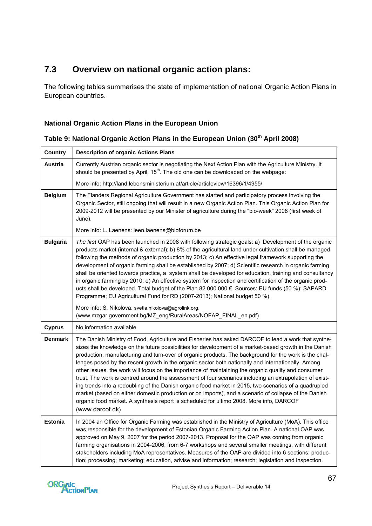## **7.3 Overview on national organic action plans:**

The following tables summarises the state of implementation of national Organic Action Plans in European countries.

## **National Organic Action Plans in the European Union**

## Table 9: National Organic Action Plans in the European Union (30<sup>th</sup> April 2008)

| <b>Country</b>  | <b>Description of organic Actions Plans</b>                                                                                                                                                                                                                                                                                                                                                                                                                                                                                                                                                                                                                                                                                                                                                                                                                                                                                                                                   |
|-----------------|-------------------------------------------------------------------------------------------------------------------------------------------------------------------------------------------------------------------------------------------------------------------------------------------------------------------------------------------------------------------------------------------------------------------------------------------------------------------------------------------------------------------------------------------------------------------------------------------------------------------------------------------------------------------------------------------------------------------------------------------------------------------------------------------------------------------------------------------------------------------------------------------------------------------------------------------------------------------------------|
| <b>Austria</b>  | Currently Austrian organic sector is negotiating the Next Action Plan with the Agriculture Ministry. It<br>should be presented by April, 15 <sup>th</sup> . The old one can be downloaded on the webpage:                                                                                                                                                                                                                                                                                                                                                                                                                                                                                                                                                                                                                                                                                                                                                                     |
|                 | More info: http://land.lebensministerium.at/article/articleview/16396/1/4955/                                                                                                                                                                                                                                                                                                                                                                                                                                                                                                                                                                                                                                                                                                                                                                                                                                                                                                 |
| <b>Belgium</b>  | The Flanders Regional Agriculture Government has started and participatory process involving the<br>Organic Sector, still ongoing that will result in a new Organic Action Plan. This Organic Action Plan for<br>2009-2012 will be presented by our Minister of agriculture during the "bio-week" 2008 (first week of<br>June).                                                                                                                                                                                                                                                                                                                                                                                                                                                                                                                                                                                                                                               |
|                 | More info: L. Laenens: leen.laenens@bioforum.be                                                                                                                                                                                                                                                                                                                                                                                                                                                                                                                                                                                                                                                                                                                                                                                                                                                                                                                               |
| <b>Bulgaria</b> | The first OAP has been launched in 2008 with following strategic goals: a) Development of the organic<br>products market (internal & external); b) 8% of the agricultural land under cultivation shall be managed<br>following the methods of organic production by 2013; c) An effective legal framework supporting the<br>development of organic farming shall be established by 2007; d) Scientific research in organic farming<br>shall be oriented towards practice, a system shall be developed for education, training and consultancy<br>in organic farming by 2010; e) An effective system for inspection and certification of the organic prod-<br>ucts shall be developed. Total budget of the Plan 82 000.000 €. Sources: EU funds (50 %); SAPARD<br>Programme; EU Agricultural Fund for RD (2007-2013); National budget 50 %).                                                                                                                                   |
|                 | More info: S. Nikolova. svetla.nikolova@agrolink.org.<br>(www.mzgar.government.bg/MZ_eng/RuralAreas/NOFAP_FINAL_en.pdf)                                                                                                                                                                                                                                                                                                                                                                                                                                                                                                                                                                                                                                                                                                                                                                                                                                                       |
| <b>Cyprus</b>   | No information available                                                                                                                                                                                                                                                                                                                                                                                                                                                                                                                                                                                                                                                                                                                                                                                                                                                                                                                                                      |
| <b>Denmark</b>  | The Danish Ministry of Food, Agriculture and Fisheries has asked DARCOF to lead a work that synthe-<br>sizes the knowledge on the future possibilities for development of a market-based growth in the Danish<br>production, manufacturing and turn-over of organic products. The background for the work is the chal-<br>lenges posed by the recent growth in the organic sector both nationally and internationally. Among<br>other issues, the work will focus on the importance of maintaining the organic quality and consumer<br>trust. The work is centred around the assessment of four scenarios including an extrapolation of exist-<br>ing trends into a redoubling of the Danish organic food market in 2015, two scenarios of a quadrupled<br>market (based on either domestic production or on imports), and a scenario of collapse of the Danish<br>organic food market. A synthesis report is scheduled for ultimo 2008. More info, DARCOF<br>(www.darcof.dk) |
| <b>Estonia</b>  | In 2004 an Office for Organic Farming was established in the Ministry of Agriculture (MoA). This office<br>was responsible for the development of Estonian Organic Farming Action Plan. A national OAP was<br>approved on May 9, 2007 for the period 2007-2013. Proposal for the OAP was coming from organic<br>farming organisations in 2004-2006, from 6-7 workshops and several smaller meetings, with different<br>stakeholders including MoA representatives. Measures of the OAP are divided into 6 sections: produc-<br>tion; processing; marketing; education, advise and information; research; legislation and inspection.                                                                                                                                                                                                                                                                                                                                          |

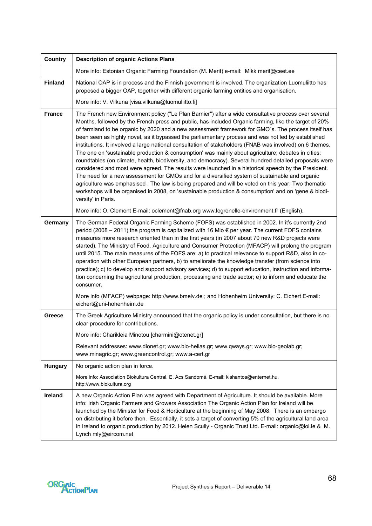| <b>Country</b> | <b>Description of organic Actions Plans</b>                                                                                                                                                                                                                                                                                                                                                                                                                                                                                                                                                                                                                                                                                                                                                                                                                                                                                                                                                                                                                                                                                                                                                        |
|----------------|----------------------------------------------------------------------------------------------------------------------------------------------------------------------------------------------------------------------------------------------------------------------------------------------------------------------------------------------------------------------------------------------------------------------------------------------------------------------------------------------------------------------------------------------------------------------------------------------------------------------------------------------------------------------------------------------------------------------------------------------------------------------------------------------------------------------------------------------------------------------------------------------------------------------------------------------------------------------------------------------------------------------------------------------------------------------------------------------------------------------------------------------------------------------------------------------------|
|                | More info: Estonian Organic Farming Foundation (M. Merit) e-mail: Mikk merit@ceet.ee                                                                                                                                                                                                                                                                                                                                                                                                                                                                                                                                                                                                                                                                                                                                                                                                                                                                                                                                                                                                                                                                                                               |
| <b>Finland</b> | National OAP is in process and the Finnish government is involved. The organization Luomuliitto has<br>proposed a bigger OAP, together with different organic farming entities and organisation.                                                                                                                                                                                                                                                                                                                                                                                                                                                                                                                                                                                                                                                                                                                                                                                                                                                                                                                                                                                                   |
|                | More info: V. Vilkuna [visa.vilkuna@luomuliitto.fi]                                                                                                                                                                                                                                                                                                                                                                                                                                                                                                                                                                                                                                                                                                                                                                                                                                                                                                                                                                                                                                                                                                                                                |
| <b>France</b>  | The French new Environment policy ("Le Plan Barnier") after a wide consultative process over several<br>Months, followed by the French press and public, has included Organic farming, like the target of 20%<br>of farmland to be organic by 2020 and a new assessment framework for GMO's. The process itself has<br>been seen as highly novel, as it bypassed the parliamentary process and was not led by established<br>institutions. It involved a large national consultation of stakeholders (FNAB was involved) on 6 themes.<br>The one on 'sustainable production & consumption' was mainly about agriculture; debates in cities;<br>roundtables (on climate, health, biodiversity, and democracy). Several hundred detailed proposals were<br>considered and most were agreed. The results were launched in a historical speech by the President.<br>The need for a new assessment for GMOs and for a diversified system of sustainable and organic<br>agriculture was emphasised. The law is being prepared and will be voted on this year. Two thematic<br>workshops will be organised in 2008, on 'sustainable production & consumption' and on 'gene & biodi-<br>versity' in Paris. |
|                | More info: O. Clement E-mail: oclement@fnab.org www.legrenelle-environment.fr (English).                                                                                                                                                                                                                                                                                                                                                                                                                                                                                                                                                                                                                                                                                                                                                                                                                                                                                                                                                                                                                                                                                                           |
| Germany        | The German Federal Organic Farming Scheme (FOFS) was established in 2002. In it's currently 2nd<br>period (2008 – 2011) the program is capitalized with 16 Mio € per year. The current FOFS contains<br>measures more research oriented than in the first years (in 2007 about 70 new R&D projects were<br>started). The Ministry of Food, Agriculture and Consumer Protection (MFACP) will prolong the program<br>until 2015. The main measures of the FOFS are: a) to practical relevance to support R&D, also in co-<br>operation with other European partners, b) to ameliorate the knowledge transfer (from science into<br>practice); c) to develop and support advisory services; d) to support education, instruction and informa-<br>tion concerning the agricultural production, processing and trade sector; e) to inform and educate the<br>consumer.<br>More info (MFACP) webpage: http://www.bmelv.de; and Hohenheim University: C. Eichert E-mail:                                                                                                                                                                                                                                  |
|                | eichert@uni-hohenheim.de                                                                                                                                                                                                                                                                                                                                                                                                                                                                                                                                                                                                                                                                                                                                                                                                                                                                                                                                                                                                                                                                                                                                                                           |
| Greece         | The Greek Agriculture Ministry announced that the organic policy is under consultation, but there is no<br>clear procedure for contributions.                                                                                                                                                                                                                                                                                                                                                                                                                                                                                                                                                                                                                                                                                                                                                                                                                                                                                                                                                                                                                                                      |
|                | More info: Charikleia Minotou [charmini@otenet.gr]                                                                                                                                                                                                                                                                                                                                                                                                                                                                                                                                                                                                                                                                                                                                                                                                                                                                                                                                                                                                                                                                                                                                                 |
|                | Relevant addresses: www.dionet.gr; www.bio-hellas.gr; www.qways.gr; www.bio-geolab.gr;<br>www.minagric.gr; www.greencontrol.gr; www.a-cert.gr                                                                                                                                                                                                                                                                                                                                                                                                                                                                                                                                                                                                                                                                                                                                                                                                                                                                                                                                                                                                                                                      |
| <b>Hungary</b> | No organic action plan in force.                                                                                                                                                                                                                                                                                                                                                                                                                                                                                                                                                                                                                                                                                                                                                                                                                                                                                                                                                                                                                                                                                                                                                                   |
|                | More info: Association Biokultura Central. E. Acs Sandomé. E-mail: kishantos@enternet.hu.<br>http://www.biokultura.org                                                                                                                                                                                                                                                                                                                                                                                                                                                                                                                                                                                                                                                                                                                                                                                                                                                                                                                                                                                                                                                                             |
| Ireland        | A new Organic Action Plan was agreed with Department of Agriculture. It should be available. More<br>info: Irish Organic Farmers and Growers Association The Organic Action Plan for Ireland will be<br>launched by the Minister for Food & Horticulture at the beginning of May 2008. There is an embargo<br>on distributing it before then. Essentially, it sets a target of converting 5% of the agricultural land area<br>in Ireland to organic production by 2012. Helen Scully - Organic Trust Ltd. E-mail: organic@iol.ie & M.<br>Lynch mly@eircom.net                                                                                                                                                                                                                                                                                                                                                                                                                                                                                                                                                                                                                                      |

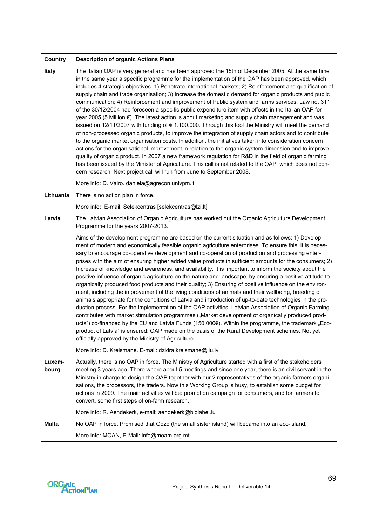| <b>Country</b> | <b>Description of organic Actions Plans</b>                                                                                                                                                                                                                                                                                                                                                                                                                                                                                                                                                                                                                                                                                                                                                                                                                                                                                                                                                                                                                                                                                                                                                                                                                                                                                                                                                                                                                                                                                                                                                                                                                         |
|----------------|---------------------------------------------------------------------------------------------------------------------------------------------------------------------------------------------------------------------------------------------------------------------------------------------------------------------------------------------------------------------------------------------------------------------------------------------------------------------------------------------------------------------------------------------------------------------------------------------------------------------------------------------------------------------------------------------------------------------------------------------------------------------------------------------------------------------------------------------------------------------------------------------------------------------------------------------------------------------------------------------------------------------------------------------------------------------------------------------------------------------------------------------------------------------------------------------------------------------------------------------------------------------------------------------------------------------------------------------------------------------------------------------------------------------------------------------------------------------------------------------------------------------------------------------------------------------------------------------------------------------------------------------------------------------|
| Italy          | The Italian OAP is very general and has been approved the 15th of December 2005. At the same time<br>in the same year a specific programme for the implementation of the OAP has been approved, which<br>includes 4 strategic objectives. 1) Penetrate international markets; 2) Reinforcement and qualification of<br>supply chain and trade organisation; 3) Increase the domestic demand for organic products and public<br>communication; 4) Reinforcement and improvement of Public system and farms services. Law no. 311<br>of the 30/12/2004 had foreseen a specific public expenditure item with effects in the Italian OAP for<br>year 2005 (5 Million €). The latest action is about marketing and supply chain management and was<br>issued on 12/11/2007 with funding of € 1.100.000. Through this tool the Ministry will meet the demand<br>of non-processed organic products, to improve the integration of supply chain actors and to contribute<br>to the organic market organisation costs. In addition, the initiatives taken into consideration concern<br>actions for the organisational improvement in relation to the organic system dimension and to improve<br>quality of organic product. In 2007 a new framework regulation for R&D in the field of organic farming<br>has been issued by the Minister of Agriculture. This call is not related to the OAP, which does not con-<br>cern research. Next project call will run from June to September 2008.<br>More info: D. Vairo. daniela@agrecon.univpm.it                                                                                                                              |
| Lithuania      | There is no action plan in force.                                                                                                                                                                                                                                                                                                                                                                                                                                                                                                                                                                                                                                                                                                                                                                                                                                                                                                                                                                                                                                                                                                                                                                                                                                                                                                                                                                                                                                                                                                                                                                                                                                   |
|                | More info: E-mail: Selekcentras [selekcentras@lzi.lt]                                                                                                                                                                                                                                                                                                                                                                                                                                                                                                                                                                                                                                                                                                                                                                                                                                                                                                                                                                                                                                                                                                                                                                                                                                                                                                                                                                                                                                                                                                                                                                                                               |
| Latvia         | The Latvian Association of Organic Agriculture has worked out the Organic Agriculture Development<br>Programme for the years 2007-2013.<br>Aims of the development programme are based on the current situation and as follows: 1) Develop-<br>ment of modern and economically feasible organic agriculture enterprises. To ensure this, it is neces-<br>sary to encourage co-operative development and co-operation of production and processing enter-<br>prises with the aim of ensuring higher added value products in sufficient amounts for the consumers; 2)<br>Increase of knowledge and awareness, and availability. It is important to inform the society about the<br>positive influence of organic agriculture on the nature and landscape, by ensuring a positive attitude to<br>organically produced food products and their quality; 3) Ensuring of positive influence on the environ-<br>ment, including the improvement of the living conditions of animals and their wellbeing, breeding of<br>animals appropriate for the conditions of Latvia and introduction of up-to-date technologies in the pro-<br>duction process. For the implementation of the OAP activities, Latvian Association of Organic Farming<br>contributes with market stimulation programmes ("Market development of organically produced prod-<br>ucts") co-financed by the EU and Latvia Funds (150.000€). Within the programme, the trademark "Eco-<br>product of Latvia" is ensured. OAP made on the basis of the Rural Development schemes. Not yet<br>officially approved by the Ministry of Agriculture.<br>More info: D. Kreismane. E-mail: dzidra.kreismane@llu.lv |
| Luxem-         | Actually, there is no OAP in force. The Ministry of Agriculture started with a first of the stakeholders                                                                                                                                                                                                                                                                                                                                                                                                                                                                                                                                                                                                                                                                                                                                                                                                                                                                                                                                                                                                                                                                                                                                                                                                                                                                                                                                                                                                                                                                                                                                                            |
| bourg          | meeting 3 years ago. There where about 5 meetings and since one year, there is an civil servant in the<br>Ministry in charge to design the OAP together with our 2 representatives of the organic farmers organi-<br>sations, the processors, the traders. Now this Working Group is busy, to establish some budget for<br>actions in 2009. The main activities will be: promotion campaign for consumers, and for farmers to<br>convert, some first steps of on-farm research.                                                                                                                                                                                                                                                                                                                                                                                                                                                                                                                                                                                                                                                                                                                                                                                                                                                                                                                                                                                                                                                                                                                                                                                     |
|                | More info: R. Aendekerk, e-mail: aendekerk@biolabel.lu                                                                                                                                                                                                                                                                                                                                                                                                                                                                                                                                                                                                                                                                                                                                                                                                                                                                                                                                                                                                                                                                                                                                                                                                                                                                                                                                                                                                                                                                                                                                                                                                              |
| <b>Malta</b>   | No OAP in force. Promised that Gozo (the small sister island) will became into an eco-island.                                                                                                                                                                                                                                                                                                                                                                                                                                                                                                                                                                                                                                                                                                                                                                                                                                                                                                                                                                                                                                                                                                                                                                                                                                                                                                                                                                                                                                                                                                                                                                       |
|                | More info: MOAN, E-Mail: info@moam.org.mt                                                                                                                                                                                                                                                                                                                                                                                                                                                                                                                                                                                                                                                                                                                                                                                                                                                                                                                                                                                                                                                                                                                                                                                                                                                                                                                                                                                                                                                                                                                                                                                                                           |

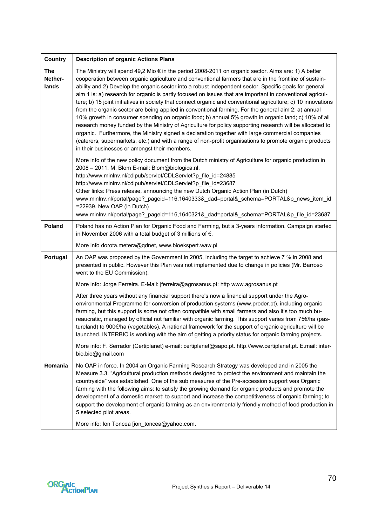| <b>Country</b>          | <b>Description of organic Actions Plans</b>                                                                                                                                                                                                                                                                                                                                                                                                                                                                                                                                                                                                                                                                                                                                                                                                                                                                                                                                                                                                                                                                                                     |
|-------------------------|-------------------------------------------------------------------------------------------------------------------------------------------------------------------------------------------------------------------------------------------------------------------------------------------------------------------------------------------------------------------------------------------------------------------------------------------------------------------------------------------------------------------------------------------------------------------------------------------------------------------------------------------------------------------------------------------------------------------------------------------------------------------------------------------------------------------------------------------------------------------------------------------------------------------------------------------------------------------------------------------------------------------------------------------------------------------------------------------------------------------------------------------------|
| The<br>Nether-<br>lands | The Ministry will spend 49,2 Mio € in the period 2008-2011 on organic sector. Aims are: 1) A better<br>cooperation between organic agriculture and conventional farmers that are in the frontline of sustain-<br>ability and 2) Develop the organic sector into a robust independent sector. Specific goals for general<br>aim 1 is: a) research for organic is partly focused on issues that are important in conventional agricul-<br>ture; b) 15 joint initiatives in society that connect organic and conventional agriculture; c) 10 innovations<br>from the organic sector are being applied in conventional farming. For the general aim 2: a) annual<br>10% growth in consumer spending on organic food; b) annual 5% growth in organic land; c) 10% of all<br>research money funded by the Ministry of Agriculture for policy supporting research will be allocated to<br>organic. Furthermore, the Ministry signed a declaration together with large commercial companies<br>(caterers, supermarkets, etc.) and with a range of non-profit organisations to promote organic products<br>in their businesses or amongst their members. |
|                         | More info of the new policy document from the Dutch ministry of Agriculture for organic production in<br>2008 - 2011. M. Blom E-mail: Blom@biologica.nl.<br>http://www.minlnv.nl/cdlpub/servlet/CDLServlet?p file id=24885<br>http://www.minlnv.nl/cdlpub/servlet/CDLServlet?p file id=23687<br>Other links: Press release, announcing the new Dutch Organic Action Plan (in Dutch)<br>www.minlnv.nl/portal/page?_pageid=116,1640333&_dad=portal&_schema=PORTAL&p_news_item_id<br>=22939. New OAP (in Dutch)<br>www.minlnv.nl/portal/page? pageid=116,1640321& dad=portal& schema=PORTAL&p file id=23687                                                                                                                                                                                                                                                                                                                                                                                                                                                                                                                                        |
| Poland                  | Poland has no Action Plan for Organic Food and Farming, but a 3-years information. Campaign started<br>in November 2006 with a total budget of 3 millions of $\epsilon$ .                                                                                                                                                                                                                                                                                                                                                                                                                                                                                                                                                                                                                                                                                                                                                                                                                                                                                                                                                                       |
|                         | More info dorota.metera@qdnet, www.bioekspert.waw.pl                                                                                                                                                                                                                                                                                                                                                                                                                                                                                                                                                                                                                                                                                                                                                                                                                                                                                                                                                                                                                                                                                            |
| Portugal                | An OAP was proposed by the Government in 2005, including the target to achieve 7 % in 2008 and<br>presented in public. However this Plan was not implemented due to change in policies (Mr. Barroso<br>went to the EU Commission).                                                                                                                                                                                                                                                                                                                                                                                                                                                                                                                                                                                                                                                                                                                                                                                                                                                                                                              |
|                         | More info: Jorge Ferreira. E-Mail: jferreira@agrosanus.pt: http www.agrosanus.pt                                                                                                                                                                                                                                                                                                                                                                                                                                                                                                                                                                                                                                                                                                                                                                                                                                                                                                                                                                                                                                                                |
|                         | After three years without any financial support there's now a financial support under the Agro-<br>environmental Programme for conversion of production systems (www.proder.pt), including organic<br>farming, but this support is some not often compatible with small farmers and also it's too much bu-<br>reaucratic, managed by official not familiar with organic farming. This support varies from 75€/ha (pas-<br>tureland) to 900€/ha (vegetables). A national framework for the support of organic agriculture will be<br>launched. INTERBIO is working with the aim of getting a priority status for organic farming projects.                                                                                                                                                                                                                                                                                                                                                                                                                                                                                                       |
|                         | More info: F. Serrador (Certiplanet) e-mail: certiplanet@sapo.pt. http.//www.certiplanet.pt. E.mail: inter-<br>bio.bio@gmail.com                                                                                                                                                                                                                                                                                                                                                                                                                                                                                                                                                                                                                                                                                                                                                                                                                                                                                                                                                                                                                |
| Romania                 | No OAP in force. In 2004 an Organic Farming Research Strategy was developed and in 2005 the<br>Measure 3.3. "Agricultural production methods designed to protect the environment and maintain the<br>countryside" was established. One of the sub measures of the Pre-accession support was Organic<br>farming with the following aims: to satisfy the growing demand for organic products and promote the<br>development of a domestic market; to support and increase the competitiveness of organic farming; to<br>support the development of organic farming as an environmentally friendly method of food production in<br>5 selected pilot areas.<br>More info: Ion Toncea [ion_toncea@yahoo.com.                                                                                                                                                                                                                                                                                                                                                                                                                                         |

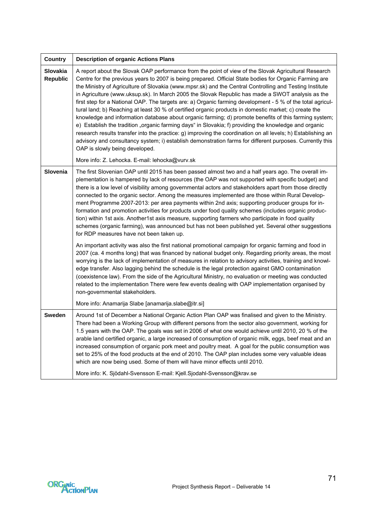| <b>Country</b>              | <b>Description of organic Actions Plans</b>                                                                                                                                                                                                                                                                                                                                                                                                                                                                                                                                                                                                                                                                                                                                                                                                                                                                                                                                                                                                                                                                                                                                            |
|-----------------------------|----------------------------------------------------------------------------------------------------------------------------------------------------------------------------------------------------------------------------------------------------------------------------------------------------------------------------------------------------------------------------------------------------------------------------------------------------------------------------------------------------------------------------------------------------------------------------------------------------------------------------------------------------------------------------------------------------------------------------------------------------------------------------------------------------------------------------------------------------------------------------------------------------------------------------------------------------------------------------------------------------------------------------------------------------------------------------------------------------------------------------------------------------------------------------------------|
| Slovakia<br><b>Republic</b> | A report about the Slovak OAP performance from the point of view of the Slovak Agricultural Research<br>Centre for the previous years to 2007 is being prepared. Official State bodies for Organic Farming are<br>the Ministry of Agriculture of Slovakia (www.mpsr.sk) and the Central Controlling and Testing Institute<br>in Agriculture (www.uksup.sk). In March 2005 the Slovak Republic has made a SWOT analysis as the<br>first step for a National OAP. The targets are: a) Organic farming development - 5 % of the total agricul-<br>tural land; b) Reaching at least 30 % of certified organic products in domestic market; c) create the<br>knowledge and information database about organic farming; d) promote benefits of this farming system;<br>e) Establish the tradition "organic farming days" in Slovakia; f) providing the knowledge and organic<br>research results transfer into the practice: g) improving the coordination on all levels; h) Establishing an<br>advisory and consultancy system; i) establish demonstration farms for different purposes. Currently this<br>OAP is slowly being developed.<br>More info: Z. Lehocka. E-mail: lehocka@vurv.sk |
| Slovenia                    | The first Slovenian OAP until 2015 has been passed almost two and a half years ago. The overall im-                                                                                                                                                                                                                                                                                                                                                                                                                                                                                                                                                                                                                                                                                                                                                                                                                                                                                                                                                                                                                                                                                    |
|                             | plementation is hampered by lack of resources (the OAP was not supported with specific budget) and<br>there is a low level of visibility among governmental actors and stakeholders apart from those directly<br>connected to the organic sector. Among the measures implemented are those within Rural Develop-<br>ment Programme 2007-2013: per area payments within 2nd axis; supporting producer groups for in-<br>formation and promotion activities for products under food quality schemes (includes organic produc-<br>tion) within 1st axis. Another1st axis measure, supporting farmers who participate in food quality<br>schemes (organic farming), was announced but has not been published yet. Several other suggestions<br>for RDP measures have not been taken up.                                                                                                                                                                                                                                                                                                                                                                                                    |
|                             | An important activity was also the first national promotional campaign for organic farming and food in<br>2007 (ca. 4 months long) that was financed by national budget only. Regarding priority areas, the most<br>worrying is the lack of implementation of measures in relation to advisory activities, training and knowl-<br>edge transfer. Also lagging behind the schedule is the legal protection against GMO contamination<br>(coexistence law). From the side of the Agricultural Ministry, no evaluation or meeting was conducted<br>related to the implementation There were few events dealing with OAP implementation organised by<br>non-governmental stakeholders.                                                                                                                                                                                                                                                                                                                                                                                                                                                                                                     |
|                             | More info: Anamarija Slabe [anamarija.slabe@itr.si]                                                                                                                                                                                                                                                                                                                                                                                                                                                                                                                                                                                                                                                                                                                                                                                                                                                                                                                                                                                                                                                                                                                                    |
| Sweden                      | Around 1st of December a National Organic Action Plan OAP was finalised and given to the Ministry.<br>There had been a Working Group with different persons from the sector also government, working for<br>1.5 years with the OAP. The goals was set in 2006 of what one would achieve until 2010, 20 % of the<br>arable land certified organic, a large increased of consumption of organic milk, eggs, beef meat and an<br>increased consumption of organic pork meet and poultry meat. A goal for the public consumption was<br>set to 25% of the food products at the end of 2010. The OAP plan includes some very valuable ideas<br>which are now being used. Some of them will have minor effects until 2010.                                                                                                                                                                                                                                                                                                                                                                                                                                                                   |
|                             | More info: K. Sjödahl-Svensson E-mail: Kjell.Sjodahl-Svensson@krav.se                                                                                                                                                                                                                                                                                                                                                                                                                                                                                                                                                                                                                                                                                                                                                                                                                                                                                                                                                                                                                                                                                                                  |

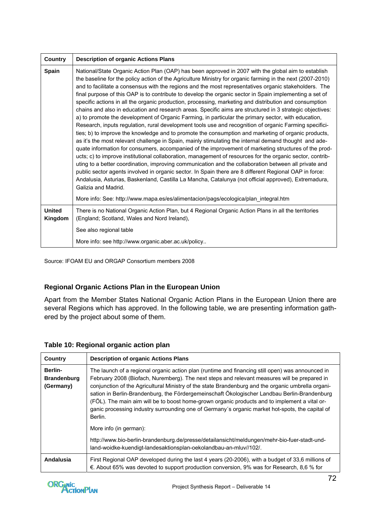| <b>Country</b>           | <b>Description of organic Actions Plans</b>                                                                                                                                                                                                                                                                                                                                                                                                                                                                                                                                                                                                                                                                                                                                                                                                                                                                                                                                                                                                                                                                                                                                                                                                                                                                                                                                                                                                                                                                                                                                                                                                                         |
|--------------------------|---------------------------------------------------------------------------------------------------------------------------------------------------------------------------------------------------------------------------------------------------------------------------------------------------------------------------------------------------------------------------------------------------------------------------------------------------------------------------------------------------------------------------------------------------------------------------------------------------------------------------------------------------------------------------------------------------------------------------------------------------------------------------------------------------------------------------------------------------------------------------------------------------------------------------------------------------------------------------------------------------------------------------------------------------------------------------------------------------------------------------------------------------------------------------------------------------------------------------------------------------------------------------------------------------------------------------------------------------------------------------------------------------------------------------------------------------------------------------------------------------------------------------------------------------------------------------------------------------------------------------------------------------------------------|
| <b>Spain</b>             | National/State Organic Action Plan (OAP) has been approved in 2007 with the global aim to establish<br>the baseline for the policy action of the Agriculture Ministry for organic farming in the next (2007-2010)<br>and to facilitate a consensus with the regions and the most representatives organic stakeholders. The<br>final purpose of this OAP is to contribute to develop the organic sector in Spain implementing a set of<br>specific actions in all the organic production, processing, marketing and distribution and consumption<br>chains and also in education and research areas. Specific aims are structured in 3 strategic objectives:<br>a) to promote the development of Organic Farming, in particular the primary sector, with education,<br>Research, inputs regulation, rural development tools use and recognition of organic Farming specifici-<br>ties; b) to improve the knowledge and to promote the consumption and marketing of organic products,<br>as it's the most relevant challenge in Spain, mainly stimulating the internal demand thought and ade-<br>quate information for consumers, accompanied of the improvement of marketing structures of the prod-<br>ucts; c) to improve institutional collaboration, management of resources for the organic sector, contrib-<br>uting to a better coordination, improving communication and the collaboration between all private and<br>public sector agents involved in organic sector. In Spain there are 8 different Regional OAP in force:<br>Andalusia, Asturias, Baskenland, Castilla La Mancha, Catalunya (not official approved), Extremadura,<br>Galizia and Madrid. |
|                          | More info: See: http://www.mapa.es/es/alimentacion/pags/ecologica/plan_integral.htm                                                                                                                                                                                                                                                                                                                                                                                                                                                                                                                                                                                                                                                                                                                                                                                                                                                                                                                                                                                                                                                                                                                                                                                                                                                                                                                                                                                                                                                                                                                                                                                 |
| <b>United</b><br>Kingdom | There is no National Organic Action Plan, but 4 Regional Organic Action Plans in all the territories<br>(England; Scotland, Wales and Nord Ireland),                                                                                                                                                                                                                                                                                                                                                                                                                                                                                                                                                                                                                                                                                                                                                                                                                                                                                                                                                                                                                                                                                                                                                                                                                                                                                                                                                                                                                                                                                                                |
|                          | See also regional table                                                                                                                                                                                                                                                                                                                                                                                                                                                                                                                                                                                                                                                                                                                                                                                                                                                                                                                                                                                                                                                                                                                                                                                                                                                                                                                                                                                                                                                                                                                                                                                                                                             |
|                          | More info: see http://www.organic.aber.ac.uk/policy                                                                                                                                                                                                                                                                                                                                                                                                                                                                                                                                                                                                                                                                                                                                                                                                                                                                                                                                                                                                                                                                                                                                                                                                                                                                                                                                                                                                                                                                                                                                                                                                                 |

Source: IFOAM EU and ORGAP Consortium members 2008

## **Regional Organic Actions Plan in the European Union**

Apart from the Member States National Organic Action Plans in the European Union there are several Regions which has approved. In the following table, we are presenting information gathered by the project about some of them.

| Country                                    | <b>Description of organic Actions Plans</b>                                                                                                                                                                                                                                                                                                                                                                                                                                                                                                                                                                           |
|--------------------------------------------|-----------------------------------------------------------------------------------------------------------------------------------------------------------------------------------------------------------------------------------------------------------------------------------------------------------------------------------------------------------------------------------------------------------------------------------------------------------------------------------------------------------------------------------------------------------------------------------------------------------------------|
| Berlin-<br><b>Brandenburg</b><br>(Germany) | The launch of a regional organic action plan (runtime and financing still open) was announced in<br>February 2008 (Biofach, Nuremberg). The next steps and relevant measures will be prepared in<br>conjunction of the Agricultural Ministry of the state Brandenburg and the organic umbrella organi-<br>sation in Berlin-Brandenburg, the Fördergemeinschaft Ökologischer Landbau Berlin-Brandenburg<br>(FÖL). The main aim will be to boost home-grown organic products and to implement a vital or-<br>ganic processing industry surrounding one of Germany's organic market hot-spots, the capital of<br>Berlin. |
|                                            | More info (in german):                                                                                                                                                                                                                                                                                                                                                                                                                                                                                                                                                                                                |
|                                            | http://www.bio-berlin-brandenburg.de/presse/detailansicht/meldungen/mehr-bio-fuer-stadt-und-<br>land-woidke-kuendigt-landesaktionsplan-oekolandbau-an-mluv//102/.                                                                                                                                                                                                                                                                                                                                                                                                                                                     |
| Andalusia                                  | First Regional OAP developed during the last 4 years (20-2006), with a budget of 33,6 millions of<br>€. About 65% was devoted to support production conversion, 9% was for Research, 8,6 % for                                                                                                                                                                                                                                                                                                                                                                                                                        |

### **Table 10: Regional organic action plan**

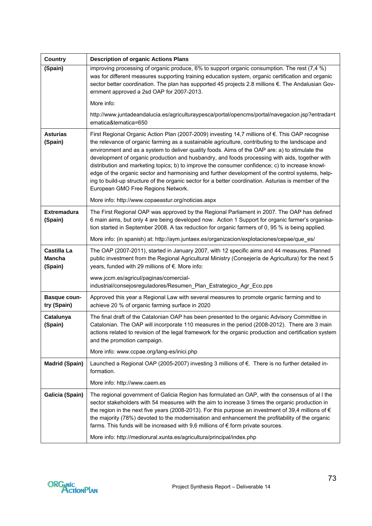| <b>Country</b>                          | <b>Description of organic Actions Plans</b>                                                                                                                                                                                                                                                                                                                                                                                                                                                                                                                                                                                                                                                                                                                  |
|-----------------------------------------|--------------------------------------------------------------------------------------------------------------------------------------------------------------------------------------------------------------------------------------------------------------------------------------------------------------------------------------------------------------------------------------------------------------------------------------------------------------------------------------------------------------------------------------------------------------------------------------------------------------------------------------------------------------------------------------------------------------------------------------------------------------|
| (Spain)                                 | improving processing of organic produce, $6\%$ to support organic consumption. The rest (7,4 %)<br>was for different measures supporting training education system, organic certification and organic<br>sector better coordination. The plan has supported 45 projects 2.8 millions €. The Andalusian Gov-<br>ernment approved a 2sd OAP for 2007-2013.                                                                                                                                                                                                                                                                                                                                                                                                     |
|                                         | More info:                                                                                                                                                                                                                                                                                                                                                                                                                                                                                                                                                                                                                                                                                                                                                   |
|                                         | http://www.juntadeandalucia.es/agriculturaypesca/portal/opencms/portal/navegacion.jsp?entrada=t<br>ematica&tematica=650                                                                                                                                                                                                                                                                                                                                                                                                                                                                                                                                                                                                                                      |
| <b>Asturias</b><br>(Spain)              | First Regional Organic Action Plan (2007-2009) investing 14,7 millions of €. This OAP recognise<br>the relevance of organic farming as a sustainable agriculture, contributing to the landscape and<br>environment and as a system to deliver quality foods. Aims of the OAP are: a) to stimulate the<br>development of organic production and husbandry, and foods processing with aids, together with<br>distribution and marketing topics; b) to improve the consumer confidence; c) to increase knowl-<br>edge of the organic sector and harmonising and further development of the control systems, help-<br>ing to build-up structure of the organic sector for a better coordination. Asturias is member of the<br>European GMO Free Regions Network. |
|                                         | More info: http://www.copaeastur.org/noticias.aspx                                                                                                                                                                                                                                                                                                                                                                                                                                                                                                                                                                                                                                                                                                           |
| <b>Extremadura</b><br>(Spain)           | The First Regional OAP was approved by the Regional Parliament in 2007. The OAP has defined<br>6 main aims, but only 4 are being developed now. Action 1 Support for organic farmer's organisa-<br>tion started in September 2008. A tax reduction for organic farmers of 0, 95 % is being applied.                                                                                                                                                                                                                                                                                                                                                                                                                                                          |
|                                         | More info: (in spanish) at: http://aym.juntaex.es/organizacion/explotaciones/cepae/que_es/                                                                                                                                                                                                                                                                                                                                                                                                                                                                                                                                                                                                                                                                   |
| Castilla La<br><b>Mancha</b><br>(Spain) | The OAP (2007-2011), started in January 2007, with 12 specific aims and 44 measures. Planned<br>public investment from the Regional Agricultural Ministry (Consejería de Agricultura) for the next 5<br>years, funded with 29 millions of €. More info:                                                                                                                                                                                                                                                                                                                                                                                                                                                                                                      |
|                                         | www.jccm.es/agricul/paginas/comercial-<br>industrial/consejosreguladores/Resumen_Plan_Estrategico_Agr_Eco.pps                                                                                                                                                                                                                                                                                                                                                                                                                                                                                                                                                                                                                                                |
| <b>Basque coun-</b><br>try (Spain)      | Approved this year a Regional Law with several measures to promote organic farming and to<br>achieve 20 % of organic farming surface in 2020                                                                                                                                                                                                                                                                                                                                                                                                                                                                                                                                                                                                                 |
| Catalunya<br>(Spain)                    | The final draft of the Catalonian OAP has been presented to the organic Advisory Committee in<br>Catalonian. The OAP will incorporate 110 measures in the period (2008-2012). There are 3 main<br>actions related to revision of the legal framework for the organic production and certification system<br>and the promotion campaign.                                                                                                                                                                                                                                                                                                                                                                                                                      |
|                                         | More info: www.ccpae.org/lang-es/inici.php                                                                                                                                                                                                                                                                                                                                                                                                                                                                                                                                                                                                                                                                                                                   |
| <b>Madrid (Spain)</b>                   | Launched a Regional OAP (2005-2007) investing 3 millions of €. There is no further detailed in-<br>formation.                                                                                                                                                                                                                                                                                                                                                                                                                                                                                                                                                                                                                                                |
|                                         | More info: http://www.caem.es                                                                                                                                                                                                                                                                                                                                                                                                                                                                                                                                                                                                                                                                                                                                |
| <b>Galicia (Spain)</b>                  | The regional government of Galicia Region has formulated an OAP, with the consensus of all the<br>sector stakeholders with 54 measures with the aim to increase 3 times the organic production in<br>the region in the next five years (2008-2013). For this purpose an investment of 39,4 millions of $\in$<br>the majority (78%) devoted to the modernisation and enhancement the profitability of the organic<br>farms. This funds will be increased with 9,6 millions of $\epsilon$ form private sources.                                                                                                                                                                                                                                                |
|                                         | More info: http://mediorural.xunta.es/agricultura/principal/index.php                                                                                                                                                                                                                                                                                                                                                                                                                                                                                                                                                                                                                                                                                        |

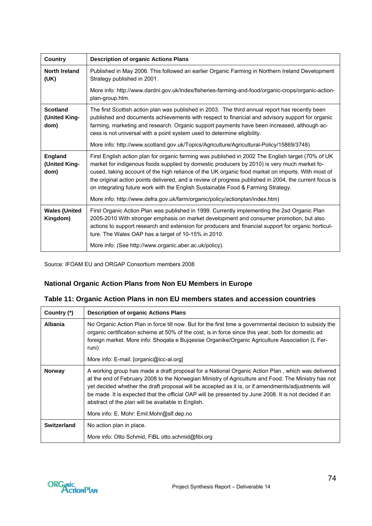| <b>Country</b>                           | <b>Description of organic Actions Plans</b>                                                                                                                                                                                                                                                                                                                                                                                                                                                         |
|------------------------------------------|-----------------------------------------------------------------------------------------------------------------------------------------------------------------------------------------------------------------------------------------------------------------------------------------------------------------------------------------------------------------------------------------------------------------------------------------------------------------------------------------------------|
| <b>North Ireland</b><br>(UK)             | Published in May 2006. This followed an earlier Organic Farming in Northern Ireland Development<br>Strategy published in 2001.                                                                                                                                                                                                                                                                                                                                                                      |
|                                          | More info: http://www.dardni.gov.uk/index/fisheries-farming-and-food/organic-crops/organic-action-<br>plan-group.htm.                                                                                                                                                                                                                                                                                                                                                                               |
| <b>Scotland</b><br>(United King-<br>dom) | The first Scottish action plan was published in 2003. The third annual report has recently been<br>published and documents achievements with respect to financial and advisory support for organic<br>farming, marketing and research. Organic support payments have been increased, although ac-<br>cess is not universal with a point system used to determine eligibility.                                                                                                                       |
|                                          | More info: http://www.scotland.gov.uk/Topics/Agriculture/Agricultural-Policy/15869/3748)                                                                                                                                                                                                                                                                                                                                                                                                            |
| <b>England</b><br>(United King-<br>dom)  | First English action plan for organic farming was published in 2002 The English target (70% of UK<br>market for indigenous foods supplied by domestic producers by 2010) is very much market fo-<br>cused, taking account of the high reliance of the UK organic food market on imports. With most of<br>the original action points delivered, and a review of progress published in 2004, the current focus is<br>on integrating future work with the English Sustainable Food & Farming Strategy. |
|                                          | More info: http://www.defra.gov.uk/farm/organic/policy/actionplan/index.htm)                                                                                                                                                                                                                                                                                                                                                                                                                        |
| <b>Wales (United</b><br>Kingdom)         | First Organic Action Plan was published in 1999. Currently implementing the 2sd Organic Plan<br>2005-2010 With stronger emphasis on market development and consumer promotion, but also<br>actions to support research and extension for producers and financial support for organic horticul-<br>ture. The Wales OAP has a target of 10-15% in 2010.                                                                                                                                               |
|                                          | More info: (See http://www.organic.aber.ac.uk/policy).                                                                                                                                                                                                                                                                                                                                                                                                                                              |

Source: IFOAM EU and ORGAP Consortium members 2008

## **National Organic Action Plans from Non EU Members in Europe**

|  |  | Table 11: Organic Action Plans in non EU members states and accession countries |
|--|--|---------------------------------------------------------------------------------|
|--|--|---------------------------------------------------------------------------------|

| Country (*)   | <b>Description of organic Actions Plans</b>                                                                                                                                                                                                                                                                                                                                                                                                                                    |
|---------------|--------------------------------------------------------------------------------------------------------------------------------------------------------------------------------------------------------------------------------------------------------------------------------------------------------------------------------------------------------------------------------------------------------------------------------------------------------------------------------|
| Albania       | No Organic Action Plan in force till now. But for the first time a governmental decision to subsidy the<br>organic certification scheme at 50% of the cost, is in force since this year, both for domestic ad<br>foreign market. More info: Shoqata e Bujqesise Organike/Organic Agriculture Association (L Fer-<br>runi)                                                                                                                                                      |
|               | More info: E-mail: [organic@icc-al.org]                                                                                                                                                                                                                                                                                                                                                                                                                                        |
| <b>Norway</b> | A working group has made a draft proposal for a National Organic Action Plan, which was delivered<br>at the end of February 2008 to the Norwegian Ministry of Agriculture and Food. The Ministry has not<br>yet decided whether the draft proposal will be accepted as it is, or if amendments/adjustments will<br>be made. It is expected that the official OAP will be presented by June 2008. It is not decided if an<br>abstract of the plan will be available in English. |
|               | More info: E. Mohr: Emil.Mohr@slf.dep.no                                                                                                                                                                                                                                                                                                                                                                                                                                       |
| Switzerland   | No action plan in place.                                                                                                                                                                                                                                                                                                                                                                                                                                                       |
|               | More info: Otto Schmid, FiBL otto.schmid@fibl.org                                                                                                                                                                                                                                                                                                                                                                                                                              |